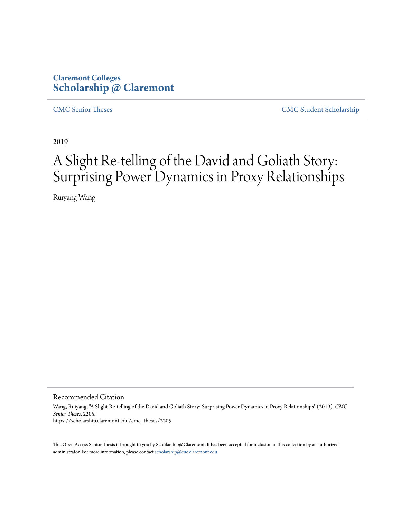## **Claremont Colleges [Scholarship @ Claremont](https://scholarship.claremont.edu)**

[CMC Senior Theses](https://scholarship.claremont.edu/cmc_theses) [CMC Student Scholarship](https://scholarship.claremont.edu/cmc_student)

2019

# A Slight Re-telling of the David and Goliath Story: Surprising Power Dynamics in Proxy Relationships

Ruiyang Wang

Recommended Citation

Wang, Ruiyang, "A Slight Re-telling of the David and Goliath Story: Surprising Power Dynamics in Proxy Relationships" (2019). *CMC Senior Theses*. 2205. https://scholarship.claremont.edu/cmc\_theses/2205

This Open Access Senior Thesis is brought to you by Scholarship@Claremont. It has been accepted for inclusion in this collection by an authorized administrator. For more information, please contact [scholarship@cuc.claremont.edu.](mailto:scholarship@cuc.claremont.edu)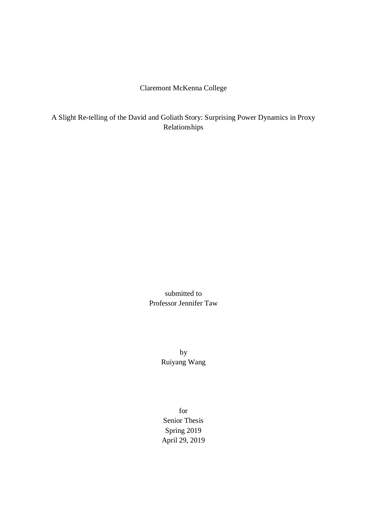## Claremont McKenna College

A Slight Re-telling of the David and Goliath Story: Surprising Power Dynamics in Proxy Relationships

> submitted to Professor Jennifer Taw

> > by Ruiyang Wang

for Senior Thesis Spring 2019 April 29, 2019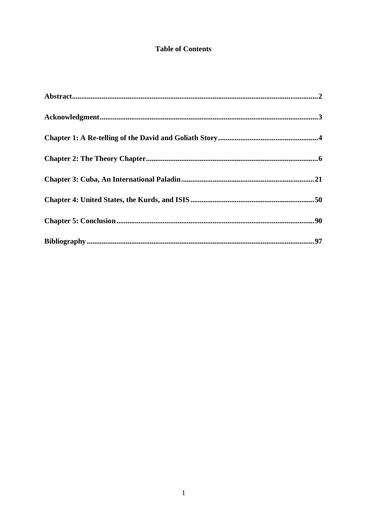## **Table of Contents**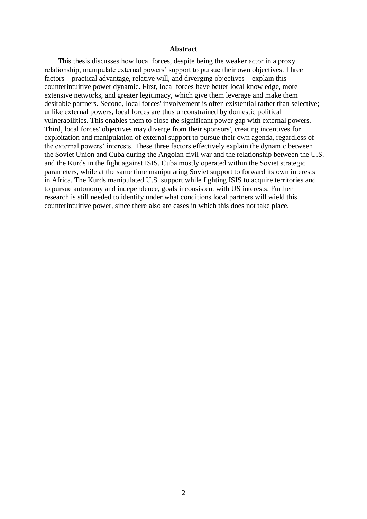#### **Abstract**

<span id="page-4-0"></span>This thesis discusses how local forces, despite being the weaker actor in a proxy relationship, manipulate external powers' support to pursue their own objectives. Three factors – practical advantage, relative will, and diverging objectives – explain this counterintuitive power dynamic. First, local forces have better local knowledge, more extensive networks, and greater legitimacy, which give them leverage and make them desirable partners. Second, local forces' involvement is often existential rather than selective; unlike external powers, local forces are thus unconstrained by domestic political vulnerabilities. This enables them to close the significant power gap with external powers. Third, local forces' objectives may diverge from their sponsors', creating incentives for exploitation and manipulation of external support to pursue their own agenda, regardless of the external powers' interests. These three factors effectively explain the dynamic between the Soviet Union and Cuba during the Angolan civil war and the relationship between the U.S. and the Kurds in the fight against ISIS. Cuba mostly operated within the Soviet strategic parameters, while at the same time manipulating Soviet support to forward its own interests in Africa. The Kurds manipulated U.S. support while fighting ISIS to acquire territories and to pursue autonomy and independence, goals inconsistent with US interests. Further research is still needed to identify under what conditions local partners will wield this counterintuitive power, since there also are cases in which this does not take place.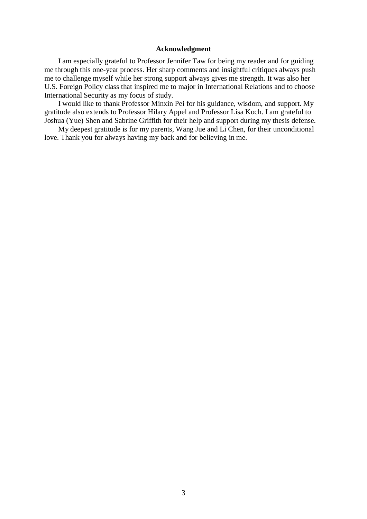#### **Acknowledgment**

<span id="page-5-0"></span>I am especially grateful to Professor Jennifer Taw for being my reader and for guiding me through this one-year process. Her sharp comments and insightful critiques always push me to challenge myself while her strong support always gives me strength. It was also her U.S. Foreign Policy class that inspired me to major in International Relations and to choose International Security as my focus of study.

I would like to thank Professor Minxin Pei for his guidance, wisdom, and support. My gratitude also extends to Professor Hilary Appel and Professor Lisa Koch. I am grateful to Joshua (Yue) Shen and Sabrine Griffith for their help and support during my thesis defense.

My deepest gratitude is for my parents, Wang Jue and Li Chen, for their unconditional love. Thank you for always having my back and for believing in me.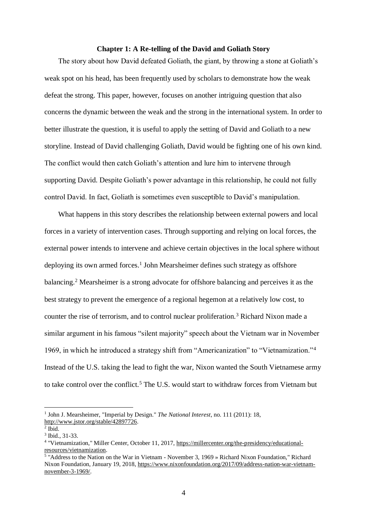#### **Chapter 1: A Re-telling of the David and Goliath Story**

<span id="page-6-0"></span>The story about how David defeated Goliath, the giant, by throwing a stone at Goliath's weak spot on his head, has been frequently used by scholars to demonstrate how the weak defeat the strong. This paper, however, focuses on another intriguing question that also concerns the dynamic between the weak and the strong in the international system. In order to better illustrate the question, it is useful to apply the setting of David and Goliath to a new storyline. Instead of David challenging Goliath, David would be fighting one of his own kind. The conflict would then catch Goliath's attention and lure him to intervene through supporting David. Despite Goliath's power advantage in this relationship, he could not fully control David. In fact, Goliath is sometimes even susceptible to David's manipulation.

What happens in this story describes the relationship between external powers and local forces in a variety of intervention cases. Through supporting and relying on local forces, the external power intends to intervene and achieve certain objectives in the local sphere without deploying its own armed forces.<sup>1</sup> John Mearsheimer defines such strategy as offshore balancing.<sup>2</sup> Mearsheimer is a strong advocate for offshore balancing and perceives it as the best strategy to prevent the emergence of a regional hegemon at a relatively low cost, to counter the rise of terrorism, and to control nuclear proliferation.<sup>3</sup> Richard Nixon made a similar argument in his famous "silent majority" speech about the Vietnam war in November 1969, in which he introduced a strategy shift from "Americanization" to "Vietnamization."<sup>4</sup> Instead of the U.S. taking the lead to fight the war, Nixon wanted the South Vietnamese army to take control over the conflict.<sup>5</sup> The U.S. would start to withdraw forces from Vietnam but

<sup>&</sup>lt;sup>1</sup> John J. Mearsheimer, "Imperial by Design." *The National Interest*, no. 111 (2011): 18, [http://www.jstor.org/stable/42897726.](http://www.jstor.org/stable/42897726) 

<sup>2</sup> Ibid.

<sup>3</sup> Ibid., 31-33.

<sup>&</sup>lt;sup>4</sup> "Vietnamization," Miller Center, October 11, 2017, [https://millercenter.org/the-presidency/educational](https://millercenter.org/the-presidency/educational-resources/vietnamization)[resources/vietnamization.](https://millercenter.org/the-presidency/educational-resources/vietnamization)

<sup>5</sup> "Address to the Nation on the War in Vietnam - November 3, 1969 » Richard Nixon Foundation," Richard Nixon Foundation, January 19, 2018, [https://www.nixonfoundation.org/2017/09/address-nation-war-vietnam](https://www.nixonfoundation.org/2017/09/address-nation-war-vietnam-november-3-1969/)[november-3-1969/.](https://www.nixonfoundation.org/2017/09/address-nation-war-vietnam-november-3-1969/)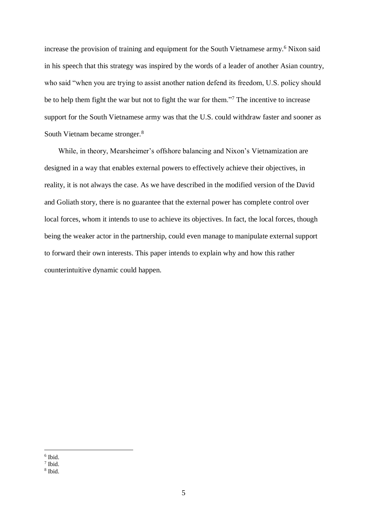increase the provision of training and equipment for the South Vietnamese army.<sup>6</sup> Nixon said in his speech that this strategy was inspired by the words of a leader of another Asian country, who said "when you are trying to assist another nation defend its freedom, U.S. policy should be to help them fight the war but not to fight the war for them."<sup>7</sup> The incentive to increase support for the South Vietnamese army was that the U.S. could withdraw faster and sooner as South Vietnam became stronger.<sup>8</sup>

While, in theory, Mearsheimer's offshore balancing and Nixon's Vietnamization are designed in a way that enables external powers to effectively achieve their objectives, in reality, it is not always the case. As we have described in the modified version of the David and Goliath story, there is no guarantee that the external power has complete control over local forces, whom it intends to use to achieve its objectives. In fact, the local forces, though being the weaker actor in the partnership, could even manage to manipulate external support to forward their own interests. This paper intends to explain why and how this rather counterintuitive dynamic could happen.

<sup>1</sup> 6 Ibid.

<sup>7</sup> Ibid.

<sup>8</sup> Ibid.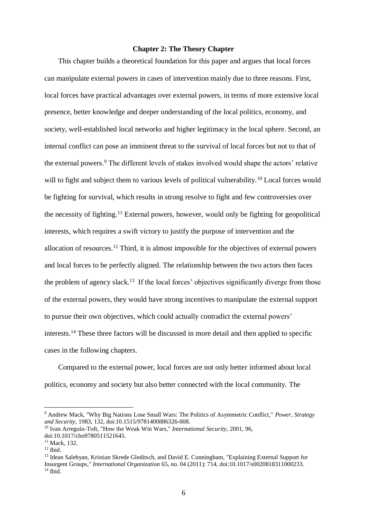#### **Chapter 2: The Theory Chapter**

<span id="page-8-0"></span>This chapter builds a theoretical foundation for this paper and argues that local forces can manipulate external powers in cases of intervention mainly due to three reasons. First, local forces have practical advantages over external powers, in terms of more extensive local presence, better knowledge and deeper understanding of the local politics, economy, and society, well-established local networks and higher legitimacy in the local sphere. Second, an internal conflict can pose an imminent threat to the survival of local forces but not to that of the external powers.<sup>9</sup> The different levels of stakes involved would shape the actors' relative will to fight and subject them to various levels of political vulnerability.<sup>10</sup> Local forces would be fighting for survival, which results in strong resolve to fight and few controversies over the necessity of fighting.<sup>11</sup> External powers, however, would only be fighting for geopolitical interests, which requires a swift victory to justify the purpose of intervention and the allocation of resources.<sup>12</sup> Third, it is almost impossible for the objectives of external powers and local forces to be perfectly aligned. The relationship between the two actors then faces the problem of agency slack.<sup>13</sup> If the local forces' objectives significantly diverge from those of the external powers, they would have strong incentives to manipulate the external support to pursue their own objectives, which could actually contradict the external powers' interests.<sup>14</sup> These three factors will be discussed in more detail and then applied to specific cases in the following chapters.

Compared to the external power, local forces are not only better informed about local politics, economy and society but also better connected with the local community. The

<sup>9</sup> Andrew Mack, "Why Big Nations Lose Small Wars: The Politics of Asymmetric Conflict," *Power, Strategy and Security,* 1983, 132, doi:10.1515/9781400886326-008.

<sup>10</sup> Ivan Arreguín-Toft, "How the Weak Win Wars," *International Security*, 2001, 96, doi:10.1017/cbo9780511521645.

<sup>&</sup>lt;sup>11</sup> Mack, 132.

 $12$  Ibid.

<sup>&</sup>lt;sup>13</sup> Idean Salehyan, Kristian Skrede Gleditsch, and David E. Cunningham, "Explaining External Support for Insurgent Groups," *International Organization* 65, no. 04 (2011): 714, doi:10.1017/s0020818311000233.  $14$  Ibid.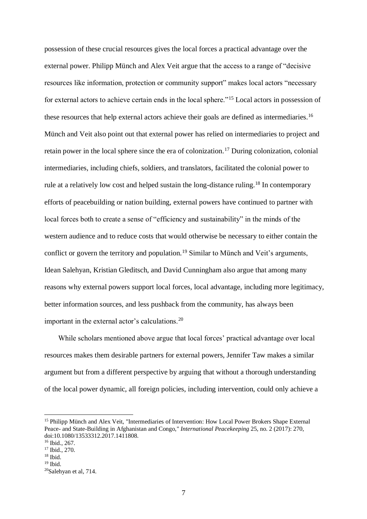possession of these crucial resources gives the local forces a practical advantage over the external power. Philipp Münch and Alex Veit argue that the access to a range of "decisive resources like information, protection or community support" makes local actors "necessary for external actors to achieve certain ends in the local sphere."<sup>15</sup> Local actors in possession of these resources that help external actors achieve their goals are defined as intermediaries.<sup>16</sup> Münch and Veit also point out that external power has relied on intermediaries to project and retain power in the local sphere since the era of colonization.<sup>17</sup> During colonization, colonial intermediaries, including chiefs, soldiers, and translators, facilitated the colonial power to rule at a relatively low cost and helped sustain the long-distance ruling.<sup>18</sup> In contemporary efforts of peacebuilding or nation building, external powers have continued to partner with local forces both to create a sense of "efficiency and sustainability" in the minds of the western audience and to reduce costs that would otherwise be necessary to either contain the conflict or govern the territory and population.<sup>19</sup> Similar to Münch and Veit's arguments, Idean Salehyan, Kristian Gleditsch, and David Cunningham also argue that among many reasons why external powers support local forces, local advantage, including more legitimacy, better information sources, and less pushback from the community, has always been important in the external actor's calculations.<sup>20</sup>

While scholars mentioned above argue that local forces' practical advantage over local resources makes them desirable partners for external powers, Jennifer Taw makes a similar argument but from a different perspective by arguing that without a thorough understanding of the local power dynamic, all foreign policies, including intervention, could only achieve a

<sup>&</sup>lt;sup>15</sup> Philipp Münch and Alex Veit, "Intermediaries of Intervention: How Local Power Brokers Shape External Peace- and State-Building in Afghanistan and Congo," *International Peacekeeping* 25, no. 2 (2017): 270, doi:10.1080/13533312.2017.1411808.

<sup>16</sup> Ibid., 267.

 $17$  Ibid., 270.

 $18$  Ibid.

 $19$  Ibid.

<sup>20</sup>Salehyan et al, 714.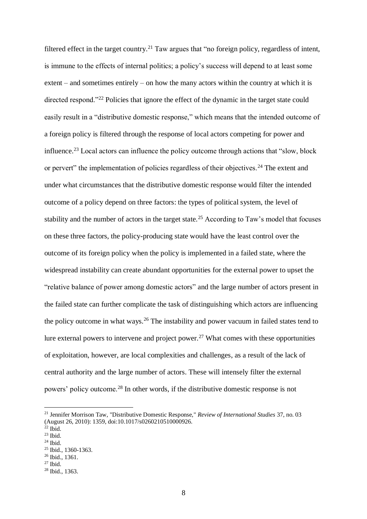filtered effect in the target country.<sup>21</sup> Taw argues that "no foreign policy, regardless of intent, is immune to the effects of internal politics; a policy's success will depend to at least some extent – and sometimes entirely – on how the many actors within the country at which it is directed respond."<sup>22</sup> Policies that ignore the effect of the dynamic in the target state could easily result in a "distributive domestic response," which means that the intended outcome of a foreign policy is filtered through the response of local actors competing for power and influence.<sup>23</sup> Local actors can influence the policy outcome through actions that "slow, block or pervert" the implementation of policies regardless of their objectives.<sup>24</sup> The extent and under what circumstances that the distributive domestic response would filter the intended outcome of a policy depend on three factors: the types of political system, the level of stability and the number of actors in the target state.<sup>25</sup> According to Taw's model that focuses on these three factors, the policy-producing state would have the least control over the outcome of its foreign policy when the policy is implemented in a failed state, where the widespread instability can create abundant opportunities for the external power to upset the "relative balance of power among domestic actors" and the large number of actors present in the failed state can further complicate the task of distinguishing which actors are influencing the policy outcome in what ways.<sup>26</sup> The instability and power vacuum in failed states tend to lure external powers to intervene and project power.<sup>27</sup> What comes with these opportunities of exploitation, however, are local complexities and challenges, as a result of the lack of central authority and the large number of actors. These will intensely filter the external powers' policy outcome.<sup>28</sup> In other words, if the distributive domestic response is not

1

<sup>26</sup> Ibid., 1361.

<sup>21</sup> Jennifer Morrison Taw, "Distributive Domestic Response," *Review of International Studies* 37, no. 03 (August 26, 2010): 1359, doi:10.1017/s0260210510000926.

 $22$  Ibid.

 $^{23}$  Ibid.

 $24$  Ibid.

<sup>25</sup> Ibid., 1360-1363.

 $27$  Ibid.

<sup>28</sup> Ibid., 1363.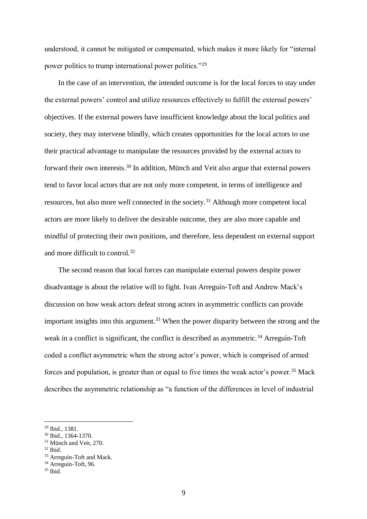understood, it cannot be mitigated or compensated, which makes it more likely for "internal power politics to trump international power politics."<sup>29</sup>

In the case of an intervention, the intended outcome is for the local forces to stay under the external powers' control and utilize resources effectively to fulfill the external powers' objectives. If the external powers have insufficient knowledge about the local politics and society, they may intervene blindly, which creates opportunities for the local actors to use their practical advantage to manipulate the resources provided by the external actors to forward their own interests.<sup>30</sup> In addition, Münch and Veit also argue that external powers tend to favor local actors that are not only more competent, in terms of intelligence and resources, but also more well connected in the society.<sup>31</sup> Although more competent local actors are more likely to deliver the desirable outcome, they are also more capable and mindful of protecting their own positions, and therefore, less dependent on external support and more difficult to control.<sup>32</sup>

The second reason that local forces can manipulate external powers despite power disadvantage is about the relative will to fight. Ivan Arreguín-Toft and Andrew Mack's discussion on how weak actors defeat strong actors in asymmetric conflicts can provide important insights into this argument.<sup>33</sup> When the power disparity between the strong and the weak in a conflict is significant, the conflict is described as asymmetric.<sup>34</sup> Arreguín-Toft coded a conflict asymmetric when the strong actor's power, which is comprised of armed forces and population, is greater than or equal to five times the weak actor's power.<sup>35</sup> Mack describes the asymmetric relationship as "a function of the differences in level of industrial

<sup>29</sup> Ibid., 1381.

<sup>30</sup> Ibid., 1364-1370.

<sup>&</sup>lt;sup>31</sup> Münch and Veit, 270.

 $32$  Ibid.

<sup>33</sup> Arreguín-Toft and Mack.

<sup>&</sup>lt;sup>34</sup> Arreguín-Toft, 96.

 $35$  Ibid.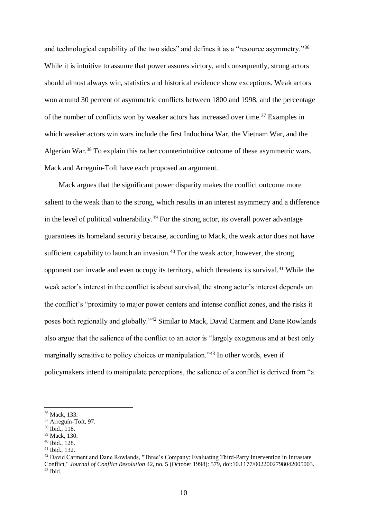and technological capability of the two sides" and defines it as a "resource asymmetry."<sup>36</sup> While it is intuitive to assume that power assures victory, and consequently, strong actors should almost always win, statistics and historical evidence show exceptions. Weak actors won around 30 percent of asymmetric conflicts between 1800 and 1998, and the percentage of the number of conflicts won by weaker actors has increased over time.<sup>37</sup> Examples in which weaker actors win wars include the first Indochina War, the Vietnam War, and the Algerian War.<sup>38</sup> To explain this rather counterintuitive outcome of these asymmetric wars, Mack and Arreguín-Toft have each proposed an argument.

Mack argues that the significant power disparity makes the conflict outcome more salient to the weak than to the strong, which results in an interest asymmetry and a difference in the level of political vulnerability.<sup>39</sup> For the strong actor, its overall power advantage guarantees its homeland security because, according to Mack, the weak actor does not have sufficient capability to launch an invasion.<sup>40</sup> For the weak actor, however, the strong opponent can invade and even occupy its territory, which threatens its survival.<sup>41</sup> While the weak actor's interest in the conflict is about survival, the strong actor's interest depends on the conflict's "proximity to major power centers and intense conflict zones, and the risks it poses both regionally and globally."<sup>42</sup> Similar to Mack, David Carment and Dane Rowlands also argue that the salience of the conflict to an actor is "largely exogenous and at best only marginally sensitive to policy choices or manipulation."<sup>43</sup> In other words, even if policymakers intend to manipulate perceptions, the salience of a conflict is derived from "a

<sup>36</sup> Mack, 133.

<sup>37</sup> Arreguín-Toft, 97.

<sup>38</sup> Ibid., 118.

<sup>39</sup> Mack, 130.

<sup>40</sup> Ibid., 128.

 $41$  Ibid., 132.

<sup>42</sup> David Carment and Dane Rowlands, "Three's Company: Evaluating Third-Party Intervention in Intrastate Conflict," *Journal of Conflict Resolution* 42, no. 5 (October 1998): 579, doi:10.1177/0022002798042005003.  $43$  Ibid.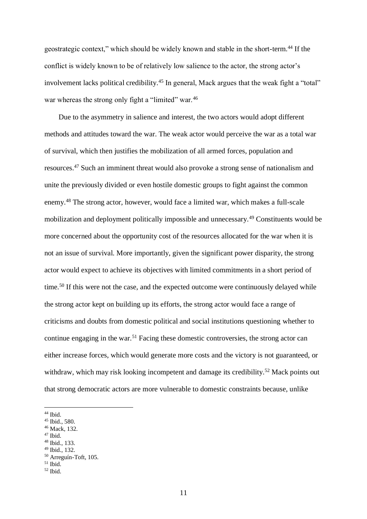geostrategic context," which should be widely known and stable in the short-term.<sup>44</sup> If the conflict is widely known to be of relatively low salience to the actor, the strong actor's involvement lacks political credibility.<sup>45</sup> In general, Mack argues that the weak fight a "total" war whereas the strong only fight a "limited" war.<sup>46</sup>

Due to the asymmetry in salience and interest, the two actors would adopt different methods and attitudes toward the war. The weak actor would perceive the war as a total war of survival, which then justifies the mobilization of all armed forces, population and resources.<sup>47</sup> Such an imminent threat would also provoke a strong sense of nationalism and unite the previously divided or even hostile domestic groups to fight against the common enemy.<sup>48</sup> The strong actor, however, would face a limited war, which makes a full-scale mobilization and deployment politically impossible and unnecessary.<sup>49</sup> Constituents would be more concerned about the opportunity cost of the resources allocated for the war when it is not an issue of survival. More importantly, given the significant power disparity, the strong actor would expect to achieve its objectives with limited commitments in a short period of time.<sup>50</sup> If this were not the case, and the expected outcome were continuously delayed while the strong actor kept on building up its efforts, the strong actor would face a range of criticisms and doubts from domestic political and social institutions questioning whether to continue engaging in the war.<sup>51</sup> Facing these domestic controversies, the strong actor can either increase forces, which would generate more costs and the victory is not guaranteed, or withdraw, which may risk looking incompetent and damage its credibility.<sup>52</sup> Mack points out that strong democratic actors are more vulnerable to domestic constraints because, unlike

1

<sup>47</sup> Ibid.

<sup>49</sup> Ibid., 132.

<sup>44</sup> Ibid.

<sup>45</sup> Ibid., 580.

<sup>46</sup> Mack, 132.

<sup>48</sup> Ibid., 133.

<sup>50</sup> Arreguín-Toft, 105.

 $51$  Ibid.

 $52$  Ibid.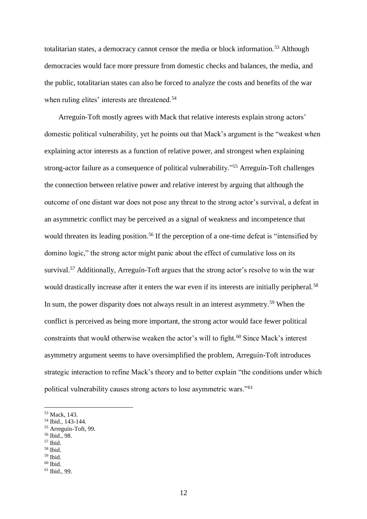totalitarian states, a democracy cannot censor the media or block information.<sup>53</sup> Although democracies would face more pressure from domestic checks and balances, the media, and the public, totalitarian states can also be forced to analyze the costs and benefits of the war when ruling elites' interests are threatened.<sup>54</sup>

Arreguín-Toft mostly agrees with Mack that relative interests explain strong actors' domestic political vulnerability, yet he points out that Mack's argument is the "weakest when explaining actor interests as a function of relative power, and strongest when explaining strong-actor failure as a consequence of political vulnerability."<sup>55</sup> Arreguín-Toft challenges the connection between relative power and relative interest by arguing that although the outcome of one distant war does not pose any threat to the strong actor's survival, a defeat in an asymmetric conflict may be perceived as a signal of weakness and incompetence that would threaten its leading position.<sup>56</sup> If the perception of a one-time defeat is "intensified by domino logic," the strong actor might panic about the effect of cumulative loss on its survival.<sup>57</sup> Additionally, Arreguín-Toft argues that the strong actor's resolve to win the war would drastically increase after it enters the war even if its interests are initially peripheral.<sup>58</sup> In sum, the power disparity does not always result in an interest asymmetry.<sup>59</sup> When the conflict is perceived as being more important, the strong actor would face fewer political constraints that would otherwise weaken the actor's will to fight.<sup>60</sup> Since Mack's interest asymmetry argument seems to have oversimplified the problem, Arreguín-Toft introduces strategic interaction to refine Mack's theory and to better explain "the conditions under which political vulnerability causes strong actors to lose asymmetric wars."<sup>61</sup>

<sup>57</sup> Ibid.

1

<sup>58</sup> Ibid.

<sup>53</sup> Mack, 143.

<sup>54</sup> Ibid., 143-144.

<sup>55</sup> Arreguín-Toft, 99.

<sup>56</sup> Ibid., 98.

<sup>59</sup> Ibid.

<sup>61</sup> Ibid., 99.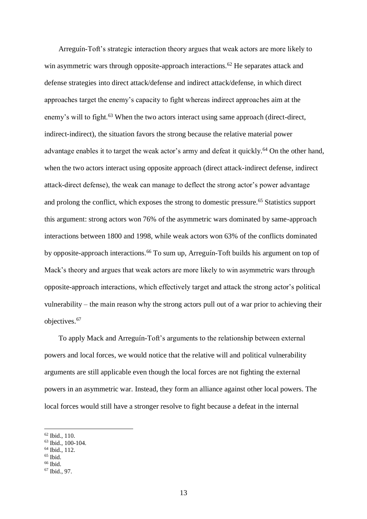Arreguín-Toft's strategic interaction theory argues that weak actors are more likely to win asymmetric wars through opposite-approach interactions.<sup>62</sup> He separates attack and defense strategies into direct attack/defense and indirect attack/defense, in which direct approaches target the enemy's capacity to fight whereas indirect approaches aim at the enemy's will to fight.<sup>63</sup> When the two actors interact using same approach (direct-direct, indirect-indirect), the situation favors the strong because the relative material power advantage enables it to target the weak actor's army and defeat it quickly.<sup>64</sup> On the other hand, when the two actors interact using opposite approach (direct attack-indirect defense, indirect attack-direct defense), the weak can manage to deflect the strong actor's power advantage and prolong the conflict, which exposes the strong to domestic pressure.<sup>65</sup> Statistics support this argument: strong actors won 76% of the asymmetric wars dominated by same-approach interactions between 1800 and 1998, while weak actors won 63% of the conflicts dominated by opposite-approach interactions.<sup>66</sup> To sum up, Arreguín-Toft builds his argument on top of Mack's theory and argues that weak actors are more likely to win asymmetric wars through opposite-approach interactions, which effectively target and attack the strong actor's political vulnerability – the main reason why the strong actors pull out of a war prior to achieving their objectives.<sup>67</sup>

To apply Mack and Arreguín-Toft's arguments to the relationship between external powers and local forces, we would notice that the relative will and political vulnerability arguments are still applicable even though the local forces are not fighting the external powers in an asymmetric war. Instead, they form an alliance against other local powers. The local forces would still have a stronger resolve to fight because a defeat in the internal

<sup>62</sup> Ibid., 110.

<sup>63</sup> Ibid., 100-104.

 $64$  Ibid.,  $112$ .

 $65$  Ibid.

 $66$  Ibid.

<sup>67</sup> Ibid., 97.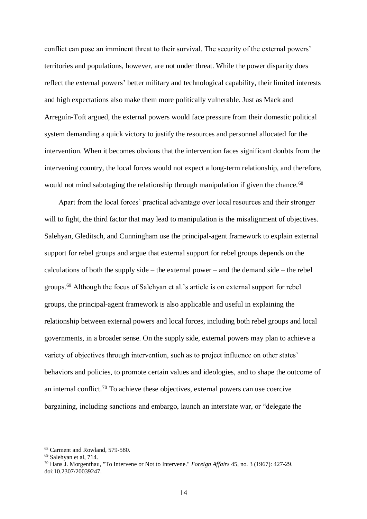conflict can pose an imminent threat to their survival. The security of the external powers' territories and populations, however, are not under threat. While the power disparity does reflect the external powers' better military and technological capability, their limited interests and high expectations also make them more politically vulnerable. Just as Mack and Arreguín-Toft argued, the external powers would face pressure from their domestic political system demanding a quick victory to justify the resources and personnel allocated for the intervention. When it becomes obvious that the intervention faces significant doubts from the intervening country, the local forces would not expect a long-term relationship, and therefore, would not mind sabotaging the relationship through manipulation if given the chance.<sup>68</sup>

Apart from the local forces' practical advantage over local resources and their stronger will to fight, the third factor that may lead to manipulation is the misalignment of objectives. Salehyan, Gleditsch, and Cunningham use the principal-agent framework to explain external support for rebel groups and argue that external support for rebel groups depends on the calculations of both the supply side – the external power – and the demand side – the rebel groups.<sup>69</sup> Although the focus of Salehyan et al.'s article is on external support for rebel groups, the principal-agent framework is also applicable and useful in explaining the relationship between external powers and local forces, including both rebel groups and local governments, in a broader sense. On the supply side, external powers may plan to achieve a variety of objectives through intervention, such as to project influence on other states' behaviors and policies, to promote certain values and ideologies, and to shape the outcome of an internal conflict.<sup>70</sup> To achieve these objectives, external powers can use coercive bargaining, including sanctions and embargo, launch an interstate war, or "delegate the

<sup>68</sup> Carment and Rowland, 579-580.

<sup>69</sup> Salehyan et al, 714.

<sup>70</sup> Hans J. Morgenthau, "To Intervene or Not to Intervene." *Foreign Affairs* 45, no. 3 (1967): 427-29. doi:10.2307/20039247.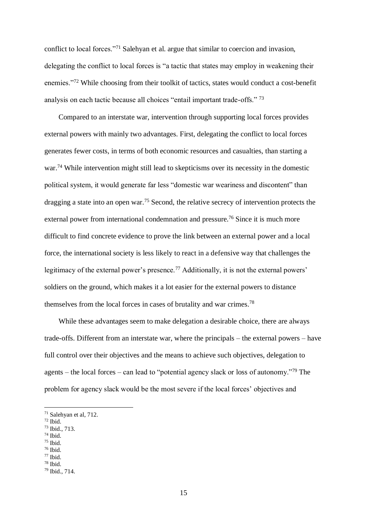conflict to local forces."<sup>71</sup> Salehyan et al. argue that similar to coercion and invasion, delegating the conflict to local forces is "a tactic that states may employ in weakening their enemies."<sup>72</sup> While choosing from their toolkit of tactics, states would conduct a cost-benefit analysis on each tactic because all choices "entail important trade-offs." <sup>73</sup>

Compared to an interstate war, intervention through supporting local forces provides external powers with mainly two advantages. First, delegating the conflict to local forces generates fewer costs, in terms of both economic resources and casualties, than starting a war.<sup>74</sup> While intervention might still lead to skepticisms over its necessity in the domestic political system, it would generate far less "domestic war weariness and discontent" than dragging a state into an open war.<sup>75</sup> Second, the relative secrecy of intervention protects the external power from international condemnation and pressure.<sup>76</sup> Since it is much more difficult to find concrete evidence to prove the link between an external power and a local force, the international society is less likely to react in a defensive way that challenges the legitimacy of the external power's presence.<sup>77</sup> Additionally, it is not the external powers' soldiers on the ground, which makes it a lot easier for the external powers to distance themselves from the local forces in cases of brutality and war crimes.<sup>78</sup>

While these advantages seem to make delegation a desirable choice, there are always trade-offs. Different from an interstate war, where the principals – the external powers – have full control over their objectives and the means to achieve such objectives, delegation to agents – the local forces – can lead to "potential agency slack or loss of autonomy."<sup>79</sup> The problem for agency slack would be the most severe if the local forces' objectives and

1

<sup>73</sup> Ibid., 713.

<sup>75</sup> Ibid.

<sup>71</sup> Salehyan et al, 712.

<sup>72</sup> Ibid.

<sup>74</sup> Ibid.

 $76$  Ibid.

<sup>78</sup> Ibid.

<sup>79</sup> Ibid., 714.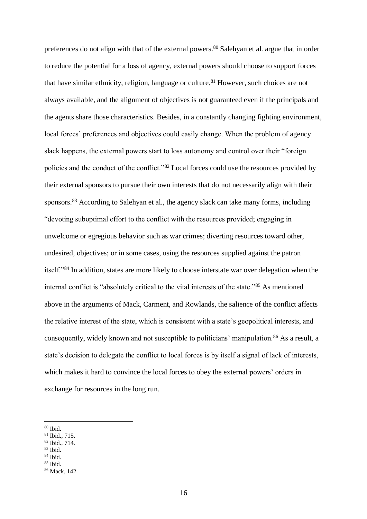preferences do not align with that of the external powers.<sup>80</sup> Salehyan et al. argue that in order to reduce the potential for a loss of agency, external powers should choose to support forces that have similar ethnicity, religion, language or culture.<sup>81</sup> However, such choices are not always available, and the alignment of objectives is not guaranteed even if the principals and the agents share those characteristics. Besides, in a constantly changing fighting environment, local forces' preferences and objectives could easily change. When the problem of agency slack happens, the external powers start to loss autonomy and control over their "foreign policies and the conduct of the conflict."<sup>82</sup> Local forces could use the resources provided by their external sponsors to pursue their own interests that do not necessarily align with their sponsors.<sup>83</sup> According to Salehyan et al., the agency slack can take many forms, including "devoting suboptimal effort to the conflict with the resources provided; engaging in unwelcome or egregious behavior such as war crimes; diverting resources toward other, undesired, objectives; or in some cases, using the resources supplied against the patron itself."<sup>84</sup> In addition, states are more likely to choose interstate war over delegation when the internal conflict is "absolutely critical to the vital interests of the state."<sup>85</sup> As mentioned above in the arguments of Mack, Carment, and Rowlands, the salience of the conflict affects the relative interest of the state, which is consistent with a state's geopolitical interests, and consequently, widely known and not susceptible to politicians' manipulation.<sup>86</sup> As a result, a state's decision to delegate the conflict to local forces is by itself a signal of lack of interests, which makes it hard to convince the local forces to obey the external powers' orders in exchange for resources in the long run.

1

<sup>80</sup> Ibid.

<sup>81</sup> Ibid., 715.

<sup>82</sup> Ibid., 714.

 $83$  Ibid.

 $85$  Ibid.

<sup>86</sup> Mack, 142.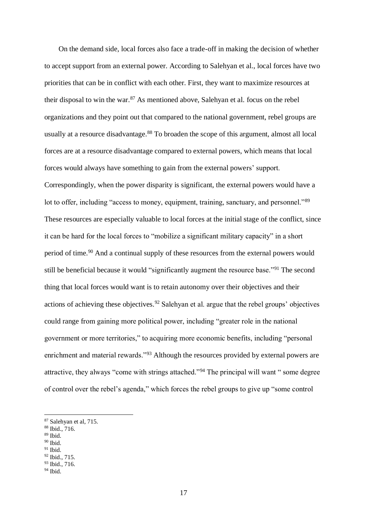On the demand side, local forces also face a trade-off in making the decision of whether to accept support from an external power. According to Salehyan et al., local forces have two priorities that can be in conflict with each other. First, they want to maximize resources at their disposal to win the war.<sup>87</sup> As mentioned above, Salehyan et al. focus on the rebel organizations and they point out that compared to the national government, rebel groups are usually at a resource disadvantage.<sup>88</sup> To broaden the scope of this argument, almost all local forces are at a resource disadvantage compared to external powers, which means that local forces would always have something to gain from the external powers' support. Correspondingly, when the power disparity is significant, the external powers would have a lot to offer, including "access to money, equipment, training, sanctuary, and personnel."<sup>89</sup> These resources are especially valuable to local forces at the initial stage of the conflict, since it can be hard for the local forces to "mobilize a significant military capacity" in a short period of time.<sup>90</sup> And a continual supply of these resources from the external powers would still be beneficial because it would "significantly augment the resource base."<sup>91</sup> The second thing that local forces would want is to retain autonomy over their objectives and their actions of achieving these objectives.<sup>92</sup> Salehyan et al. argue that the rebel groups' objectives could range from gaining more political power, including "greater role in the national government or more territories," to acquiring more economic benefits, including "personal enrichment and material rewards."<sup>93</sup> Although the resources provided by external powers are attractive, they always "come with strings attached."<sup>94</sup> The principal will want " some degree of control over the rebel's agenda," which forces the rebel groups to give up "some control

<sup>89</sup> Ibid.

1

<sup>90</sup> Ibid.

<sup>93</sup> Ibid., 716.

<sup>87</sup> Salehyan et al, 715.

<sup>88</sup> Ibid., 716.

 $91$  Ibid.

<sup>92</sup> Ibid., 715.

 $94$  Ibid.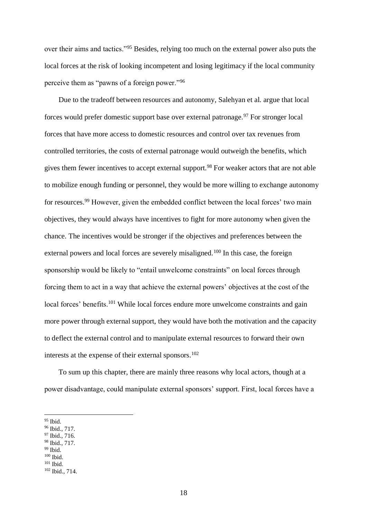over their aims and tactics."<sup>95</sup> Besides, relying too much on the external power also puts the local forces at the risk of looking incompetent and losing legitimacy if the local community perceive them as "pawns of a foreign power."<sup>96</sup>

Due to the tradeoff between resources and autonomy, Salehyan et al. argue that local forces would prefer domestic support base over external patronage.<sup>97</sup> For stronger local forces that have more access to domestic resources and control over tax revenues from controlled territories, the costs of external patronage would outweigh the benefits, which gives them fewer incentives to accept external support.<sup>98</sup> For weaker actors that are not able to mobilize enough funding or personnel, they would be more willing to exchange autonomy for resources.<sup>99</sup> However, given the embedded conflict between the local forces' two main objectives, they would always have incentives to fight for more autonomy when given the chance. The incentives would be stronger if the objectives and preferences between the external powers and local forces are severely misaligned.<sup>100</sup> In this case, the foreign sponsorship would be likely to "entail unwelcome constraints" on local forces through forcing them to act in a way that achieve the external powers' objectives at the cost of the local forces' benefits.<sup>101</sup> While local forces endure more unwelcome constraints and gain more power through external support, they would have both the motivation and the capacity to deflect the external control and to manipulate external resources to forward their own interests at the expense of their external sponsors.<sup>102</sup>

To sum up this chapter, there are mainly three reasons why local actors, though at a power disadvantage, could manipulate external sponsors' support. First, local forces have a

1

<sup>100</sup> Ibid.  $101$  Ibid.

<sup>95</sup> Ibid.

<sup>96</sup> Ibid., 717.

<sup>97</sup> Ibid., 716.

<sup>98</sup> Ibid., 717.

 $99$  Ibid.

<sup>102</sup> Ibid., 714.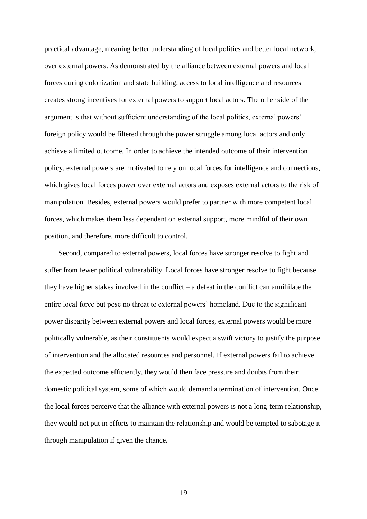practical advantage, meaning better understanding of local politics and better local network, over external powers. As demonstrated by the alliance between external powers and local forces during colonization and state building, access to local intelligence and resources creates strong incentives for external powers to support local actors. The other side of the argument is that without sufficient understanding of the local politics, external powers' foreign policy would be filtered through the power struggle among local actors and only achieve a limited outcome. In order to achieve the intended outcome of their intervention policy, external powers are motivated to rely on local forces for intelligence and connections, which gives local forces power over external actors and exposes external actors to the risk of manipulation. Besides, external powers would prefer to partner with more competent local forces, which makes them less dependent on external support, more mindful of their own position, and therefore, more difficult to control.

Second, compared to external powers, local forces have stronger resolve to fight and suffer from fewer political vulnerability. Local forces have stronger resolve to fight because they have higher stakes involved in the conflict – a defeat in the conflict can annihilate the entire local force but pose no threat to external powers' homeland. Due to the significant power disparity between external powers and local forces, external powers would be more politically vulnerable, as their constituents would expect a swift victory to justify the purpose of intervention and the allocated resources and personnel. If external powers fail to achieve the expected outcome efficiently, they would then face pressure and doubts from their domestic political system, some of which would demand a termination of intervention. Once the local forces perceive that the alliance with external powers is not a long-term relationship, they would not put in efforts to maintain the relationship and would be tempted to sabotage it through manipulation if given the chance.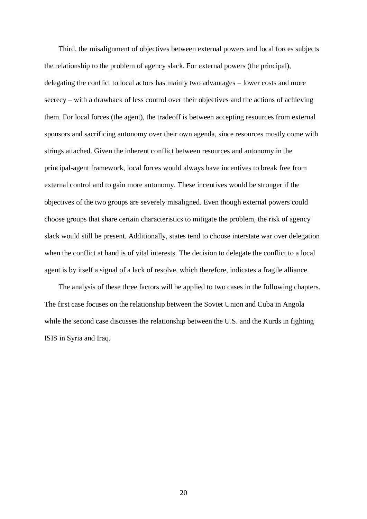Third, the misalignment of objectives between external powers and local forces subjects the relationship to the problem of agency slack. For external powers (the principal), delegating the conflict to local actors has mainly two advantages – lower costs and more secrecy – with a drawback of less control over their objectives and the actions of achieving them. For local forces (the agent), the tradeoff is between accepting resources from external sponsors and sacrificing autonomy over their own agenda, since resources mostly come with strings attached. Given the inherent conflict between resources and autonomy in the principal-agent framework, local forces would always have incentives to break free from external control and to gain more autonomy. These incentives would be stronger if the objectives of the two groups are severely misaligned. Even though external powers could choose groups that share certain characteristics to mitigate the problem, the risk of agency slack would still be present. Additionally, states tend to choose interstate war over delegation when the conflict at hand is of vital interests. The decision to delegate the conflict to a local agent is by itself a signal of a lack of resolve, which therefore, indicates a fragile alliance.

The analysis of these three factors will be applied to two cases in the following chapters. The first case focuses on the relationship between the Soviet Union and Cuba in Angola while the second case discusses the relationship between the U.S. and the Kurds in fighting ISIS in Syria and Iraq.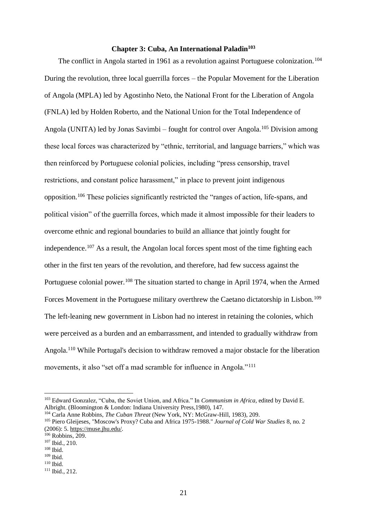#### **Chapter 3: Cuba, An International Paladin<sup>103</sup>**

<span id="page-23-0"></span>The conflict in Angola started in 1961 as a revolution against Portuguese colonization.<sup>104</sup> During the revolution, three local guerrilla forces – the Popular Movement for the Liberation of Angola (MPLA) led by Agostinho Neto, the National Front for the Liberation of Angola (FNLA) led by Holden Roberto, and the National Union for the Total Independence of Angola (UNITA) led by Jonas Savimbi – fought for control over Angola.<sup>105</sup> Division among these local forces was characterized by "ethnic, territorial, and language barriers," which was then reinforced by Portuguese colonial policies, including "press censorship, travel restrictions, and constant police harassment," in place to prevent joint indigenous opposition.<sup>106</sup> These policies significantly restricted the "ranges of action, life-spans, and political vision" of the guerrilla forces, which made it almost impossible for their leaders to overcome ethnic and regional boundaries to build an alliance that jointly fought for independence.<sup>107</sup> As a result, the Angolan local forces spent most of the time fighting each other in the first ten years of the revolution, and therefore, had few success against the Portuguese colonial power.<sup>108</sup> The situation started to change in April 1974, when the Armed Forces Movement in the Portuguese military overthrew the Caetano dictatorship in Lisbon.<sup>109</sup> The left-leaning new government in Lisbon had no interest in retaining the colonies, which were perceived as a burden and an embarrassment, and intended to gradually withdraw from Angola.<sup>110</sup> While Portugal's decision to withdraw removed a major obstacle for the liberation movements, it also "set off a mad scramble for influence in Angola."<sup>111</sup>

<sup>103</sup> Edward Gonzalez, "Cuba, the Soviet Union, and Africa." In *Communism in Africa,* edited by David E. Albright. (Bloomington & London: Indiana University Press,1980), 147.

<sup>104</sup> Carla Anne Robbins, *The Cuban Threat* (New York, NY: McGraw-Hill, 1983), 209.

<sup>105</sup> Piero Gleijeses, "Moscow's Proxy? Cuba and Africa 1975-1988." *Journal of Cold War Studies* 8, no. 2 (2006): 5. [https://muse.jhu.edu/.](https://muse.jhu.edu/)

<sup>106</sup> Robbins, 209.

<sup>107</sup> Ibid., 210.

<sup>108</sup> Ibid.

<sup>109</sup> Ibid.  $110$  Ibid.

<sup>111</sup> Ibid., 212.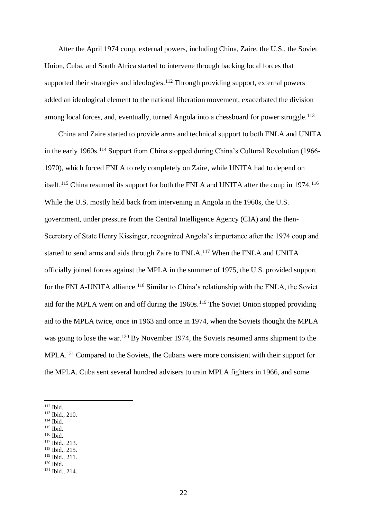After the April 1974 coup, external powers, including China, Zaire, the U.S., the Soviet Union, Cuba, and South Africa started to intervene through backing local forces that supported their strategies and ideologies.<sup>112</sup> Through providing support, external powers added an ideological element to the national liberation movement, exacerbated the division among local forces, and, eventually, turned Angola into a chessboard for power struggle.<sup>113</sup>

China and Zaire started to provide arms and technical support to both FNLA and UNITA in the early 1960s.<sup>114</sup> Support from China stopped during China's Cultural Revolution (1966-1970), which forced FNLA to rely completely on Zaire, while UNITA had to depend on itself.<sup>115</sup> China resumed its support for both the FNLA and UNITA after the coup in 1974.<sup>116</sup> While the U.S. mostly held back from intervening in Angola in the 1960s, the U.S. government, under pressure from the Central Intelligence Agency (CIA) and the then-Secretary of State Henry Kissinger, recognized Angola's importance after the 1974 coup and started to send arms and aids through Zaire to FNLA.<sup>117</sup> When the FNLA and UNITA officially joined forces against the MPLA in the summer of 1975, the U.S. provided support for the FNLA-UNITA alliance.<sup>118</sup> Similar to China's relationship with the FNLA, the Soviet aid for the MPLA went on and off during the 1960s.<sup>119</sup> The Soviet Union stopped providing aid to the MPLA twice, once in 1963 and once in 1974, when the Soviets thought the MPLA was going to lose the war.<sup>120</sup> By November 1974, the Soviets resumed arms shipment to the MPLA.<sup>121</sup> Compared to the Soviets, the Cubans were more consistent with their support for the MPLA. Cuba sent several hundred advisers to train MPLA fighters in 1966, and some

- <sup>114</sup> Ibid.
- <sup>115</sup> Ibid.
- <sup>116</sup> Ibid.
- <sup>117</sup> Ibid., 213.
- <sup>118</sup> Ibid., 215. <sup>119</sup> Ibid., 211.
- $120$  Ibid.
- <sup>121</sup> Ibid., 214.

<sup>112</sup> Ibid.

<sup>113</sup> Ibid., 210.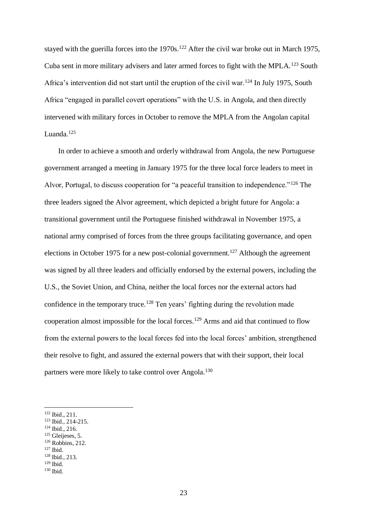stayed with the guerilla forces into the  $1970s$ .<sup>122</sup> After the civil war broke out in March 1975, Cuba sent in more military advisers and later armed forces to fight with the MPLA.<sup>123</sup> South Africa's intervention did not start until the eruption of the civil war.<sup>124</sup> In July 1975, South Africa "engaged in parallel covert operations" with the U.S. in Angola, and then directly intervened with military forces in October to remove the MPLA from the Angolan capital Luanda.<sup>125</sup>

In order to achieve a smooth and orderly withdrawal from Angola, the new Portuguese government arranged a meeting in January 1975 for the three local force leaders to meet in Alvor, Portugal, to discuss cooperation for "a peaceful transition to independence."<sup>126</sup> The three leaders signed the Alvor agreement, which depicted a bright future for Angola: a transitional government until the Portuguese finished withdrawal in November 1975, a national army comprised of forces from the three groups facilitating governance, and open elections in October 1975 for a new post-colonial government.<sup>127</sup> Although the agreement was signed by all three leaders and officially endorsed by the external powers, including the U.S., the Soviet Union, and China, neither the local forces nor the external actors had confidence in the temporary truce.<sup>128</sup> Ten years' fighting during the revolution made cooperation almost impossible for the local forces.<sup>129</sup> Arms and aid that continued to flow from the external powers to the local forces fed into the local forces' ambition, strengthened their resolve to fight, and assured the external powers that with their support, their local partners were more likely to take control over Angola.<sup>130</sup>

- <sup>125</sup> Gleijeses, 5.
- <sup>126</sup> Robbins, 212.
- $127$  Ibid.

1

<sup>122</sup> Ibid., 211.

<sup>123</sup> Ibid., 214-215.

<sup>124</sup> Ibid., 216.

<sup>128</sup> Ibid., 213.

 $130$  Ibid.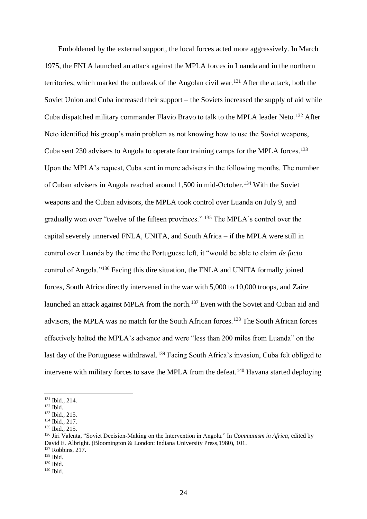Emboldened by the external support, the local forces acted more aggressively. In March 1975, the FNLA launched an attack against the MPLA forces in Luanda and in the northern territories, which marked the outbreak of the Angolan civil war.<sup>131</sup> After the attack, both the Soviet Union and Cuba increased their support – the Soviets increased the supply of aid while Cuba dispatched military commander Flavio Bravo to talk to the MPLA leader Neto.<sup>132</sup> After Neto identified his group's main problem as not knowing how to use the Soviet weapons, Cuba sent 230 advisers to Angola to operate four training camps for the MPLA forces.<sup>133</sup> Upon the MPLA's request, Cuba sent in more advisers in the following months. The number of Cuban advisers in Angola reached around 1,500 in mid-October.<sup>134</sup> With the Soviet weapons and the Cuban advisors, the MPLA took control over Luanda on July 9, and gradually won over "twelve of the fifteen provinces." <sup>135</sup> The MPLA's control over the capital severely unnerved FNLA, UNITA, and South Africa – if the MPLA were still in control over Luanda by the time the Portuguese left, it "would be able to claim *de facto* control of Angola."<sup>136</sup> Facing this dire situation, the FNLA and UNITA formally joined forces, South Africa directly intervened in the war with 5,000 to 10,000 troops, and Zaire launched an attack against MPLA from the north.<sup>137</sup> Even with the Soviet and Cuban aid and advisors, the MPLA was no match for the South African forces.<sup>138</sup> The South African forces effectively halted the MPLA's advance and were "less than 200 miles from Luanda" on the last day of the Portuguese withdrawal.<sup>139</sup> Facing South Africa's invasion, Cuba felt obliged to intervene with military forces to save the MPLA from the defeat.<sup>140</sup> Havana started deploying

1

<sup>137</sup> Robbins, 217.

<sup>131</sup> Ibid., 214.

<sup>132</sup> Ibid.

<sup>133</sup> Ibid., 215.

<sup>134</sup> Ibid., 217.

<sup>135</sup> Ibid., 215.

<sup>136</sup> Jiri Valenta, "Soviet Decision-Making on the Intervention in Angola." In *Communism in Africa,* edited by David E. Albright. (Bloomington & London: Indiana University Press,1980), 101.

<sup>138</sup> Ibid.

 $139$  Ibid.

 $140$  Ibid.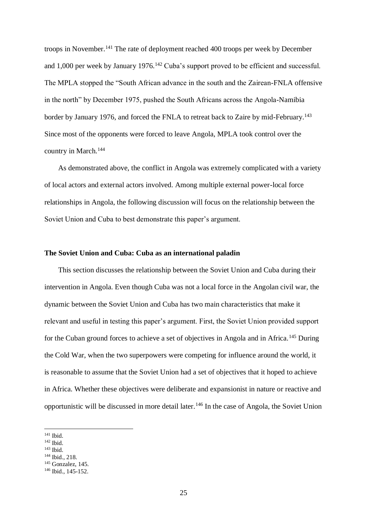troops in November.<sup>141</sup> The rate of deployment reached 400 troops per week by December and 1,000 per week by January 1976.<sup>142</sup> Cuba's support proved to be efficient and successful. The MPLA stopped the "South African advance in the south and the Zairean-FNLA offensive in the north" by December 1975, pushed the South Africans across the Angola-Namibia border by January 1976, and forced the FNLA to retreat back to Zaire by mid-February.<sup>143</sup> Since most of the opponents were forced to leave Angola, MPLA took control over the country in March.<sup>144</sup>

As demonstrated above, the conflict in Angola was extremely complicated with a variety of local actors and external actors involved. Among multiple external power-local force relationships in Angola, the following discussion will focus on the relationship between the Soviet Union and Cuba to best demonstrate this paper's argument.

### **The Soviet Union and Cuba: Cuba as an international paladin**

This section discusses the relationship between the Soviet Union and Cuba during their intervention in Angola. Even though Cuba was not a local force in the Angolan civil war, the dynamic between the Soviet Union and Cuba has two main characteristics that make it relevant and useful in testing this paper's argument. First, the Soviet Union provided support for the Cuban ground forces to achieve a set of objectives in Angola and in Africa.<sup>145</sup> During the Cold War, when the two superpowers were competing for influence around the world, it is reasonable to assume that the Soviet Union had a set of objectives that it hoped to achieve in Africa. Whether these objectives were deliberate and expansionist in nature or reactive and opportunistic will be discussed in more detail later.<sup>146</sup> In the case of Angola, the Soviet Union

1

<sup>144</sup> Ibid., 218.

<sup>141</sup> Ibid.

<sup>142</sup> Ibid.

<sup>143</sup> Ibid.

<sup>145</sup> Gonzalez, 145.

<sup>146</sup> Ibid., 145-152.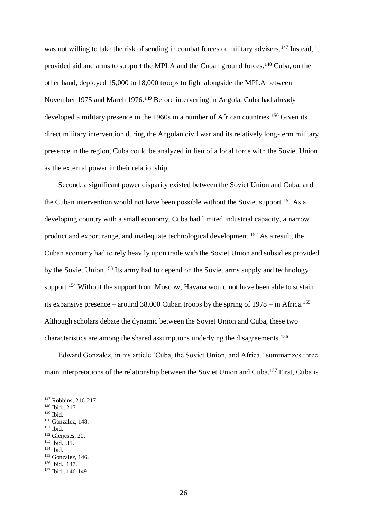was not willing to take the risk of sending in combat forces or military advisers.<sup>147</sup> Instead, it provided aid and arms to support the MPLA and the Cuban ground forces.<sup>148</sup> Cuba, on the other hand, deployed 15,000 to 18,000 troops to fight alongside the MPLA between November 1975 and March 1976.<sup>149</sup> Before intervening in Angola, Cuba had already developed a military presence in the 1960s in a number of African countries.<sup>150</sup> Given its direct military intervention during the Angolan civil war and its relatively long-term military presence in the region, Cuba could be analyzed in lieu of a local force with the Soviet Union as the external power in their relationship.

Second, a significant power disparity existed between the Soviet Union and Cuba, and the Cuban intervention would not have been possible without the Soviet support.<sup>151</sup> As a developing country with a small economy, Cuba had limited industrial capacity, a narrow product and export range, and inadequate technological development.<sup>152</sup> As a result, the Cuban economy had to rely heavily upon trade with the Soviet Union and subsidies provided by the Soviet Union.<sup>153</sup> Its army had to depend on the Soviet arms supply and technology support.<sup>154</sup> Without the support from Moscow, Havana would not have been able to sustain its expansive presence – around  $38,000$  Cuban troops by the spring of  $1978 -$  in Africa.<sup>155</sup> Although scholars debate the dynamic between the Soviet Union and Cuba, these two characteristics are among the shared assumptions underlying the disagreements.<sup>156</sup>

Edward Gonzalez, in his article 'Cuba, the Soviet Union, and Africa,' summarizes three main interpretations of the relationship between the Soviet Union and Cuba.<sup>157</sup> First, Cuba is

1

<sup>147</sup> Robbins, 216-217.

<sup>148</sup> Ibid., 217.

<sup>149</sup> Ibid.

<sup>150</sup> Gonzalez, 148. <sup>151</sup> Ibid.

<sup>152</sup> Gleijeses, 20. <sup>153</sup> Ibid., 31.

<sup>155</sup> Gonzalez, 146.

<sup>156</sup> Ibid., 147.

<sup>157</sup> Ibid., 146-149.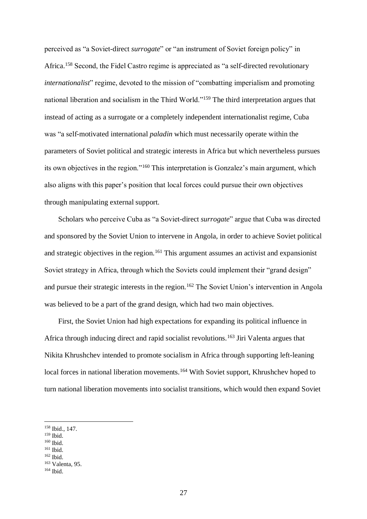perceived as "a Soviet-direct *surrogate*" or "an instrument of Soviet foreign policy" in Africa.<sup>158</sup> Second, the Fidel Castro regime is appreciated as "a self-directed revolutionary *internationalist*" regime, devoted to the mission of "combatting imperialism and promoting national liberation and socialism in the Third World."<sup>159</sup> The third interpretation argues that instead of acting as a surrogate or a completely independent internationalist regime, Cuba was "a self-motivated international *paladin* which must necessarily operate within the parameters of Soviet political and strategic interests in Africa but which nevertheless pursues its own objectives in the region."<sup>160</sup> This interpretation is Gonzalez's main argument, which also aligns with this paper's position that local forces could pursue their own objectives through manipulating external support.

Scholars who perceive Cuba as "a Soviet-direct *surrogate*" argue that Cuba was directed and sponsored by the Soviet Union to intervene in Angola, in order to achieve Soviet political and strategic objectives in the region.<sup>161</sup> This argument assumes an activist and expansionist Soviet strategy in Africa, through which the Soviets could implement their "grand design" and pursue their strategic interests in the region.<sup>162</sup> The Soviet Union's intervention in Angola was believed to be a part of the grand design, which had two main objectives.

First, the Soviet Union had high expectations for expanding its political influence in Africa through inducing direct and rapid socialist revolutions.<sup>163</sup> Jiri Valenta argues that Nikita Khrushchev intended to promote socialism in Africa through supporting left-leaning local forces in national liberation movements.<sup>164</sup> With Soviet support, Khrushchev hoped to turn national liberation movements into socialist transitions, which would then expand Soviet

<sup>159</sup> Ibid.

- $^{160}$  Ibid.
- <sup>161</sup> Ibid.
- <sup>162</sup> Ibid.

<sup>158</sup> Ibid., 147.

<sup>163</sup> Valenta, 95.

 $164$  Ibid.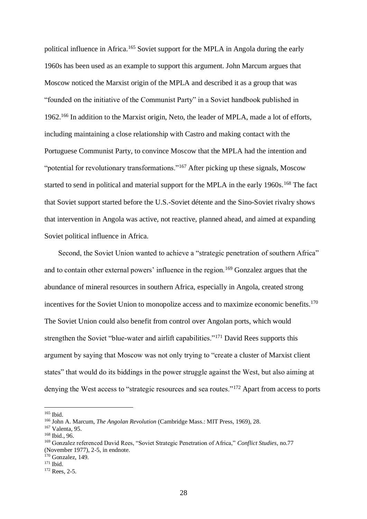political influence in Africa.<sup>165</sup> Soviet support for the MPLA in Angola during the early 1960s has been used as an example to support this argument. John Marcum argues that Moscow noticed the Marxist origin of the MPLA and described it as a group that was "founded on the initiative of the Communist Party" in a Soviet handbook published in 1962.<sup>166</sup> In addition to the Marxist origin, Neto, the leader of MPLA, made a lot of efforts, including maintaining a close relationship with Castro and making contact with the Portuguese Communist Party, to convince Moscow that the MPLA had the intention and "potential for revolutionary transformations."<sup>167</sup> After picking up these signals, Moscow started to send in political and material support for the MPLA in the early 1960s.<sup>168</sup> The fact that Soviet support started before the U.S.-Soviet détente and the Sino-Soviet rivalry shows that intervention in Angola was active, not reactive, planned ahead, and aimed at expanding Soviet political influence in Africa.

Second, the Soviet Union wanted to achieve a "strategic penetration of southern Africa" and to contain other external powers' influence in the region.<sup>169</sup> Gonzalez argues that the abundance of mineral resources in southern Africa, especially in Angola, created strong incentives for the Soviet Union to monopolize access and to maximize economic benefits.<sup>170</sup> The Soviet Union could also benefit from control over Angolan ports, which would strengthen the Soviet "blue-water and airlift capabilities."<sup>171</sup> David Rees supports this argument by saying that Moscow was not only trying to "create a cluster of Marxist client states" that would do its biddings in the power struggle against the West, but also aiming at denying the West access to "strategic resources and sea routes."<sup>172</sup> Apart from access to ports

<sup>165</sup> Ibid.

<sup>166</sup> John A. Marcum, *The Angolan Revolution* (Cambridge Mass.: MIT Press, 1969), 28.

<sup>167</sup> Valenta, 95.

<sup>168</sup> Ibid., 96.

<sup>169</sup> Gonzalez referenced David Rees, "Soviet Strategic Penetration of Africa," *Conflict Studies*, no.77 (November 1977), 2-5, in endnote.

<sup>&</sup>lt;sup>170</sup> Gonzalez, 149.

 $171$  Ibid.

<sup>172</sup> Rees, 2-5.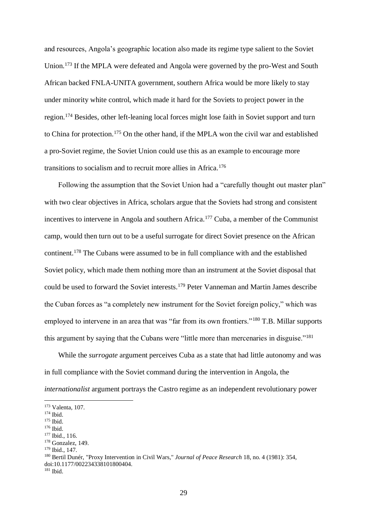and resources, Angola's geographic location also made its regime type salient to the Soviet Union.<sup>173</sup> If the MPLA were defeated and Angola were governed by the pro-West and South African backed FNLA-UNITA government, southern Africa would be more likely to stay under minority white control, which made it hard for the Soviets to project power in the region.<sup>174</sup> Besides, other left-leaning local forces might lose faith in Soviet support and turn to China for protection.<sup>175</sup> On the other hand, if the MPLA won the civil war and established a pro-Soviet regime, the Soviet Union could use this as an example to encourage more transitions to socialism and to recruit more allies in Africa.<sup>176</sup>

Following the assumption that the Soviet Union had a "carefully thought out master plan" with two clear objectives in Africa, scholars argue that the Soviets had strong and consistent incentives to intervene in Angola and southern Africa.<sup>177</sup> Cuba, a member of the Communist camp, would then turn out to be a useful surrogate for direct Soviet presence on the African continent.<sup>178</sup> The Cubans were assumed to be in full compliance with and the established Soviet policy, which made them nothing more than an instrument at the Soviet disposal that could be used to forward the Soviet interests.<sup>179</sup> Peter Vanneman and Martin James describe the Cuban forces as "a completely new instrument for the Soviet foreign policy," which was employed to intervene in an area that was "far from its own frontiers."<sup>180</sup> T.B. Millar supports this argument by saying that the Cubans were "little more than mercenaries in disguise."<sup>181</sup>

While the *surrogate* argument perceives Cuba as a state that had little autonomy and was in full compliance with the Soviet command during the intervention in Angola, the *internationalist* argument portrays the Castro regime as an independent revolutionary power

1

<sup>173</sup> Valenta, 107.

<sup>174</sup> Ibid.

<sup>175</sup> Ibid.

<sup>176</sup> Ibid.

<sup>177</sup> Ibid., 116.

<sup>178</sup> Gonzalez, 149.

<sup>179</sup> Ibid., 147.

<sup>180</sup> Bertil Dunér, "Proxy Intervention in Civil Wars," *Journal of Peace Research* 18, no. 4 (1981): 354, doi:10.1177/002234338101800404.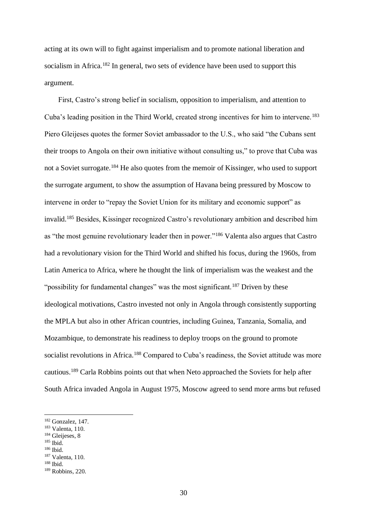acting at its own will to fight against imperialism and to promote national liberation and socialism in Africa.<sup>182</sup> In general, two sets of evidence have been used to support this argument.

First, Castro's strong belief in socialism, opposition to imperialism, and attention to Cuba's leading position in the Third World, created strong incentives for him to intervene.<sup>183</sup> Piero Gleijeses quotes the former Soviet ambassador to the U.S., who said "the Cubans sent their troops to Angola on their own initiative without consulting us," to prove that Cuba was not a Soviet surrogate.<sup>184</sup> He also quotes from the memoir of Kissinger, who used to support the surrogate argument, to show the assumption of Havana being pressured by Moscow to intervene in order to "repay the Soviet Union for its military and economic support" as invalid.<sup>185</sup> Besides, Kissinger recognized Castro's revolutionary ambition and described him as "the most genuine revolutionary leader then in power."<sup>186</sup> Valenta also argues that Castro had a revolutionary vision for the Third World and shifted his focus, during the 1960s, from Latin America to Africa, where he thought the link of imperialism was the weakest and the "possibility for fundamental changes" was the most significant.<sup>187</sup> Driven by these ideological motivations, Castro invested not only in Angola through consistently supporting the MPLA but also in other African countries, including Guinea, Tanzania, Somalia, and Mozambique, to demonstrate his readiness to deploy troops on the ground to promote socialist revolutions in Africa.<sup>188</sup> Compared to Cuba's readiness, the Soviet attitude was more cautious.<sup>189</sup> Carla Robbins points out that when Neto approached the Soviets for help after South Africa invaded Angola in August 1975, Moscow agreed to send more arms but refused

<sup>185</sup> Ibid.

1

<sup>182</sup> Gonzalez, 147.

<sup>183</sup> Valenta, 110.

<sup>&</sup>lt;sup>184</sup> Gleijeses, 8

<sup>187</sup> Valenta, 110.

<sup>188</sup> Ibid.

<sup>189</sup> Robbins, 220.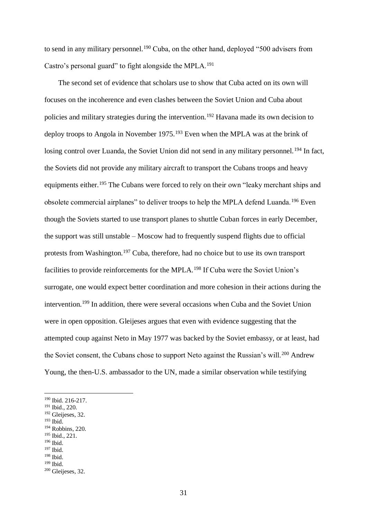to send in any military personnel.<sup>190</sup> Cuba, on the other hand, deployed "500 advisers from Castro's personal guard" to fight alongside the MPLA.<sup>191</sup>

The second set of evidence that scholars use to show that Cuba acted on its own will focuses on the incoherence and even clashes between the Soviet Union and Cuba about policies and military strategies during the intervention.<sup>192</sup> Havana made its own decision to deploy troops to Angola in November 1975.<sup>193</sup> Even when the MPLA was at the brink of losing control over Luanda, the Soviet Union did not send in any military personnel.<sup>194</sup> In fact, the Soviets did not provide any military aircraft to transport the Cubans troops and heavy equipments either.<sup>195</sup> The Cubans were forced to rely on their own "leaky merchant ships and obsolete commercial airplanes" to deliver troops to help the MPLA defend Luanda.<sup>196</sup> Even though the Soviets started to use transport planes to shuttle Cuban forces in early December, the support was still unstable – Moscow had to frequently suspend flights due to official protests from Washington.<sup>197</sup> Cuba, therefore, had no choice but to use its own transport facilities to provide reinforcements for the MPLA.<sup>198</sup> If Cuba were the Soviet Union's surrogate, one would expect better coordination and more cohesion in their actions during the intervention.<sup>199</sup> In addition, there were several occasions when Cuba and the Soviet Union were in open opposition. Gleijeses argues that even with evidence suggesting that the attempted coup against Neto in May 1977 was backed by the Soviet embassy, or at least, had the Soviet consent, the Cubans chose to support Neto against the Russian's will.<sup>200</sup> Andrew Young, the then-U.S. ambassador to the UN, made a similar observation while testifying

1

<sup>194</sup> Robbins, 220.

- <sup>196</sup> Ibid.
- <sup>197</sup> Ibid.
- <sup>198</sup> Ibid.

<sup>190</sup> Ibid. 216-217.

<sup>191</sup> Ibid., 220.

<sup>&</sup>lt;sup>192</sup> Gleijeses, 32.

<sup>193</sup> Ibid.

<sup>195</sup> Ibid., 221.

<sup>199</sup> Ibid.

<sup>200</sup> Gleijeses, 32.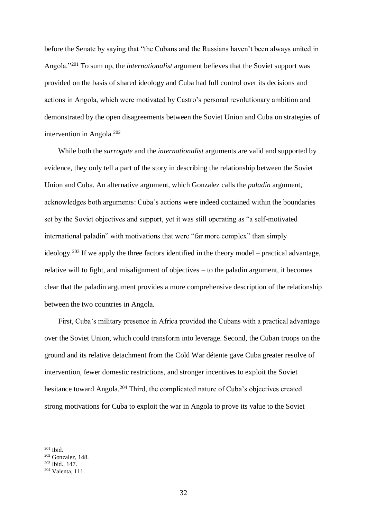before the Senate by saying that "the Cubans and the Russians haven't been always united in Angola."<sup>201</sup> To sum up, the *internationalist* argument believes that the Soviet support was provided on the basis of shared ideology and Cuba had full control over its decisions and actions in Angola, which were motivated by Castro's personal revolutionary ambition and demonstrated by the open disagreements between the Soviet Union and Cuba on strategies of intervention in Angola.<sup>202</sup>

While both the *surrogate* and the *internationalist* arguments are valid and supported by evidence, they only tell a part of the story in describing the relationship between the Soviet Union and Cuba. An alternative argument, which Gonzalez calls the *paladin* argument, acknowledges both arguments: Cuba's actions were indeed contained within the boundaries set by the Soviet objectives and support, yet it was still operating as "a self-motivated international paladin" with motivations that were "far more complex" than simply ideology.<sup>203</sup> If we apply the three factors identified in the theory model – practical advantage, relative will to fight, and misalignment of objectives – to the paladin argument, it becomes clear that the paladin argument provides a more comprehensive description of the relationship between the two countries in Angola.

First, Cuba's military presence in Africa provided the Cubans with a practical advantage over the Soviet Union, which could transform into leverage. Second, the Cuban troops on the ground and its relative detachment from the Cold War détente gave Cuba greater resolve of intervention, fewer domestic restrictions, and stronger incentives to exploit the Soviet hesitance toward Angola.<sup>204</sup> Third, the complicated nature of Cuba's objectives created strong motivations for Cuba to exploit the war in Angola to prove its value to the Soviet

<sup>201</sup> Ibid.

<sup>202</sup> Gonzalez, 148.

<sup>203</sup> Ibid., 147.

<sup>204</sup> Valenta, 111.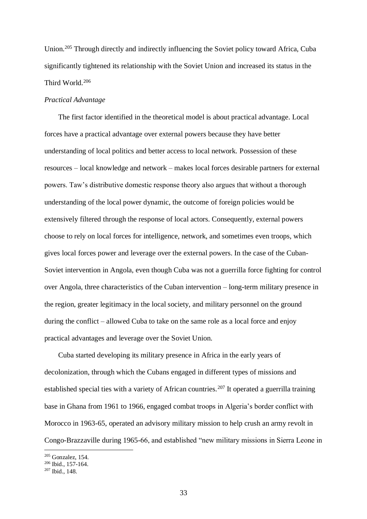Union.<sup>205</sup> Through directly and indirectly influencing the Soviet policy toward Africa, Cuba significantly tightened its relationship with the Soviet Union and increased its status in the Third World.<sup>206</sup>

#### *Practical Advantage*

The first factor identified in the theoretical model is about practical advantage. Local forces have a practical advantage over external powers because they have better understanding of local politics and better access to local network. Possession of these resources – local knowledge and network – makes local forces desirable partners for external powers. Taw's distributive domestic response theory also argues that without a thorough understanding of the local power dynamic, the outcome of foreign policies would be extensively filtered through the response of local actors. Consequently, external powers choose to rely on local forces for intelligence, network, and sometimes even troops, which gives local forces power and leverage over the external powers. In the case of the Cuban-Soviet intervention in Angola, even though Cuba was not a guerrilla force fighting for control over Angola, three characteristics of the Cuban intervention – long-term military presence in the region, greater legitimacy in the local society, and military personnel on the ground during the conflict – allowed Cuba to take on the same role as a local force and enjoy practical advantages and leverage over the Soviet Union.

Cuba started developing its military presence in Africa in the early years of decolonization, through which the Cubans engaged in different types of missions and established special ties with a variety of African countries.<sup>207</sup> It operated a guerrilla training base in Ghana from 1961 to 1966, engaged combat troops in Algeria's border conflict with Morocco in 1963-65, operated an advisory military mission to help crush an army revolt in Congo-Brazzaville during 1965-66, and established "new military missions in Sierra Leone in

<sup>205</sup> Gonzalez, 154.

<sup>206</sup> Ibid., 157-164.

 $207$  Ibid., 148.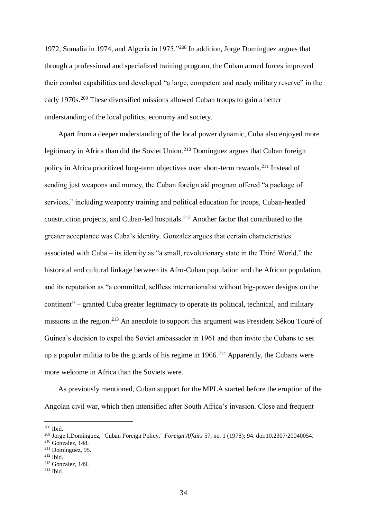1972, Somalia in 1974, and Algeria in 1975."<sup>208</sup> In addition, Jorge Domínguez argues that through a professional and specialized training program, the Cuban armed forces improved their combat capabilities and developed "a large, competent and ready military reserve" in the early 1970s.<sup>209</sup> These diversified missions allowed Cuban troops to gain a better understanding of the local politics, economy and society.

Apart from a deeper understanding of the local power dynamic, Cuba also enjoyed more legitimacy in Africa than did the Soviet Union.<sup>210</sup> Domínguez argues that Cuban foreign policy in Africa prioritized long-term objectives over short-term rewards.<sup>211</sup> Instead of sending just weapons and money, the Cuban foreign aid program offered "a package of services," including weaponry training and political education for troops, Cuban-headed construction projects, and Cuban-led hospitals.<sup>212</sup> Another factor that contributed to the greater acceptance was Cuba's identity. Gonzalez argues that certain characteristics associated with Cuba – its identity as "a small, revolutionary state in the Third World," the historical and cultural linkage between its Afro-Cuban population and the African population, and its reputation as "a committed, selfless internationalist without big-power designs on the continent" – granted Cuba greater legitimacy to operate its political, technical, and military missions in the region.<sup>213</sup> An anecdote to support this argument was President Sékou Touré of Guinea's decision to expel the Soviet ambassador in 1961 and then invite the Cubans to set up a popular militia to be the guards of his regime in  $1966$ <sup>214</sup> Apparently, the Cubans were more welcome in Africa than the Soviets were.

As previously mentioned, Cuban support for the MPLA started before the eruption of the Angolan civil war, which then intensified after South Africa's invasion. Close and frequent

<sup>208</sup> Ibid.

<sup>209</sup> Jorge I.Domínguez, "Cuban Foreign Policy." *Foreign Affairs* 57, no. 1 (1978): 94. doi:10.2307/20040054.

<sup>210</sup> Gonzalez, 148.

<sup>211</sup> Domínguez, 95.

<sup>212</sup> Ibid.

<sup>213</sup> Gonzalez, 149.

 $214$  Ibid.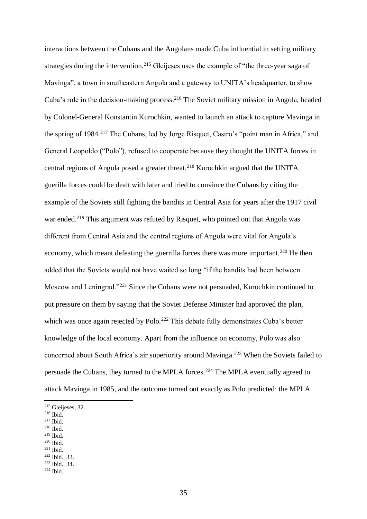interactions between the Cubans and the Angolans made Cuba influential in setting military strategies during the intervention.<sup>215</sup> Gleijeses uses the example of "the three-year saga of Mavinga", a town in southeastern Angola and a gateway to UNITA's headquarter, to show Cuba's role in the decision-making process.<sup>216</sup> The Soviet military mission in Angola, headed by Colonel-General Konstantin Kurochkin, wanted to launch an attack to capture Mavinga in the spring of 1984.<sup>217</sup> The Cubans, led by Jorge Risquet, Castro's "point man in Africa," and General Leopoldo ("Polo"), refused to cooperate because they thought the UNITA forces in central regions of Angola posed a greater threat.<sup>218</sup> Kurochkin argued that the UNITA guerilla forces could be dealt with later and tried to convince the Cubans by citing the example of the Soviets still fighting the bandits in Central Asia for years after the 1917 civil war ended.<sup>219</sup> This argument was refuted by Risquet, who pointed out that Angola was different from Central Asia and the central regions of Angola were vital for Angola's economy, which meant defeating the guerrilla forces there was more important.<sup>220</sup> He then added that the Soviets would not have waited so long "if the bandits had been between Moscow and Leningrad."<sup>221</sup> Since the Cubans were not persuaded, Kurochkin continued to put pressure on them by saying that the Soviet Defense Minister had approved the plan, which was once again rejected by Polo.<sup>222</sup> This debate fully demonstrates Cuba's better knowledge of the local economy. Apart from the influence on economy, Polo was also concerned about South Africa's air superiority around Mavinga.<sup>223</sup> When the Soviets failed to persuade the Cubans, they turned to the MPLA forces.<sup>224</sup> The MPLA eventually agreed to attack Mavinga in 1985, and the outcome turned out exactly as Polo predicted: the MPLA

- <sup>217</sup> Ibid.
- <sup>218</sup> Ibid.
- <sup>219</sup> Ibid.
- <sup>220</sup> Ibid.
- $221$  Ibid.

<sup>215</sup> Gleijeses, 32.

<sup>216</sup> Ibid.

<sup>222</sup> Ibid., 33. <sup>223</sup> Ibid., 34.

 $224$  Ibid.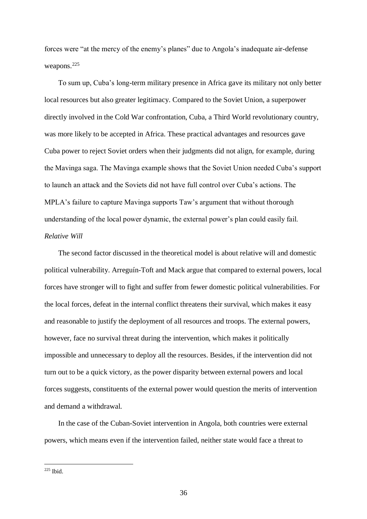forces were "at the mercy of the enemy's planes" due to Angola's inadequate air-defense weapons.<sup>225</sup>

To sum up, Cuba's long-term military presence in Africa gave its military not only better local resources but also greater legitimacy. Compared to the Soviet Union, a superpower directly involved in the Cold War confrontation, Cuba, a Third World revolutionary country, was more likely to be accepted in Africa. These practical advantages and resources gave Cuba power to reject Soviet orders when their judgments did not align, for example, during the Mavinga saga. The Mavinga example shows that the Soviet Union needed Cuba's support to launch an attack and the Soviets did not have full control over Cuba's actions. The MPLA's failure to capture Mavinga supports Taw's argument that without thorough understanding of the local power dynamic, the external power's plan could easily fail. *Relative Will*

The second factor discussed in the theoretical model is about relative will and domestic political vulnerability. Arreguín-Toft and Mack argue that compared to external powers, local forces have stronger will to fight and suffer from fewer domestic political vulnerabilities. For the local forces, defeat in the internal conflict threatens their survival, which makes it easy and reasonable to justify the deployment of all resources and troops. The external powers, however, face no survival threat during the intervention, which makes it politically impossible and unnecessary to deploy all the resources. Besides, if the intervention did not turn out to be a quick victory, as the power disparity between external powers and local forces suggests, constituents of the external power would question the merits of intervention and demand a withdrawal.

In the case of the Cuban-Soviet intervention in Angola, both countries were external powers, which means even if the intervention failed, neither state would face a threat to

 $225$  Ibid.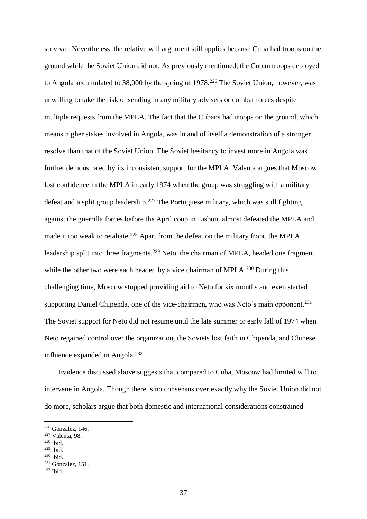survival. Nevertheless, the relative will argument still applies because Cuba had troops on the ground while the Soviet Union did not. As previously mentioned, the Cuban troops deployed to Angola accumulated to 38,000 by the spring of 1978.<sup>226</sup> The Soviet Union, however, was unwilling to take the risk of sending in any military advisers or combat forces despite multiple requests from the MPLA. The fact that the Cubans had troops on the ground, which means higher stakes involved in Angola, was in and of itself a demonstration of a stronger resolve than that of the Soviet Union. The Soviet hesitancy to invest more in Angola was further demonstrated by its inconsistent support for the MPLA. Valenta argues that Moscow lost confidence in the MPLA in early 1974 when the group was struggling with a military defeat and a split group leadership.<sup>227</sup> The Portuguese military, which was still fighting against the guerrilla forces before the April coup in Lisbon, almost defeated the MPLA and made it too weak to retaliate.<sup>228</sup> Apart from the defeat on the military front, the MPLA leadership split into three fragments.<sup>229</sup> Neto, the chairman of MPLA, headed one fragment while the other two were each headed by a vice chairman of MPLA.<sup>230</sup> During this challenging time, Moscow stopped providing aid to Neto for six months and even started supporting Daniel Chipenda, one of the vice-chairmen, who was Neto's main opponent.<sup>231</sup> The Soviet support for Neto did not resume until the late summer or early fall of 1974 when Neto regained control over the organization, the Soviets lost faith in Chipenda, and Chinese influence expanded in Angola.<sup>232</sup>

Evidence discussed above suggests that compared to Cuba, Moscow had limited will to intervene in Angola. Though there is no consensus over exactly why the Soviet Union did not do more, scholars argue that both domestic and international considerations constrained

<sup>228</sup> Ibid.

1

<sup>229</sup> Ibid.

<sup>226</sup> Gonzalez, 146.

<sup>227</sup> Valenta, 98.

<sup>230</sup> Ibid.

<sup>231</sup> Gonzalez, 151.

 $232$  Ibid.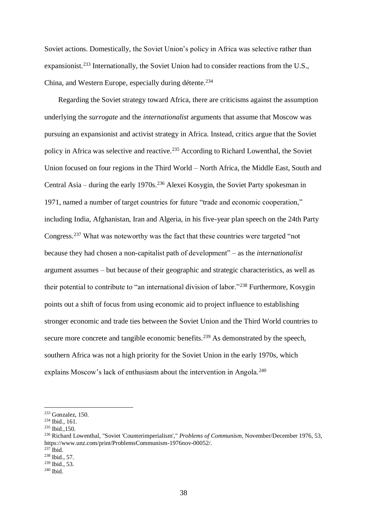Soviet actions. Domestically, the Soviet Union's policy in Africa was selective rather than expansionist.<sup>233</sup> Internationally, the Soviet Union had to consider reactions from the U.S., China, and Western Europe, especially during détente.<sup>234</sup>

Regarding the Soviet strategy toward Africa, there are criticisms against the assumption underlying the *surrogate* and the *internationalist* arguments that assume that Moscow was pursuing an expansionist and activist strategy in Africa. Instead, critics argue that the Soviet policy in Africa was selective and reactive.<sup>235</sup> According to Richard Lowenthal, the Soviet Union focused on four regions in the Third World – North Africa, the Middle East, South and Central Asia – during the early 1970s.<sup>236</sup> Alexei Kosygin, the Soviet Party spokesman in 1971, named a number of target countries for future "trade and economic cooperation," including India, Afghanistan, Iran and Algeria, in his five-year plan speech on the 24th Party Congress.<sup>237</sup> What was noteworthy was the fact that these countries were targeted "not because they had chosen a non-capitalist path of development" – as the *internationalist* argument assumes – but because of their geographic and strategic characteristics, as well as their potential to contribute to "an international division of labor."<sup>238</sup> Furthermore, Kosygin points out a shift of focus from using economic aid to project influence to establishing stronger economic and trade ties between the Soviet Union and the Third World countries to secure more concrete and tangible economic benefits.<sup>239</sup> As demonstrated by the speech, southern Africa was not a high priority for the Soviet Union in the early 1970s, which explains Moscow's lack of enthusiasm about the intervention in Angola.<sup>240</sup>

<sup>233</sup> Gonzalez, 150.

<sup>234</sup> Ibid., 161.

<sup>235</sup> Ibid.,150.

<sup>236</sup> Richard Lowenthal, "Soviet 'Counterimperialism'," *Problems of Communism,* November/December 1976, 53, [https://www.unz.com/print/ProblemsCommunism-1976nov-00052/.](https://www.unz.com/print/ProblemsCommunism-1976nov-00052/)

 $237$  Ibid.

<sup>238</sup> Ibid., 57.

<sup>239</sup> Ibid., 53.

 $240$  Ibid.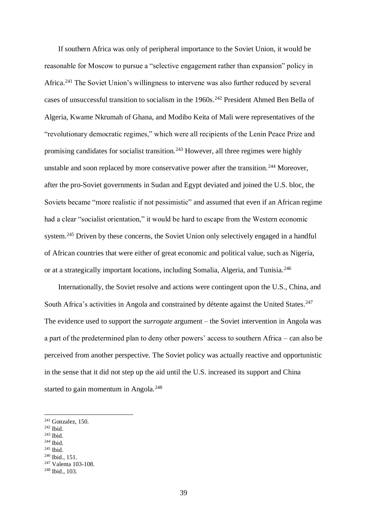If southern Africa was only of peripheral importance to the Soviet Union, it would be reasonable for Moscow to pursue a "selective engagement rather than expansion" policy in Africa.<sup>241</sup> The Soviet Union's willingness to intervene was also further reduced by several cases of unsuccessful transition to socialism in the 1960s.<sup>242</sup> President Ahmed Ben Bella of Algeria, Kwame Nkrumah of Ghana, and Modibo Keita of Mali were representatives of the "revolutionary democratic regimes," which were all recipients of the Lenin Peace Prize and promising candidates for socialist transition.<sup>243</sup> However, all three regimes were highly unstable and soon replaced by more conservative power after the transition.<sup>244</sup> Moreover, after the pro-Soviet governments in Sudan and Egypt deviated and joined the U.S. bloc, the Soviets became "more realistic if not pessimistic" and assumed that even if an African regime had a clear "socialist orientation," it would be hard to escape from the Western economic system.<sup>245</sup> Driven by these concerns, the Soviet Union only selectively engaged in a handful of African countries that were either of great economic and political value, such as Nigeria, or at a strategically important locations, including Somalia, Algeria, and Tunisia.<sup>246</sup>

Internationally, the Soviet resolve and actions were contingent upon the U.S., China, and South Africa's activities in Angola and constrained by détente against the United States.<sup>247</sup> The evidence used to support the *surrogate* argument – the Soviet intervention in Angola was a part of the predetermined plan to deny other powers' access to southern Africa – can also be perceived from another perspective. The Soviet policy was actually reactive and opportunistic in the sense that it did not step up the aid until the U.S. increased its support and China started to gain momentum in Angola.<sup>248</sup>

- <sup>243</sup> Ibid.
- <sup>244</sup> Ibid.
- <sup>245</sup> Ibid.
- <sup>246</sup> Ibid., 151.

 $241$  Gonzalez, 150.

<sup>242</sup> Ibid.

<sup>247</sup> Valenta 103-108.

<sup>248</sup> Ibid., 103.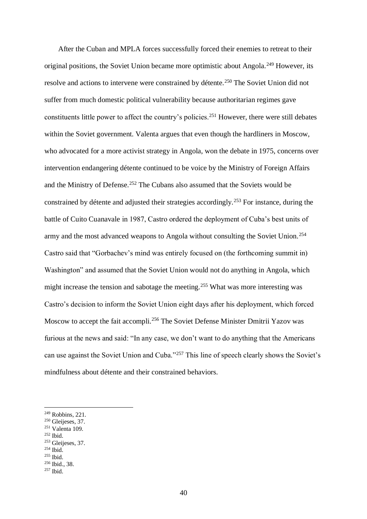After the Cuban and MPLA forces successfully forced their enemies to retreat to their original positions, the Soviet Union became more optimistic about Angola.<sup>249</sup> However, its resolve and actions to intervene were constrained by détente.<sup>250</sup> The Soviet Union did not suffer from much domestic political vulnerability because authoritarian regimes gave constituents little power to affect the country's policies.<sup>251</sup> However, there were still debates within the Soviet government. Valenta argues that even though the hardliners in Moscow, who advocated for a more activist strategy in Angola, won the debate in 1975, concerns over intervention endangering détente continued to be voice by the Ministry of Foreign Affairs and the Ministry of Defense.<sup>252</sup> The Cubans also assumed that the Soviets would be constrained by détente and adjusted their strategies accordingly.<sup>253</sup> For instance, during the battle of Cuito Cuanavale in 1987, Castro ordered the deployment of Cuba's best units of army and the most advanced weapons to Angola without consulting the Soviet Union.<sup>254</sup> Castro said that "Gorbachev's mind was entirely focused on (the forthcoming summit in) Washington" and assumed that the Soviet Union would not do anything in Angola, which might increase the tension and sabotage the meeting.<sup>255</sup> What was more interesting was Castro's decision to inform the Soviet Union eight days after his deployment, which forced Moscow to accept the fait accompli.<sup>256</sup> The Soviet Defense Minister Dmitrii Yazov was furious at the news and said: "In any case, we don't want to do anything that the Americans can use against the Soviet Union and Cuba."<sup>257</sup> This line of speech clearly shows the Soviet's mindfulness about détente and their constrained behaviors.

- <sup>251</sup> Valenta 109.
- <sup>252</sup> Ibid.
- <sup>253</sup> Gleijeses, 37.
- $254$  Ibid.

1

<sup>255</sup> Ibid.

<sup>249</sup> Robbins, 221.

<sup>250</sup> Gleijeses, 37.

<sup>256</sup> Ibid., 38.

 $257$  Ibid.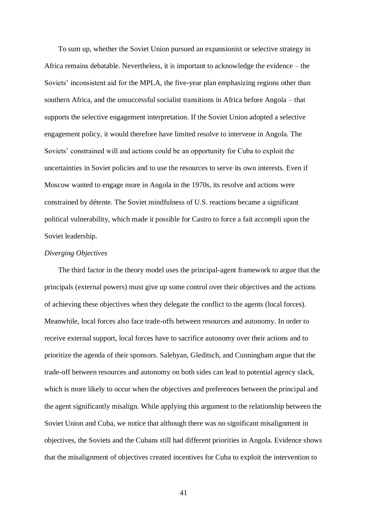To sum up, whether the Soviet Union pursued an expansionist or selective strategy in Africa remains debatable. Nevertheless, it is important to acknowledge the evidence – the Soviets' inconsistent aid for the MPLA, the five-year plan emphasizing regions other than southern Africa, and the unsuccessful socialist transitions in Africa before Angola – that supports the selective engagement interpretation. If the Soviet Union adopted a selective engagement policy, it would therefore have limited resolve to intervene in Angola. The Soviets' constrained will and actions could be an opportunity for Cuba to exploit the uncertainties in Soviet policies and to use the resources to serve its own interests. Even if Moscow wanted to engage more in Angola in the 1970s, its resolve and actions were constrained by détente. The Soviet mindfulness of U.S. reactions became a significant political vulnerability, which made it possible for Castro to force a fait accompli upon the Soviet leadership.

### *Diverging Objectives*

The third factor in the theory model uses the principal-agent framework to argue that the principals (external powers) must give up some control over their objectives and the actions of achieving these objectives when they delegate the conflict to the agents (local forces). Meanwhile, local forces also face trade-offs between resources and autonomy. In order to receive external support, local forces have to sacrifice autonomy over their actions and to prioritize the agenda of their sponsors. Salehyan, Gleditsch, and Cunningham argue that the trade-off between resources and autonomy on both sides can lead to potential agency slack, which is more likely to occur when the objectives and preferences between the principal and the agent significantly misalign. While applying this argument to the relationship between the Soviet Union and Cuba, we notice that although there was no significant misalignment in objectives, the Soviets and the Cubans still had different priorities in Angola. Evidence shows that the misalignment of objectives created incentives for Cuba to exploit the intervention to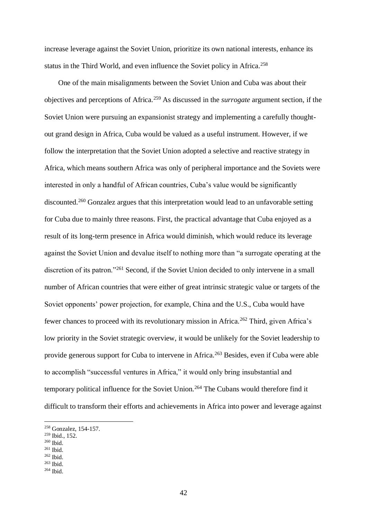increase leverage against the Soviet Union, prioritize its own national interests, enhance its status in the Third World, and even influence the Soviet policy in Africa.<sup>258</sup>

One of the main misalignments between the Soviet Union and Cuba was about their objectives and perceptions of Africa.<sup>259</sup> As discussed in the *surrogate* argument section, if the Soviet Union were pursuing an expansionist strategy and implementing a carefully thoughtout grand design in Africa, Cuba would be valued as a useful instrument. However, if we follow the interpretation that the Soviet Union adopted a selective and reactive strategy in Africa, which means southern Africa was only of peripheral importance and the Soviets were interested in only a handful of African countries, Cuba's value would be significantly discounted.<sup>260</sup> Gonzalez argues that this interpretation would lead to an unfavorable setting for Cuba due to mainly three reasons. First, the practical advantage that Cuba enjoyed as a result of its long-term presence in Africa would diminish, which would reduce its leverage against the Soviet Union and devalue itself to nothing more than "a surrogate operating at the discretion of its patron."<sup>261</sup> Second, if the Soviet Union decided to only intervene in a small number of African countries that were either of great intrinsic strategic value or targets of the Soviet opponents' power projection, for example, China and the U.S., Cuba would have fewer chances to proceed with its revolutionary mission in Africa.<sup>262</sup> Third, given Africa's low priority in the Soviet strategic overview, it would be unlikely for the Soviet leadership to provide generous support for Cuba to intervene in Africa.<sup>263</sup> Besides, even if Cuba were able to accomplish "successful ventures in Africa," it would only bring insubstantial and temporary political influence for the Soviet Union.<sup>264</sup> The Cubans would therefore find it difficult to transform their efforts and achievements in Africa into power and leverage against

 $^{260}$  Ibid.

1

 $263$  Ibid.

<sup>258</sup> Gonzalez, 154-157.

<sup>259</sup> Ibid., 152.

<sup>261</sup> Ibid.

<sup>262</sup> Ibid.

 $264$  Ibid.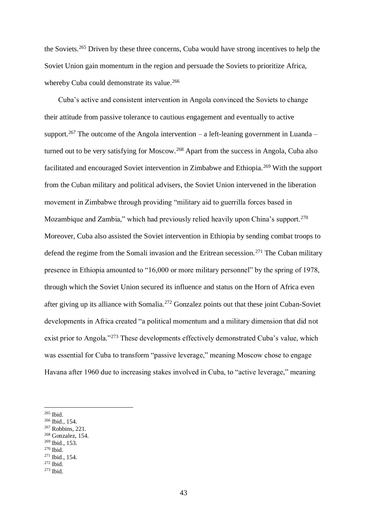the Soviets.<sup>265</sup> Driven by these three concerns, Cuba would have strong incentives to help the Soviet Union gain momentum in the region and persuade the Soviets to prioritize Africa, whereby Cuba could demonstrate its value.<sup>266</sup>

Cuba's active and consistent intervention in Angola convinced the Soviets to change their attitude from passive tolerance to cautious engagement and eventually to active support.<sup>267</sup> The outcome of the Angola intervention – a left-leaning government in Luanda – turned out to be very satisfying for Moscow.<sup>268</sup> Apart from the success in Angola, Cuba also facilitated and encouraged Soviet intervention in Zimbabwe and Ethiopia.<sup>269</sup> With the support from the Cuban military and political advisers, the Soviet Union intervened in the liberation movement in Zimbabwe through providing "military aid to guerrilla forces based in Mozambique and Zambia," which had previously relied heavily upon China's support.<sup>270</sup> Moreover, Cuba also assisted the Soviet intervention in Ethiopia by sending combat troops to defend the regime from the Somali invasion and the Eritrean secession.<sup>271</sup> The Cuban military presence in Ethiopia amounted to "16,000 or more military personnel" by the spring of 1978, through which the Soviet Union secured its influence and status on the Horn of Africa even after giving up its alliance with Somalia.<sup>272</sup> Gonzalez points out that these joint Cuban-Soviet developments in Africa created "a political momentum and a military dimension that did not exist prior to Angola."<sup>273</sup> These developments effectively demonstrated Cuba's value, which was essential for Cuba to transform "passive leverage," meaning Moscow chose to engage Havana after 1960 due to increasing stakes involved in Cuba, to "active leverage," meaning

1

<sup>269</sup> Ibid., 153.

<sup>265</sup> Ibid.

<sup>266</sup> Ibid., 154.

<sup>267</sup> Robbins, 221.

<sup>268</sup> Gonzalez, 154.

 $270$  Ibid.

<sup>271</sup> Ibid., 154.

 $272$  Ibid.

 $273$  Ibid.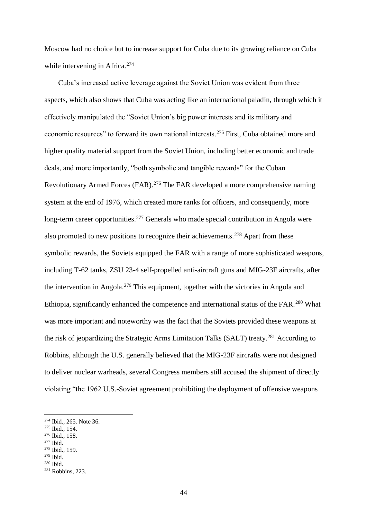Moscow had no choice but to increase support for Cuba due to its growing reliance on Cuba while intervening in Africa.<sup>274</sup>

Cuba's increased active leverage against the Soviet Union was evident from three aspects, which also shows that Cuba was acting like an international paladin, through which it effectively manipulated the "Soviet Union's big power interests and its military and economic resources" to forward its own national interests.<sup>275</sup> First, Cuba obtained more and higher quality material support from the Soviet Union, including better economic and trade deals, and more importantly, "both symbolic and tangible rewards" for the Cuban Revolutionary Armed Forces (FAR).<sup>276</sup> The FAR developed a more comprehensive naming system at the end of 1976, which created more ranks for officers, and consequently, more long-term career opportunities.<sup>277</sup> Generals who made special contribution in Angola were also promoted to new positions to recognize their achievements.<sup>278</sup> Apart from these symbolic rewards, the Soviets equipped the FAR with a range of more sophisticated weapons, including T-62 tanks, ZSU 23-4 self-propelled anti-aircraft guns and MIG-23F aircrafts, after the intervention in Angola.<sup>279</sup> This equipment, together with the victories in Angola and Ethiopia, significantly enhanced the competence and international status of the FAR.<sup>280</sup> What was more important and noteworthy was the fact that the Soviets provided these weapons at the risk of jeopardizing the Strategic Arms Limitation Talks (SALT) treaty.<sup>281</sup> According to Robbins, although the U.S. generally believed that the MIG-23F aircrafts were not designed to deliver nuclear warheads, several Congress members still accused the shipment of directly violating "the 1962 U.S.-Soviet agreement prohibiting the deployment of offensive weapons

<sup>274</sup> Ibid., 265. Note 36.

<sup>275</sup> Ibid., 154.

<sup>276</sup> Ibid., 158.

<sup>277</sup> Ibid.

<sup>278</sup> Ibid., 159.

<sup>279</sup> Ibid.

<sup>280</sup> Ibid.

<sup>281</sup> Robbins, 223.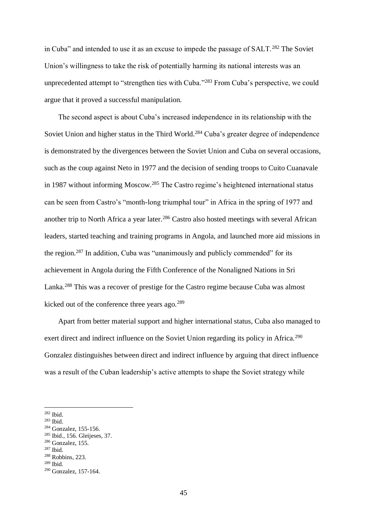in Cuba" and intended to use it as an excuse to impede the passage of SALT.<sup>282</sup> The Soviet Union's willingness to take the risk of potentially harming its national interests was an unprecedented attempt to "strengthen ties with Cuba."<sup>283</sup> From Cuba's perspective, we could argue that it proved a successful manipulation.

The second aspect is about Cuba's increased independence in its relationship with the Soviet Union and higher status in the Third World.<sup>284</sup> Cuba's greater degree of independence is demonstrated by the divergences between the Soviet Union and Cuba on several occasions, such as the coup against Neto in 1977 and the decision of sending troops to Cuito Cuanavale in 1987 without informing Moscow.<sup>285</sup> The Castro regime's heightened international status can be seen from Castro's "month-long triumphal tour" in Africa in the spring of 1977 and another trip to North Africa a year later.<sup>286</sup> Castro also hosted meetings with several African leaders, started teaching and training programs in Angola, and launched more aid missions in the region.<sup>287</sup> In addition, Cuba was "unanimously and publicly commended" for its achievement in Angola during the Fifth Conference of the Nonaligned Nations in Sri Lanka.<sup>288</sup> This was a recover of prestige for the Castro regime because Cuba was almost kicked out of the conference three years ago.<sup>289</sup>

Apart from better material support and higher international status, Cuba also managed to exert direct and indirect influence on the Soviet Union regarding its policy in Africa.<sup>290</sup> Gonzalez distinguishes between direct and indirect influence by arguing that direct influence was a result of the Cuban leadership's active attempts to shape the Soviet strategy while

<sup>282</sup> Ibid.

<sup>283</sup> Ibid.

<sup>284</sup> Gonzalez, 155-156.

<sup>285</sup> Ibid., 156. Gleijeses, 37.

<sup>&</sup>lt;sup>286</sup> Gonzalez, 155.

<sup>287</sup> Ibid.

<sup>288</sup> Robbins, 223.

<sup>289</sup> Ibid.

<sup>290</sup> Gonzalez, 157-164.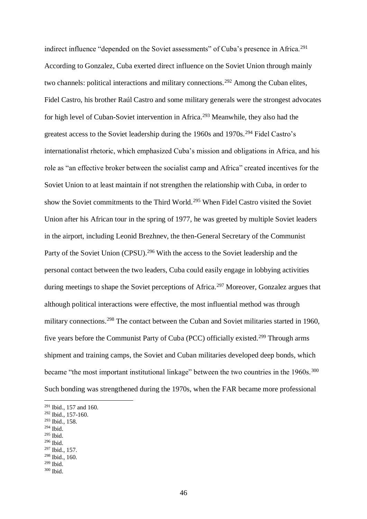indirect influence "depended on the Soviet assessments" of Cuba's presence in Africa.<sup>291</sup> According to Gonzalez, Cuba exerted direct influence on the Soviet Union through mainly two channels: political interactions and military connections.<sup>292</sup> Among the Cuban elites, Fidel Castro, his brother Raúl Castro and some military generals were the strongest advocates for high level of Cuban-Soviet intervention in Africa.<sup>293</sup> Meanwhile, they also had the greatest access to the Soviet leadership during the 1960s and 1970s.<sup>294</sup> Fidel Castro's internationalist rhetoric, which emphasized Cuba's mission and obligations in Africa, and his role as "an effective broker between the socialist camp and Africa" created incentives for the Soviet Union to at least maintain if not strengthen the relationship with Cuba, in order to show the Soviet commitments to the Third World.<sup>295</sup> When Fidel Castro visited the Soviet Union after his African tour in the spring of 1977, he was greeted by multiple Soviet leaders in the airport, including Leonid Brezhnev, the then-General Secretary of the Communist Party of the Soviet Union (CPSU).<sup>296</sup> With the access to the Soviet leadership and the personal contact between the two leaders, Cuba could easily engage in lobbying activities during meetings to shape the Soviet perceptions of Africa.<sup>297</sup> Moreover, Gonzalez argues that although political interactions were effective, the most influential method was through military connections.<sup>298</sup> The contact between the Cuban and Soviet militaries started in 1960, five years before the Communist Party of Cuba (PCC) officially existed.<sup>299</sup> Through arms shipment and training camps, the Soviet and Cuban militaries developed deep bonds, which became "the most important institutional linkage" between the two countries in the 1960s.<sup>300</sup> Such bonding was strengthened during the 1970s, when the FAR became more professional

- <sup>293</sup> Ibid., 158.
- <sup>294</sup> Ibid.

1

- <sup>295</sup> Ibid. <sup>296</sup> Ibid.
- <sup>297</sup> Ibid., 157.

<sup>299</sup> Ibid.

<sup>291</sup> Ibid., 157 and 160.

<sup>292</sup> Ibid., 157-160.

<sup>298</sup> Ibid., 160.

 $300$  Ibid.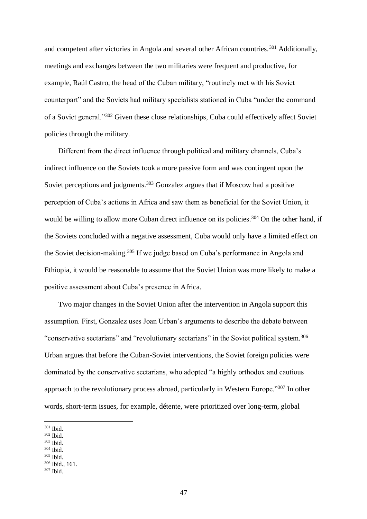and competent after victories in Angola and several other African countries.<sup>301</sup> Additionally, meetings and exchanges between the two militaries were frequent and productive, for example, Raúl Castro, the head of the Cuban military, "routinely met with his Soviet counterpart" and the Soviets had military specialists stationed in Cuba "under the command of a Soviet general."<sup>302</sup> Given these close relationships, Cuba could effectively affect Soviet policies through the military.

Different from the direct influence through political and military channels, Cuba's indirect influence on the Soviets took a more passive form and was contingent upon the Soviet perceptions and judgments.<sup>303</sup> Gonzalez argues that if Moscow had a positive perception of Cuba's actions in Africa and saw them as beneficial for the Soviet Union, it would be willing to allow more Cuban direct influence on its policies.<sup>304</sup> On the other hand, if the Soviets concluded with a negative assessment, Cuba would only have a limited effect on the Soviet decision-making.<sup>305</sup> If we judge based on Cuba's performance in Angola and Ethiopia, it would be reasonable to assume that the Soviet Union was more likely to make a positive assessment about Cuba's presence in Africa.

Two major changes in the Soviet Union after the intervention in Angola support this assumption. First, Gonzalez uses Joan Urban's arguments to describe the debate between "conservative sectarians" and "revolutionary sectarians" in the Soviet political system.<sup>306</sup> Urban argues that before the Cuban-Soviet interventions, the Soviet foreign policies were dominated by the conservative sectarians, who adopted "a highly orthodox and cautious approach to the revolutionary process abroad, particularly in Western Europe."<sup>307</sup> In other words, short-term issues, for example, détente, were prioritized over long-term, global

1

- $^{303}$  Ibid.
- <sup>304</sup> Ibid.

<sup>306</sup> Ibid., 161.

<sup>301</sup> Ibid.

<sup>302</sup> Ibid.

<sup>305</sup> Ibid.

 $307$  Ibid.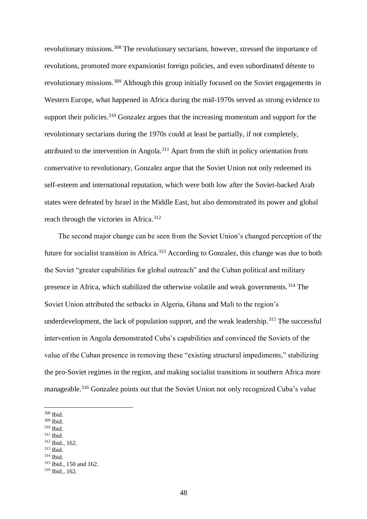revolutionary missions.<sup>308</sup> The revolutionary sectarians, however, stressed the importance of revolutions, promoted more expansionist foreign policies, and even subordinated détente to revolutionary missions.<sup>309</sup> Although this group initially focused on the Soviet engagements in Western Europe, what happened in Africa during the mid-1970s served as strong evidence to support their policies.<sup>310</sup> Gonzalez argues that the increasing momentum and support for the revolutionary sectarians during the 1970s could at least be partially, if not completely, attributed to the intervention in Angola.<sup>311</sup> Apart from the shift in policy orientation from conservative to revolutionary, Gonzalez argue that the Soviet Union not only redeemed its self-esteem and international reputation, which were both low after the Soviet-backed Arab states were defeated by Israel in the Middle East, but also demonstrated its power and global reach through the victories in Africa.<sup>312</sup>

The second major change can be seen from the Soviet Union's changed perception of the future for socialist transition in Africa.<sup>313</sup> According to Gonzalez, this change was due to both the Soviet "greater capabilities for global outreach" and the Cuban political and military presence in Africa, which stabilized the otherwise volatile and weak governments.<sup>314</sup> The Soviet Union attributed the setbacks in Algeria, Ghana and Mali to the region's underdevelopment, the lack of population support, and the weak leadership.<sup>315</sup> The successful intervention in Angola demonstrated Cuba's capabilities and convinced the Soviets of the value of the Cuban presence in removing these "existing structural impediments," stabilizing the pro-Soviet regimes in the region, and making socialist transitions in southern Africa more manageable.<sup>316</sup> Gonzalez points out that the Soviet Union not only recognized Cuba's value

- <sup>310</sup> Ibid.
- <sup>311</sup> Ibid.
- <sup>312</sup> Ibid., 162.
- <sup>313</sup> Ibid.
- <sup>314</sup> Ibid.

<sup>308</sup> Ibid.

<sup>309</sup> Ibid.

<sup>315</sup> Ibid., 150 and 162.

 $316$  Ibid., 162.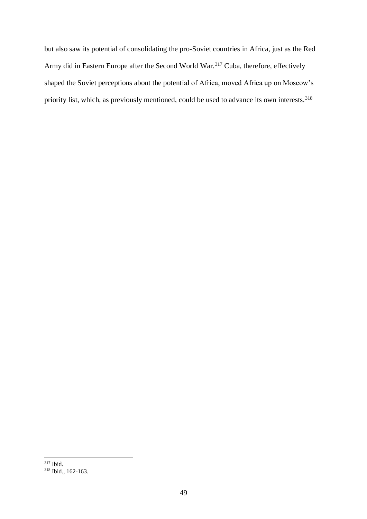but also saw its potential of consolidating the pro-Soviet countries in Africa, just as the Red Army did in Eastern Europe after the Second World War.<sup>317</sup> Cuba, therefore, effectively shaped the Soviet perceptions about the potential of Africa, moved Africa up on Moscow's priority list, which, as previously mentioned, could be used to advance its own interests.<sup>318</sup>

<sup>1</sup> <sup>317</sup> Ibid.

<sup>318</sup> Ibid., 162-163.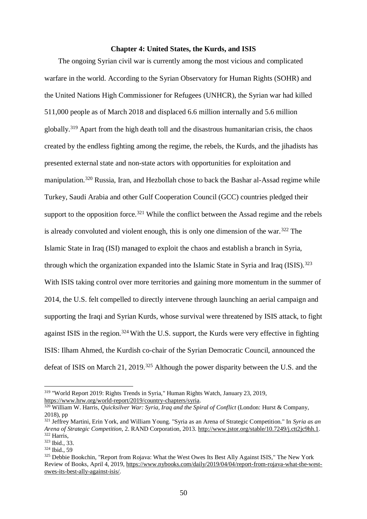#### **Chapter 4: United States, the Kurds, and ISIS**

The ongoing Syrian civil war is currently among the most vicious and complicated warfare in the world. According to the Syrian Observatory for Human Rights (SOHR) and the United Nations High Commissioner for Refugees (UNHCR), the Syrian war had killed 511,000 people as of March 2018 and displaced 6.6 million internally and 5.6 million globally.<sup>319</sup> Apart from the high death toll and the disastrous humanitarian crisis, the chaos created by the endless fighting among the regime, the rebels, the Kurds, and the jihadists has presented external state and non-state actors with opportunities for exploitation and manipulation.<sup>320</sup> Russia, Iran, and Hezbollah chose to back the Bashar al-Assad regime while Turkey, Saudi Arabia and other Gulf Cooperation Council (GCC) countries pledged their support to the opposition force.<sup>321</sup> While the conflict between the Assad regime and the rebels is already convoluted and violent enough, this is only one dimension of the war.<sup>322</sup> The Islamic State in Iraq (ISI) managed to exploit the chaos and establish a branch in Syria, through which the organization expanded into the Islamic State in Syria and Iraq (ISIS).<sup>323</sup> With ISIS taking control over more territories and gaining more momentum in the summer of 2014, the U.S. felt compelled to directly intervene through launching an aerial campaign and supporting the Iraqi and Syrian Kurds, whose survival were threatened by ISIS attack, to fight against ISIS in the region.<sup>324</sup> With the U.S. support, the Kurds were very effective in fighting ISIS: Ilham Ahmed, the Kurdish co-chair of the Syrian Democratic Council, announced the defeat of ISIS on March 21, 2019.<sup>325</sup> Although the power disparity between the U.S. and the

<sup>319</sup> "World Report 2019: Rights Trends in Syria," Human Rights Watch, January 23, 2019, [https://www.hrw.org/world-report/2019/country-chapters/syria.](https://www.hrw.org/world-report/2019/country-chapters/syria)

<sup>320</sup> William W. Harris, *Quicksilver War: Syria, Iraq and the Spiral of Conflict* (London: Hurst & Company, 2018), pp

<sup>321</sup> Jeffrey Martini, Erin York, and William Young. "Syria as an Arena of Strategic Competition." In *Syria as an Arena of Strategic Competition*, 2. RAND Corporation, 2013. [http://www.jstor.org/stable/10.7249/j.ctt2jc9hh.1.](http://www.jstor.org/stable/10.7249/j.ctt2jc9hh.1) <sup>322</sup> Harris,

<sup>323</sup> Ibid., 33.

<sup>324</sup> Ibid., 59

<sup>&</sup>lt;sup>325</sup> Debbie Bookchin, "Report from Rojava: What the West Owes Its Best Ally Against ISIS," The New York Review of Books, April 4, 2019, [https://www.nybooks.com/daily/2019/04/04/report-from-rojava-what-the-west](https://www.nybooks.com/daily/2019/04/04/report-from-rojava-what-the-west-owes-its-best-ally-against-isis/)[owes-its-best-ally-against-isis/.](https://www.nybooks.com/daily/2019/04/04/report-from-rojava-what-the-west-owes-its-best-ally-against-isis/)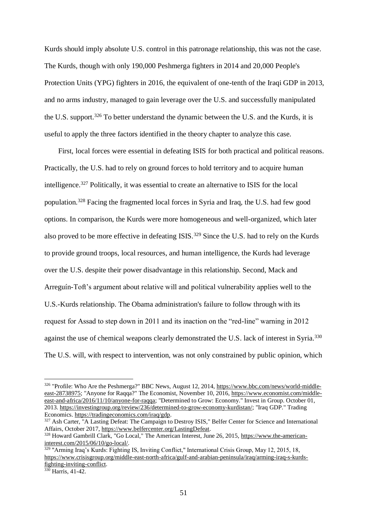Kurds should imply absolute U.S. control in this patronage relationship, this was not the case. The Kurds, though with only 190,000 Peshmerga fighters in 2014 and 20,000 People's Protection Units (YPG) fighters in 2016, the equivalent of one-tenth of the Iraqi GDP in 2013, and no arms industry, managed to gain leverage over the U.S. and successfully manipulated the U.S. support.<sup>326</sup> To better understand the dynamic between the U.S. and the Kurds, it is useful to apply the three factors identified in the theory chapter to analyze this case.

First, local forces were essential in defeating ISIS for both practical and political reasons. Practically, the U.S. had to rely on ground forces to hold territory and to acquire human intelligence.<sup>327</sup> Politically, it was essential to create an alternative to ISIS for the local population.<sup>328</sup> Facing the fragmented local forces in Syria and Iraq, the U.S. had few good options. In comparison, the Kurds were more homogeneous and well-organized, which later also proved to be more effective in defeating ISIS.<sup>329</sup> Since the U.S. had to rely on the Kurds to provide ground troops, local resources, and human intelligence, the Kurds had leverage over the U.S. despite their power disadvantage in this relationship. Second, Mack and Arreguín-Toft's argument about relative will and political vulnerability applies well to the U.S.-Kurds relationship. The Obama administration's failure to follow through with its request for Assad to step down in 2011 and its inaction on the "red-line" warning in 2012 against the use of chemical weapons clearly demonstrated the U.S. lack of interest in Syria.<sup>330</sup> The U.S. will, with respect to intervention, was not only constrained by public opinion, which

<sup>326</sup> "Profile: Who Are the Peshmerga?" BBC News, August 12, 2014, [https://www.bbc.com/news/world-middle](https://www.bbc.com/news/world-middle-east-28738975)[east-28738975;](https://www.bbc.com/news/world-middle-east-28738975) "Anyone for Raqqa?" The Economist, November 10, 2016, [https://www.economist.com/middle](https://www.economist.com/middle-east-and-africa/2016/11/10/anyone-for-raqqa)[east-and-africa/2016/11/10/anyone-for-raqqa;](https://www.economist.com/middle-east-and-africa/2016/11/10/anyone-for-raqqa) "Determined to Grow: Economy." Invest in Group. October 01, 2013. [https://investingroup.org/review/236/determined-to-grow-economy-kurdistan/;](https://investingroup.org/review/236/determined-to-grow-economy-kurdistan/) "Iraq GDP." Trading Economics. [https://tradingeconomics.com/iraq/gdp.](https://tradingeconomics.com/iraq/gdp)

<sup>&</sup>lt;sup>327</sup> Ash Carter, <sup>"A</sup> Lasting Defeat: The Campaign to Destroy ISIS," Belfer Center for Science and International Affairs, October 2017, [https://www.belfercenter.org/LastingDefeat.](https://www.belfercenter.org/LastingDefeat)

<sup>328</sup> Howard Gambrill Clark, "Go Local," The American Interest, June 26, 2015, [https://www.the-american](https://www.the-american-interest.com/2015/06/10/go-local/)[interest.com/2015/06/10/go-local/.](https://www.the-american-interest.com/2015/06/10/go-local/)

 $\frac{329}{329}$  "Arming Iraq's Kurds: Fighting IS, Inviting Conflict," International Crisis Group, May 12, 2015, 18, [https://www.crisisgroup.org/middle-east-north-africa/gulf-and-arabian-peninsula/iraq/arming-iraq-s-kurds](https://www.crisisgroup.org/middle-east-north-africa/gulf-and-arabian-peninsula/iraq/arming-iraq-s-kurds-fighting-inviting-conflict)[fighting-inviting-conflict.](https://www.crisisgroup.org/middle-east-north-africa/gulf-and-arabian-peninsula/iraq/arming-iraq-s-kurds-fighting-inviting-conflict)

<sup>&</sup>lt;sup>330</sup> Harris, 41-42.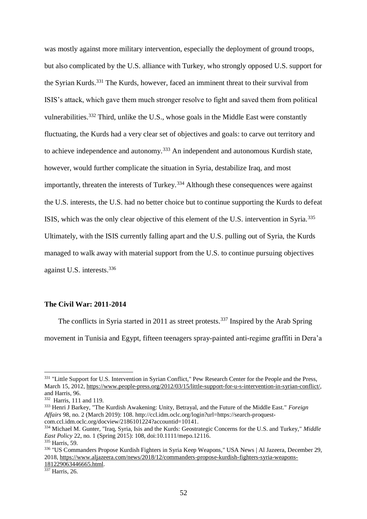was mostly against more military intervention, especially the deployment of ground troops, but also complicated by the U.S. alliance with Turkey, who strongly opposed U.S. support for the Syrian Kurds.<sup>331</sup> The Kurds, however, faced an imminent threat to their survival from ISIS's attack, which gave them much stronger resolve to fight and saved them from political vulnerabilities.<sup>332</sup> Third, unlike the U.S., whose goals in the Middle East were constantly fluctuating, the Kurds had a very clear set of objectives and goals: to carve out territory and to achieve independence and autonomy.<sup>333</sup> An independent and autonomous Kurdish state, however, would further complicate the situation in Syria, destabilize Iraq, and most importantly, threaten the interests of Turkey.<sup>334</sup> Although these consequences were against the U.S. interests, the U.S. had no better choice but to continue supporting the Kurds to defeat ISIS, which was the only clear objective of this element of the U.S. intervention in Syria.<sup>335</sup> Ultimately, with the ISIS currently falling apart and the U.S. pulling out of Syria, the Kurds managed to walk away with material support from the U.S. to continue pursuing objectives against U.S. interests.<sup>336</sup>

# **The Civil War: 2011-2014**

The conflicts in Syria started in 2011 as street protests.<sup>337</sup> Inspired by the Arab Spring movement in Tunisia and Egypt, fifteen teenagers spray-painted anti-regime graffiti in Dera'a

1

<sup>337</sup> Harris, 26.

<sup>&</sup>lt;sup>331</sup> "Little Support for U.S. Intervention in Syrian Conflict," Pew Research Center for the People and the Press, March 15, 2012[, https://www.people-press.org/2012/03/15/little-support-for-u-s-intervention-in-syrian-conflict/,](https://www.people-press.org/2012/03/15/little-support-for-u-s-intervention-in-syrian-conflict/)  and Harris, 96.

<sup>332</sup> Harris, 111 and 119.

<sup>333</sup> Henri J Barkey, "The Kurdish Awakening: Unity, Betrayal, and the Future of the Middle East." *Foreign Affairs* 98, no. 2 (March 2019): 108. [http://ccl.idm.oclc.org/login?url=https://search-proquest](http://ccl.idm.oclc.org/login?url=https://search-proquest-com.ccl.idm.oclc.org/docview/2186101224?accountid=10141)[com.ccl.idm.oclc.org/docview/2186101224?accountid=10141.](http://ccl.idm.oclc.org/login?url=https://search-proquest-com.ccl.idm.oclc.org/docview/2186101224?accountid=10141)

<sup>334</sup> Michael M. Gunter, "Iraq, Syria, Isis and the Kurds: Geostrategic Concerns for the U.S. and Turkey," *Middle East Policy* 22, no. 1 (Spring 2015): 108, doi:10.1111/mepo.12116.

<sup>335</sup> Harris, 59.

<sup>336</sup> "US Commanders Propose Kurdish Fighters in Syria Keep Weapons," USA News | Al Jazeera, December 29, 2018, [https://www.aljazeera.com/news/2018/12/commanders-propose-kurdish-fighters-syria-weapons-](https://www.aljazeera.com/news/2018/12/commanders-propose-kurdish-fighters-syria-weapons-181229063446665.html)[181229063446665.html.](https://www.aljazeera.com/news/2018/12/commanders-propose-kurdish-fighters-syria-weapons-181229063446665.html)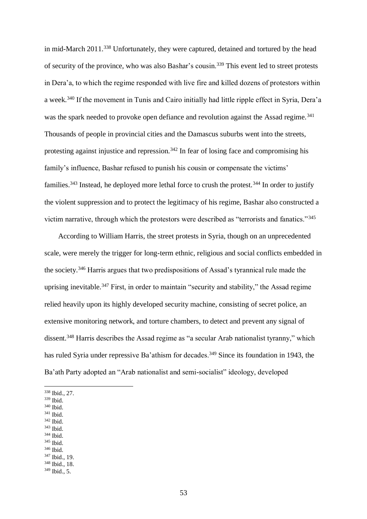in mid-March 2011.<sup>338</sup> Unfortunately, they were captured, detained and tortured by the head of security of the province, who was also Bashar's cousin.<sup>339</sup> This event led to street protests in Dera'a, to which the regime responded with live fire and killed dozens of protestors within a week.<sup>340</sup> If the movement in Tunis and Cairo initially had little ripple effect in Syria, Dera'a was the spark needed to provoke open defiance and revolution against the Assad regime.<sup>341</sup> Thousands of people in provincial cities and the Damascus suburbs went into the streets, protesting against injustice and repression.<sup>342</sup> In fear of losing face and compromising his family's influence, Bashar refused to punish his cousin or compensate the victims' families.<sup>343</sup> Instead, he deployed more lethal force to crush the protest.<sup>344</sup> In order to justify the violent suppression and to protect the legitimacy of his regime, Bashar also constructed a victim narrative, through which the protestors were described as "terrorists and fanatics."<sup>345</sup>

According to William Harris, the street protests in Syria, though on an unprecedented scale, were merely the trigger for long-term ethnic, religious and social conflicts embedded in the society.<sup>346</sup> Harris argues that two predispositions of Assad's tyrannical rule made the uprising inevitable.<sup>347</sup> First, in order to maintain "security and stability," the Assad regime relied heavily upon its highly developed security machine, consisting of secret police, an extensive monitoring network, and torture chambers, to detect and prevent any signal of dissent.<sup>348</sup> Harris describes the Assad regime as "a secular Arab nationalist tyranny," which has ruled Syria under repressive Ba'athism for decades.<sup>349</sup> Since its foundation in 1943, the Ba'ath Party adopted an "Arab nationalist and semi-socialist" ideology, developed

1

- <sup>342</sup> Ibid. <sup>343</sup> Ibid.
- <sup>344</sup> Ibid.
- <sup>345</sup> Ibid.
- <sup>346</sup> Ibid.

<sup>348</sup> Ibid., 18.

<sup>338</sup> Ibid., 27.

<sup>339</sup> Ibid.

<sup>340</sup> Ibid.

<sup>341</sup> Ibid.

<sup>347</sup> Ibid., 19.

 $349$  Ibid., 5.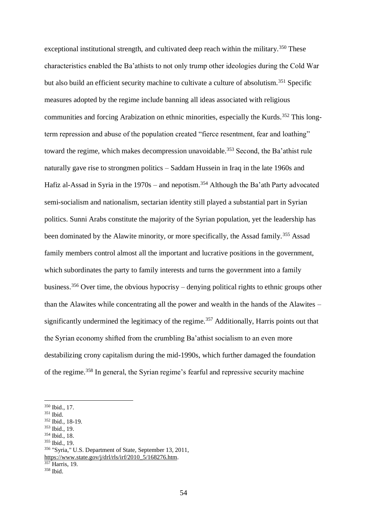exceptional institutional strength, and cultivated deep reach within the military.<sup>350</sup> These characteristics enabled the Ba'athists to not only trump other ideologies during the Cold War but also build an efficient security machine to cultivate a culture of absolutism.<sup>351</sup> Specific measures adopted by the regime include banning all ideas associated with religious communities and forcing Arabization on ethnic minorities, especially the Kurds.<sup>352</sup> This longterm repression and abuse of the population created "fierce resentment, fear and loathing" toward the regime, which makes decompression unavoidable.<sup>353</sup> Second, the Ba'athist rule naturally gave rise to strongmen politics – Saddam Hussein in Iraq in the late 1960s and Hafiz al-Assad in Syria in the 1970s – and nepotism.<sup>354</sup> Although the Ba'ath Party advocated semi-socialism and nationalism, sectarian identity still played a substantial part in Syrian politics. Sunni Arabs constitute the majority of the Syrian population, yet the leadership has been dominated by the Alawite minority, or more specifically, the Assad family.<sup>355</sup> Assad family members control almost all the important and lucrative positions in the government, which subordinates the party to family interests and turns the government into a family business.<sup>356</sup> Over time, the obvious hypocrisy – denying political rights to ethnic groups other than the Alawites while concentrating all the power and wealth in the hands of the Alawites – significantly undermined the legitimacy of the regime.<sup>357</sup> Additionally, Harris points out that the Syrian economy shifted from the crumbling Ba'athist socialism to an even more destabilizing crony capitalism during the mid-1990s, which further damaged the foundation of the regime.<sup>358</sup> In general, the Syrian regime's fearful and repressive security machine

1

<sup>357</sup> Harris, 19.

<sup>350</sup> Ibid., 17.

<sup>351</sup> Ibid.

<sup>352</sup> Ibid., 18-19.

<sup>353</sup> Ibid., 19.

<sup>354</sup> Ibid., 18.

<sup>355</sup> Ibid., 19.

<sup>356</sup> "Syria," U.S. Department of State, September 13, 2011, [https://www.state.gov/j/drl/rls/irf/2010\\_5/168276.htm.](https://www.state.gov/j/drl/rls/irf/2010_5/168276.htm)

<sup>358</sup> Ibid.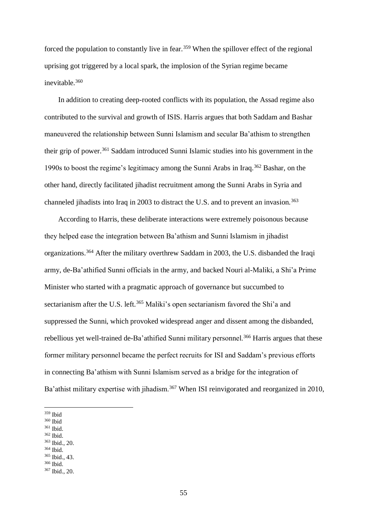forced the population to constantly live in fear.<sup>359</sup> When the spillover effect of the regional uprising got triggered by a local spark, the implosion of the Syrian regime became inevitable.<sup>360</sup>

In addition to creating deep-rooted conflicts with its population, the Assad regime also contributed to the survival and growth of ISIS. Harris argues that both Saddam and Bashar maneuvered the relationship between Sunni Islamism and secular Ba'athism to strengthen their grip of power.<sup>361</sup> Saddam introduced Sunni Islamic studies into his government in the 1990s to boost the regime's legitimacy among the Sunni Arabs in Iraq.<sup>362</sup> Bashar, on the other hand, directly facilitated jihadist recruitment among the Sunni Arabs in Syria and channeled jihadists into Iraq in 2003 to distract the U.S. and to prevent an invasion.<sup>363</sup>

According to Harris, these deliberate interactions were extremely poisonous because they helped ease the integration between Ba'athism and Sunni Islamism in jihadist organizations.<sup>364</sup> After the military overthrew Saddam in 2003, the U.S. disbanded the Iraqi army, de-Ba'athified Sunni officials in the army, and backed Nouri al-Maliki, a Shi'a Prime Minister who started with a pragmatic approach of governance but succumbed to sectarianism after the U.S. left.<sup>365</sup> Maliki's open sectarianism favored the Shi'a and suppressed the Sunni, which provoked widespread anger and dissent among the disbanded, rebellious yet well-trained de-Ba'athified Sunni military personnel.<sup>366</sup> Harris argues that these former military personnel became the perfect recruits for ISI and Saddam's previous efforts in connecting Ba'athism with Sunni Islamism served as a bridge for the integration of Ba'athist military expertise with jihadism.<sup>367</sup> When ISI reinvigorated and reorganized in 2010,

- <sup>361</sup> Ibid.
- <sup>362</sup> Ibid.
- <sup>363</sup> Ibid., 20.
- <sup>364</sup> Ibid.
- <sup>365</sup> Ibid., 43.
- <sup>366</sup> Ibid.

<sup>1</sup> <sup>359</sup> Ibid

 $^{\rm 360}$  Ibid

<sup>367</sup> Ibid., 20.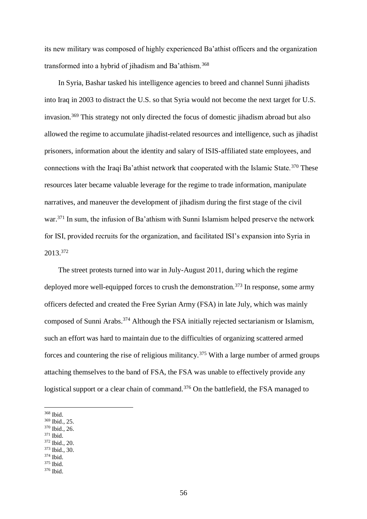its new military was composed of highly experienced Ba'athist officers and the organization transformed into a hybrid of jihadism and Ba'athism.<sup>368</sup>

In Syria, Bashar tasked his intelligence agencies to breed and channel Sunni jihadists into Iraq in 2003 to distract the U.S. so that Syria would not become the next target for U.S. invasion.<sup>369</sup> This strategy not only directed the focus of domestic jihadism abroad but also allowed the regime to accumulate jihadist-related resources and intelligence, such as jihadist prisoners, information about the identity and salary of ISIS-affiliated state employees, and connections with the Iraqi Ba'athist network that cooperated with the Islamic State.<sup>370</sup> These resources later became valuable leverage for the regime to trade information, manipulate narratives, and maneuver the development of jihadism during the first stage of the civil war.<sup>371</sup> In sum, the infusion of Ba'athism with Sunni Islamism helped preserve the network for ISI, provided recruits for the organization, and facilitated ISI's expansion into Syria in 2013. 372

The street protests turned into war in July-August 2011, during which the regime deployed more well-equipped forces to crush the demonstration.<sup>373</sup> In response, some army officers defected and created the Free Syrian Army (FSA) in late July, which was mainly composed of Sunni Arabs.<sup>374</sup> Although the FSA initially rejected sectarianism or Islamism, such an effort was hard to maintain due to the difficulties of organizing scattered armed forces and countering the rise of religious militancy.<sup>375</sup> With a large number of armed groups attaching themselves to the band of FSA, the FSA was unable to effectively provide any logistical support or a clear chain of command.<sup>376</sup> On the battlefield, the FSA managed to

<sup>370</sup> Ibid., 26.

- <sup>372</sup> Ibid., 20.
- <sup>373</sup> Ibid., 30.

<sup>1</sup> <sup>368</sup> Ibid.

<sup>369</sup> Ibid., 25.

<sup>371</sup> Ibid.

<sup>374</sup> Ibid. <sup>375</sup> Ibid.

<sup>376</sup> Ibid.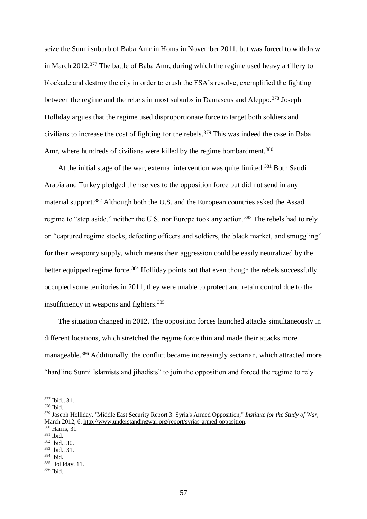seize the Sunni suburb of Baba Amr in Homs in November 2011, but was forced to withdraw in March 2012.<sup>377</sup> The battle of Baba Amr, during which the regime used heavy artillery to blockade and destroy the city in order to crush the FSA's resolve, exemplified the fighting between the regime and the rebels in most suburbs in Damascus and Aleppo.<sup>378</sup> Joseph Holliday argues that the regime used disproportionate force to target both soldiers and civilians to increase the cost of fighting for the rebels.<sup>379</sup> This was indeed the case in Baba Amr, where hundreds of civilians were killed by the regime bombardment.<sup>380</sup>

At the initial stage of the war, external intervention was quite limited.<sup>381</sup> Both Saudi Arabia and Turkey pledged themselves to the opposition force but did not send in any material support.<sup>382</sup> Although both the U.S. and the European countries asked the Assad regime to "step aside," neither the U.S. nor Europe took any action.<sup>383</sup> The rebels had to rely on "captured regime stocks, defecting officers and soldiers, the black market, and smuggling" for their weaponry supply, which means their aggression could be easily neutralized by the better equipped regime force.<sup>384</sup> Holliday points out that even though the rebels successfully occupied some territories in 2011, they were unable to protect and retain control due to the insufficiency in weapons and fighters.<sup>385</sup>

The situation changed in 2012. The opposition forces launched attacks simultaneously in different locations, which stretched the regime force thin and made their attacks more manageable.<sup>386</sup> Additionally, the conflict became increasingly sectarian, which attracted more "hardline Sunni Islamists and jihadists" to join the opposition and forced the regime to rely

<sup>377</sup> Ibid., 31.

<sup>378</sup> Ibid.

<sup>379</sup> Joseph Holliday, "Middle East Security Report 3: Syria's Armed Opposition," *Institute for the Study of War,* March 2012, 6[, http://www.understandingwar.org/report/syrias-armed-opposition.](http://www.understandingwar.org/report/syrias-armed-opposition)

<sup>380</sup> Harris, 31.

<sup>381</sup> Ibid.

<sup>382</sup> Ibid., 30.

<sup>383</sup> Ibid., 31.

<sup>384</sup> Ibid.

<sup>385</sup> Holliday, 11.

<sup>386</sup> Ibid.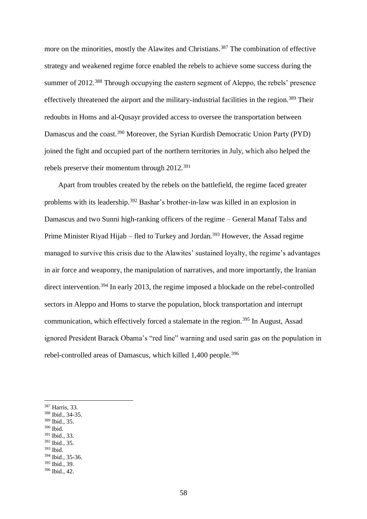more on the minorities, mostly the Alawites and Christians.<sup>387</sup> The combination of effective strategy and weakened regime force enabled the rebels to achieve some success during the summer of 2012.<sup>388</sup> Through occupying the eastern segment of Aleppo, the rebels' presence effectively threatened the airport and the military-industrial facilities in the region.<sup>389</sup> Their redoubts in Homs and al-Qusayr provided access to oversee the transportation between Damascus and the coast.<sup>390</sup> Moreover, the Syrian Kurdish Democratic Union Party (PYD) joined the fight and occupied part of the northern territories in July, which also helped the rebels preserve their momentum through 2012.<sup>391</sup>

Apart from troubles created by the rebels on the battlefield, the regime faced greater problems with its leadership.<sup>392</sup> Bashar's brother-in-law was killed in an explosion in Damascus and two Sunni high-ranking officers of the regime – General Manaf Talss and Prime Minister Riyad Hijab – fled to Turkey and Jordan.<sup>393</sup> However, the Assad regime managed to survive this crisis due to the Alawites' sustained loyalty, the regime's advantages in air force and weaponry, the manipulation of narratives, and more importantly, the Iranian direct intervention.<sup>394</sup> In early 2013, the regime imposed a blockade on the rebel-controlled sectors in Aleppo and Homs to starve the population, block transportation and interrupt communication, which effectively forced a stalemate in the region.<sup>395</sup> In August, Assad ignored President Barack Obama's "red line" warning and used sarin gas on the population in rebel-controlled areas of Damascus, which killed 1,400 people.<sup>396</sup>

<sup>391</sup> Ibid., 33.

1

- <sup>392</sup> Ibid., 35.
- <sup>393</sup> Ibid.

<sup>394</sup> Ibid., 35-36. <sup>395</sup> Ibid., 39.

<sup>387</sup> Harris, 33.

<sup>388</sup> Ibid., 34-35.

<sup>389</sup> Ibid., 35. <sup>390</sup> Ibid.

<sup>396</sup> Ibid., 42.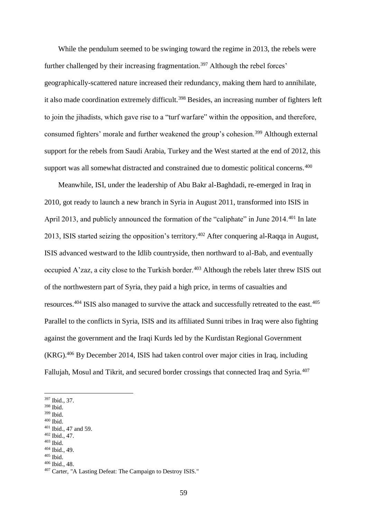While the pendulum seemed to be swinging toward the regime in 2013, the rebels were further challenged by their increasing fragmentation.<sup>397</sup> Although the rebel forces' geographically-scattered nature increased their redundancy, making them hard to annihilate, it also made coordination extremely difficult.<sup>398</sup> Besides, an increasing number of fighters left to join the jihadists, which gave rise to a "turf warfare" within the opposition, and therefore, consumed fighters' morale and further weakened the group's cohesion.<sup>399</sup> Although external support for the rebels from Saudi Arabia, Turkey and the West started at the end of 2012, this support was all somewhat distracted and constrained due to domestic political concerns.<sup>400</sup>

Meanwhile, ISI, under the leadership of Abu Bakr al-Baghdadi, re-emerged in Iraq in 2010, got ready to launch a new branch in Syria in August 2011, transformed into ISIS in April 2013, and publicly announced the formation of the "caliphate" in June 2014.<sup>401</sup> In late 2013, ISIS started seizing the opposition's territory.<sup>402</sup> After conquering al-Raqqa in August, ISIS advanced westward to the Idlib countryside, then northward to al-Bab, and eventually occupied A'zaz, a city close to the Turkish border.<sup>403</sup> Although the rebels later threw ISIS out of the northwestern part of Syria, they paid a high price, in terms of casualties and resources.<sup>404</sup> ISIS also managed to survive the attack and successfully retreated to the east.<sup>405</sup> Parallel to the conflicts in Syria, ISIS and its affiliated Sunni tribes in Iraq were also fighting against the government and the Iraqi Kurds led by the Kurdistan Regional Government (KRG).<sup>406</sup> By December 2014, ISIS had taken control over major cities in Iraq, including Fallujah, Mosul and Tikrit, and secured border crossings that connected Iraq and Syria.<sup>407</sup>

<sup>399</sup> Ibid.

1

<sup>402</sup> Ibid., 47.

<sup>404</sup> Ibid., 49.

<sup>406</sup> Ibid., 48.

<sup>397</sup> Ibid., 37.

<sup>398</sup> Ibid.

 $^{400}$  Ibid.

<sup>401</sup> Ibid., 47 and 59.

<sup>403</sup> Ibid.

<sup>405</sup> Ibid.

<sup>407</sup> Carter, "A Lasting Defeat: The Campaign to Destroy ISIS."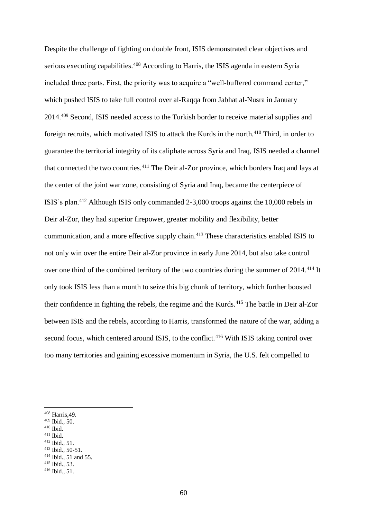Despite the challenge of fighting on double front, ISIS demonstrated clear objectives and serious executing capabilities.<sup>408</sup> According to Harris, the ISIS agenda in eastern Syria included three parts. First, the priority was to acquire a "well-buffered command center," which pushed ISIS to take full control over al-Raqqa from Jabhat al-Nusra in January 2014.<sup>409</sup> Second, ISIS needed access to the Turkish border to receive material supplies and foreign recruits, which motivated ISIS to attack the Kurds in the north.<sup>410</sup> Third, in order to guarantee the territorial integrity of its caliphate across Syria and Iraq, ISIS needed a channel that connected the two countries.<sup>411</sup> The Deir al-Zor province, which borders Iraq and lays at the center of the joint war zone, consisting of Syria and Iraq, became the centerpiece of ISIS's plan.<sup>412</sup> Although ISIS only commanded 2-3,000 troops against the 10,000 rebels in Deir al-Zor, they had superior firepower, greater mobility and flexibility, better communication, and a more effective supply chain.<sup>413</sup> These characteristics enabled ISIS to not only win over the entire Deir al-Zor province in early June 2014, but also take control over one third of the combined territory of the two countries during the summer of 2014.<sup>414</sup> It only took ISIS less than a month to seize this big chunk of territory, which further boosted their confidence in fighting the rebels, the regime and the Kurds.<sup>415</sup> The battle in Deir al-Zor between ISIS and the rebels, according to Harris, transformed the nature of the war, adding a second focus, which centered around ISIS, to the conflict.<sup>416</sup> With ISIS taking control over too many territories and gaining excessive momentum in Syria, the U.S. felt compelled to

- $^{410}$  Ibid.
- <sup>411</sup> Ibid.

1

<sup>412</sup> Ibid., 51. <sup>413</sup> Ibid., 50-51.

<sup>408</sup> Harris,49.

<sup>409</sup> Ibid., 50.

<sup>414</sup> Ibid., 51 and 55.

<sup>415</sup> Ibid., 53.

 $416$  Ibid.,  $51$ .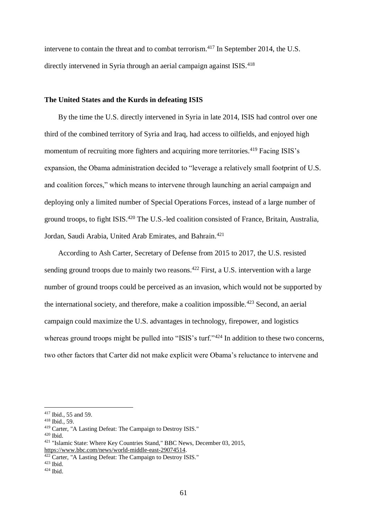intervene to contain the threat and to combat terrorism.<sup>417</sup> In September 2014, the U.S. directly intervened in Syria through an aerial campaign against ISIS.<sup>418</sup>

## **The United States and the Kurds in defeating ISIS**

By the time the U.S. directly intervened in Syria in late 2014, ISIS had control over one third of the combined territory of Syria and Iraq, had access to oilfields, and enjoyed high momentum of recruiting more fighters and acquiring more territories.<sup>419</sup> Facing ISIS's expansion, the Obama administration decided to "leverage a relatively small footprint of U.S. and coalition forces," which means to intervene through launching an aerial campaign and deploying only a limited number of Special Operations Forces, instead of a large number of ground troops, to fight ISIS.<sup>420</sup> The U.S.-led coalition consisted of France, Britain, Australia, Jordan, Saudi Arabia, United Arab Emirates, and Bahrain.<sup>421</sup>

According to Ash Carter, Secretary of Defense from 2015 to 2017, the U.S. resisted sending ground troops due to mainly two reasons.<sup>422</sup> First, a U.S. intervention with a large number of ground troops could be perceived as an invasion, which would not be supported by the international society, and therefore, make a coalition impossible.<sup>423</sup> Second, an aerial campaign could maximize the U.S. advantages in technology, firepower, and logistics whereas ground troops might be pulled into "ISIS's turf."<sup>424</sup> In addition to these two concerns, two other factors that Carter did not make explicit were Obama's reluctance to intervene and

<sup>417</sup> Ibid., 55 and 59.

<sup>418</sup> Ibid., 59.

<sup>419</sup> Carter, "A Lasting Defeat: The Campaign to Destroy ISIS."

<sup>420</sup> Ibid.

<sup>421</sup> "Islamic State: Where Key Countries Stand," BBC News, December 03, 2015, [https://www.bbc.com/news/world-middle-east-29074514.](https://www.bbc.com/news/world-middle-east-29074514)

<sup>&</sup>lt;sup>422</sup> Carter, "A Lasting Defeat: The Campaign to Destroy ISIS."

 $423$  Ibid.

 $424$  Ibid.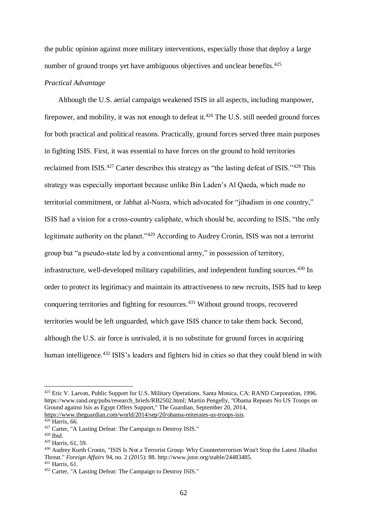the public opinion against more military interventions, especially those that deploy a large number of ground troops yet have ambiguous objectives and unclear benefits.<sup>425</sup>

### *Practical Advantage*

Although the U.S. aerial campaign weakened ISIS in all aspects, including manpower, firepower, and mobility, it was not enough to defeat it.<sup>426</sup> The U.S. still needed ground forces for both practical and political reasons. Practically, ground forces served three main purposes in fighting ISIS. First, it was essential to have forces on the ground to hold territories reclaimed from ISIS.<sup>427</sup> Carter describes this strategy as "the lasting defeat of ISIS."<sup>428</sup> This strategy was especially important because unlike Bin Laden's Al Qaeda, which made no territorial commitment, or Jabhat al-Nusra, which advocated for "jihadism in one country," ISIS had a vision for a cross-country caliphate, which should be, according to ISIS, "the only legitimate authority on the planet."<sup>429</sup> According to Audrey Cronin, ISIS was not a terrorist group but "a pseudo-state led by a conventional army," in possession of territory, infrastructure, well-developed military capabilities, and independent funding sources.<sup>430</sup> In order to protect its legitimacy and maintain its attractiveness to new recruits, ISIS had to keep conquering territories and fighting for resources.<sup>431</sup> Without ground troops, recovered territories would be left unguarded, which gave ISIS chance to take them back. Second, although the U.S. air force is unrivaled, it is no substitute for ground forces in acquiring human intelligence.<sup>432</sup> ISIS's leaders and fighters hid in cities so that they could blend in with

<sup>425</sup> Eric V. Larson, Public Support for U.S. Military Operations. Santa Monica, CA: RAND Corporation, 1996. [https://www.rand.org/pubs/research\\_briefs/RB2502.html;](https://www.rand.org/pubs/research_briefs/RB2502.html) Martin Pengelly, "Obama Repeats No US Troops on Ground against Isis as Egypt Offers Support," The Guardian, September 20, 2014, [https://www.theguardian.com/world/2014/sep/20/obama-reiterates-us-troops-isis.](https://www.theguardian.com/world/2014/sep/20/obama-reiterates-us-troops-isis) 

 $426$  Harris, 66.

<sup>427</sup> Carter, "A Lasting Defeat: The Campaign to Destroy ISIS."

<sup>428</sup> Ibid.

<sup>429</sup> Harris, 61, 59.

<sup>430</sup> Audrey Kurth Cronin, "ISIS Is Not a Terrorist Group: Why Counterterrorism Won't Stop the Latest Jihadist Threat." *Foreign Affairs* 94, no. 2 (2015): 88. http://www.jstor.org/stable/24483485.

<sup>431</sup> Harris, 61.

<sup>432</sup> Carter, "A Lasting Defeat: The Campaign to Destroy ISIS."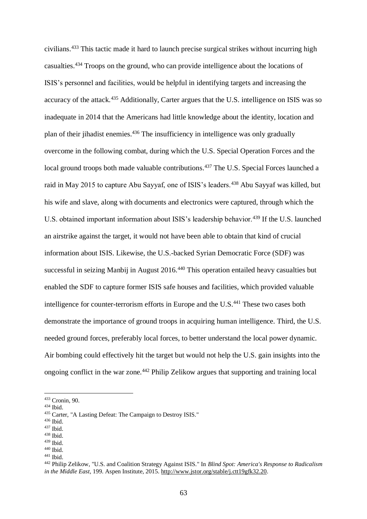civilians.<sup>433</sup> This tactic made it hard to launch precise surgical strikes without incurring high casualties.<sup>434</sup> Troops on the ground, who can provide intelligence about the locations of ISIS's personnel and facilities, would be helpful in identifying targets and increasing the accuracy of the attack.<sup>435</sup> Additionally, Carter argues that the U.S. intelligence on ISIS was so inadequate in 2014 that the Americans had little knowledge about the identity, location and plan of their jihadist enemies.<sup>436</sup> The insufficiency in intelligence was only gradually overcome in the following combat, during which the U.S. Special Operation Forces and the local ground troops both made valuable contributions.<sup>437</sup> The U.S. Special Forces launched a raid in May 2015 to capture Abu Sayyaf, one of ISIS's leaders.<sup>438</sup> Abu Sayyaf was killed, but his wife and slave, along with documents and electronics were captured, through which the U.S. obtained important information about ISIS's leadership behavior.<sup>439</sup> If the U.S. launched an airstrike against the target, it would not have been able to obtain that kind of crucial information about ISIS. Likewise, the U.S.-backed Syrian Democratic Force (SDF) was successful in seizing Manbij in August 2016.<sup>440</sup> This operation entailed heavy casualties but enabled the SDF to capture former ISIS safe houses and facilities, which provided valuable intelligence for counter-terrorism efforts in Europe and the U.S.<sup>441</sup> These two cases both demonstrate the importance of ground troops in acquiring human intelligence. Third, the U.S. needed ground forces, preferably local forces, to better understand the local power dynamic. Air bombing could effectively hit the target but would not help the U.S. gain insights into the ongoing conflict in the war zone.<sup>442</sup> Philip Zelikow argues that supporting and training local

1

<sup>439</sup> Ibid.

<sup>433</sup> Cronin, 90.

<sup>434</sup> Ibid.

<sup>435</sup> Carter, "A Lasting Defeat: The Campaign to Destroy ISIS."

<sup>436</sup> Ibid.

<sup>437</sup> Ibid.

<sup>438</sup> Ibid.

 $440$  Ibid.

<sup>441</sup> Ibid.

<sup>442</sup> Philip Zelikow, "U.S. and Coalition Strategy Against ISIS." In *Blind Spot: America's Response to Radicalism in the Middle East*, 199. Aspen Institute, 2015. [http://www.jstor.org/stable/j.ctt19gfk32.20.](http://www.jstor.org/stable/j.ctt19gfk32.20)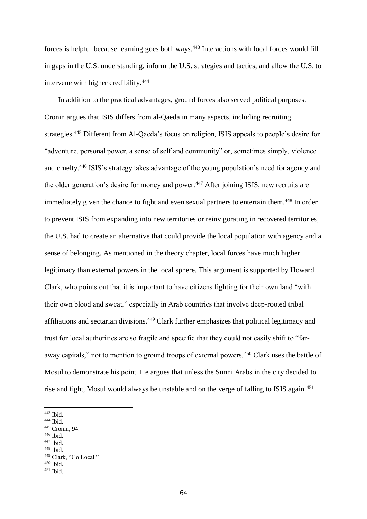forces is helpful because learning goes both ways.<sup>443</sup> Interactions with local forces would fill in gaps in the U.S. understanding, inform the U.S. strategies and tactics, and allow the U.S. to intervene with higher credibility.<sup>444</sup>

In addition to the practical advantages, ground forces also served political purposes. Cronin argues that ISIS differs from al-Qaeda in many aspects, including recruiting strategies.<sup>445</sup> Different from Al-Qaeda's focus on religion, ISIS appeals to people's desire for "adventure, personal power, a sense of self and community" or, sometimes simply, violence and cruelty.<sup>446</sup> ISIS's strategy takes advantage of the young population's need for agency and the older generation's desire for money and power.<sup>447</sup> After joining ISIS, new recruits are immediately given the chance to fight and even sexual partners to entertain them.<sup>448</sup> In order to prevent ISIS from expanding into new territories or reinvigorating in recovered territories, the U.S. had to create an alternative that could provide the local population with agency and a sense of belonging. As mentioned in the theory chapter, local forces have much higher legitimacy than external powers in the local sphere. This argument is supported by Howard Clark, who points out that it is important to have citizens fighting for their own land "with their own blood and sweat," especially in Arab countries that involve deep-rooted tribal affiliations and sectarian divisions.<sup>449</sup> Clark further emphasizes that political legitimacy and trust for local authorities are so fragile and specific that they could not easily shift to "faraway capitals," not to mention to ground troops of external powers.<sup>450</sup> Clark uses the battle of Mosul to demonstrate his point. He argues that unless the Sunni Arabs in the city decided to rise and fight, Mosul would always be unstable and on the verge of falling to ISIS again.<sup>451</sup>

1

<sup>447</sup> Ibid.

<sup>443</sup> Ibid.

 $444$  Ibid.

<sup>445</sup> Cronin, 94.

<sup>446</sup> Ibid.

<sup>448</sup> Ibid.

<sup>449</sup> Clark, "Go Local."

<sup>450</sup> Ibid.

 $451$  Ibid.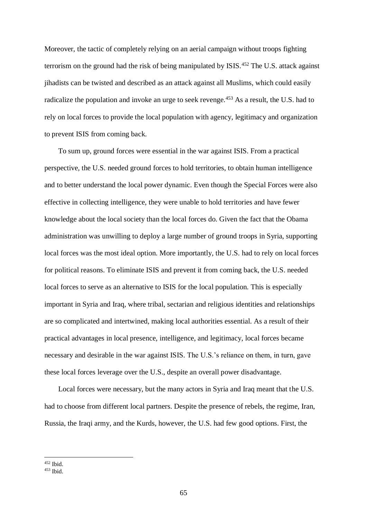Moreover, the tactic of completely relying on an aerial campaign without troops fighting terrorism on the ground had the risk of being manipulated by ISIS.<sup>452</sup> The U.S. attack against jihadists can be twisted and described as an attack against all Muslims, which could easily radicalize the population and invoke an urge to seek revenge.<sup>453</sup> As a result, the U.S. had to rely on local forces to provide the local population with agency, legitimacy and organization to prevent ISIS from coming back.

To sum up, ground forces were essential in the war against ISIS. From a practical perspective, the U.S. needed ground forces to hold territories, to obtain human intelligence and to better understand the local power dynamic. Even though the Special Forces were also effective in collecting intelligence, they were unable to hold territories and have fewer knowledge about the local society than the local forces do. Given the fact that the Obama administration was unwilling to deploy a large number of ground troops in Syria, supporting local forces was the most ideal option. More importantly, the U.S. had to rely on local forces for political reasons. To eliminate ISIS and prevent it from coming back, the U.S. needed local forces to serve as an alternative to ISIS for the local population. This is especially important in Syria and Iraq, where tribal, sectarian and religious identities and relationships are so complicated and intertwined, making local authorities essential. As a result of their practical advantages in local presence, intelligence, and legitimacy, local forces became necessary and desirable in the war against ISIS. The U.S.'s reliance on them, in turn, gave these local forces leverage over the U.S., despite an overall power disadvantage.

Local forces were necessary, but the many actors in Syria and Iraq meant that the U.S. had to choose from different local partners. Despite the presence of rebels, the regime, Iran, Russia, the Iraqi army, and the Kurds, however, the U.S. had few good options. First, the

<sup>452</sup> Ibid.

 $453$  Ibid.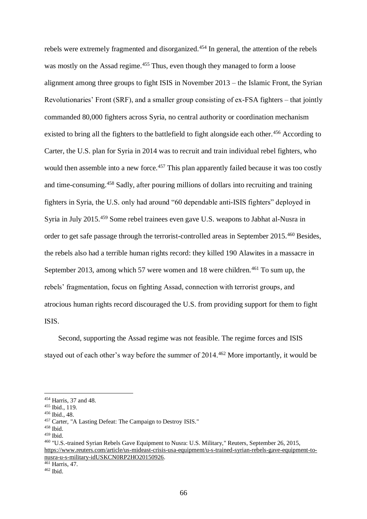rebels were extremely fragmented and disorganized.<sup>454</sup> In general, the attention of the rebels was mostly on the Assad regime.<sup>455</sup> Thus, even though they managed to form a loose alignment among three groups to fight ISIS in November 2013 – the Islamic Front, the Syrian Revolutionaries' Front (SRF), and a smaller group consisting of ex-FSA fighters – that jointly commanded 80,000 fighters across Syria, no central authority or coordination mechanism existed to bring all the fighters to the battlefield to fight alongside each other.<sup>456</sup> According to Carter, the U.S. plan for Syria in 2014 was to recruit and train individual rebel fighters, who would then assemble into a new force.<sup>457</sup> This plan apparently failed because it was too costly and time-consuming.<sup>458</sup> Sadly, after pouring millions of dollars into recruiting and training fighters in Syria, the U.S. only had around "60 dependable anti-ISIS fighters" deployed in Syria in July 2015.<sup>459</sup> Some rebel trainees even gave U.S. weapons to Jabhat al-Nusra in order to get safe passage through the terrorist-controlled areas in September 2015.<sup>460</sup> Besides, the rebels also had a terrible human rights record: they killed 190 Alawites in a massacre in September 2013, among which 57 were women and 18 were children.<sup>461</sup> To sum up, the rebels' fragmentation, focus on fighting Assad, connection with terrorist groups, and atrocious human rights record discouraged the U.S. from providing support for them to fight ISIS.

Second, supporting the Assad regime was not feasible. The regime forces and ISIS stayed out of each other's way before the summer of 2014.<sup>462</sup> More importantly, it would be

1

<sup>461</sup> Harris, 47.

<sup>454</sup> Harris, 37 and 48.

<sup>455</sup> Ibid., 119.

<sup>456</sup> Ibid., 48.

<sup>457</sup> Carter, "A Lasting Defeat: The Campaign to Destroy ISIS."

<sup>458</sup> Ibid.

<sup>459</sup> Ibid.

<sup>460</sup> "U.S.-trained Syrian Rebels Gave Equipment to Nusra: U.S. Military," Reuters, September 26, 2015, [https://www.reuters.com/article/us-mideast-crisis-usa-equipment/u-s-trained-syrian-rebels-gave-equipment-to](https://www.reuters.com/article/us-mideast-crisis-usa-equipment/u-s-trained-syrian-rebels-gave-equipment-to-nusra-u-s-military-idUSKCN0RP2HO20150926)[nusra-u-s-military-idUSKCN0RP2HO20150926.](https://www.reuters.com/article/us-mideast-crisis-usa-equipment/u-s-trained-syrian-rebels-gave-equipment-to-nusra-u-s-military-idUSKCN0RP2HO20150926)

 $462$  Ibid.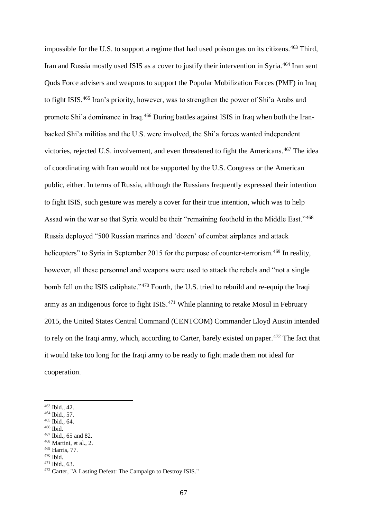impossible for the U.S. to support a regime that had used poison gas on its citizens.<sup>463</sup> Third, Iran and Russia mostly used ISIS as a cover to justify their intervention in Syria.<sup>464</sup> Iran sent Quds Force advisers and weapons to support the Popular Mobilization Forces (PMF) in Iraq to fight ISIS.<sup>465</sup> Iran's priority, however, was to strengthen the power of Shi'a Arabs and promote Shi'a dominance in Iraq.<sup>466</sup> During battles against ISIS in Iraq when both the Iranbacked Shi'a militias and the U.S. were involved, the Shi'a forces wanted independent victories, rejected U.S. involvement, and even threatened to fight the Americans.<sup>467</sup> The idea of coordinating with Iran would not be supported by the U.S. Congress or the American public, either. In terms of Russia, although the Russians frequently expressed their intention to fight ISIS, such gesture was merely a cover for their true intention, which was to help Assad win the war so that Syria would be their "remaining foothold in the Middle East."<sup>468</sup> Russia deployed "500 Russian marines and 'dozen' of combat airplanes and attack helicopters" to Syria in September 2015 for the purpose of counter-terrorism.<sup>469</sup> In reality, however, all these personnel and weapons were used to attack the rebels and "not a single bomb fell on the ISIS caliphate."<sup>470</sup> Fourth, the U.S. tried to rebuild and re-equip the Iraqi army as an indigenous force to fight ISIS. $471$  While planning to retake Mosul in February 2015, the United States Central Command (CENTCOM) Commander Lloyd Austin intended to rely on the Iraqi army, which, according to Carter, barely existed on paper.<sup>472</sup> The fact that it would take too long for the Iraqi army to be ready to fight made them not ideal for cooperation.

1

<sup>471</sup> Ibid., 63.

<sup>463</sup> Ibid., 42.

<sup>464</sup> Ibid., 57.

<sup>465</sup> Ibid., 64.

<sup>466</sup> Ibid.

<sup>467</sup> Ibid., 65 and 82.

 $468$  Martini, et al., 2.

<sup>469</sup> Harris, 77.

<sup>470</sup> Ibid.

<sup>472</sup> Carter, "A Lasting Defeat: The Campaign to Destroy ISIS."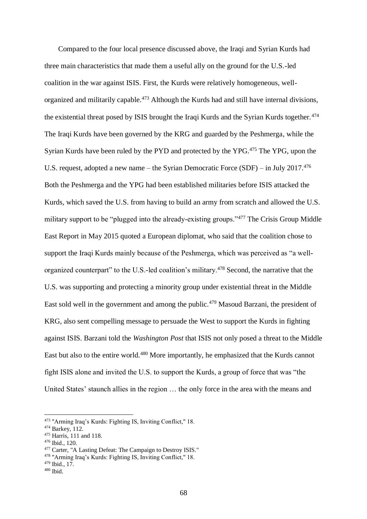Compared to the four local presence discussed above, the Iraqi and Syrian Kurds had three main characteristics that made them a useful ally on the ground for the U.S.-led coalition in the war against ISIS. First, the Kurds were relatively homogeneous, wellorganized and militarily capable.<sup>473</sup> Although the Kurds had and still have internal divisions, the existential threat posed by ISIS brought the Iraqi Kurds and the Syrian Kurds together.<sup>474</sup> The Iraqi Kurds have been governed by the KRG and guarded by the Peshmerga, while the Syrian Kurds have been ruled by the PYD and protected by the YPG.<sup>475</sup> The YPG, upon the U.S. request, adopted a new name – the Syrian Democratic Force (SDF) – in July 2017.<sup>476</sup> Both the Peshmerga and the YPG had been established militaries before ISIS attacked the Kurds, which saved the U.S. from having to build an army from scratch and allowed the U.S. military support to be "plugged into the already-existing groups."<sup>477</sup> The Crisis Group Middle East Report in May 2015 quoted a European diplomat, who said that the coalition chose to support the Iraqi Kurds mainly because of the Peshmerga, which was perceived as "a wellorganized counterpart" to the U.S.-led coalition's military.<sup>478</sup> Second, the narrative that the U.S. was supporting and protecting a minority group under existential threat in the Middle East sold well in the government and among the public.<sup>479</sup> Masoud Barzani, the president of KRG, also sent compelling message to persuade the West to support the Kurds in fighting against ISIS. Barzani told the *Washington Post* that ISIS not only posed a threat to the Middle East but also to the entire world.<sup>480</sup> More importantly, he emphasized that the Kurds cannot fight ISIS alone and invited the U.S. to support the Kurds, a group of force that was "the United States' staunch allies in the region … the only force in the area with the means and

<sup>473</sup> "Arming Iraq's Kurds: Fighting IS, Inviting Conflict," 18.

<sup>474</sup> Barkey, 112.

<sup>475</sup> Harris, 111 and 118.

<sup>476</sup> Ibid., 120.

<sup>477</sup> Carter, "A Lasting Defeat: The Campaign to Destroy ISIS."

<sup>478</sup> "Arming Iraq's Kurds: Fighting IS, Inviting Conflict," 18.

<sup>479</sup> Ibid., 17.

 $480$  Ibid.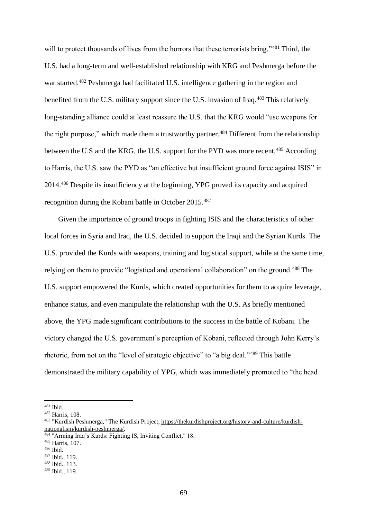will to protect thousands of lives from the horrors that these terrorists bring."<sup>481</sup> Third, the U.S. had a long-term and well-established relationship with KRG and Peshmerga before the war started.<sup>482</sup> Peshmerga had facilitated U.S. intelligence gathering in the region and benefited from the U.S. military support since the U.S. invasion of Iraq.<sup>483</sup> This relatively long-standing alliance could at least reassure the U.S. that the KRG would "use weapons for the right purpose," which made them a trustworthy partner.<sup>484</sup> Different from the relationship between the U.S and the KRG, the U.S. support for the PYD was more recent.<sup>485</sup> According to Harris, the U.S. saw the PYD as "an effective but insufficient ground force against ISIS" in 2014.<sup>486</sup> Despite its insufficiency at the beginning, YPG proved its capacity and acquired recognition during the Kobani battle in October 2015.<sup>487</sup>

Given the importance of ground troops in fighting ISIS and the characteristics of other local forces in Syria and Iraq, the U.S. decided to support the Iraqi and the Syrian Kurds. The U.S. provided the Kurds with weapons, training and logistical support, while at the same time, relying on them to provide "logistical and operational collaboration" on the ground.<sup>488</sup> The U.S. support empowered the Kurds, which created opportunities for them to acquire leverage, enhance status, and even manipulate the relationship with the U.S. As briefly mentioned above, the YPG made significant contributions to the success in the battle of Kobani. The victory changed the U.S. government's perception of Kobani, reflected through John Kerry's rhetoric, from not on the "level of strategic objective" to "a big deal."<sup>489</sup> This battle demonstrated the military capability of YPG, which was immediately promoted to "the head

 $481$  Ibid.

<sup>482</sup> Harris, 108.

<sup>483</sup> "Kurdish Peshmerga," The Kurdish Project, [https://thekurdishproject.org/history-and-culture/kurdish](https://thekurdishproject.org/history-and-culture/kurdish-nationalism/kurdish-peshmerga/)[nationalism/kurdish-peshmerga/.](https://thekurdishproject.org/history-and-culture/kurdish-nationalism/kurdish-peshmerga/)

<sup>484</sup> "Arming Iraq's Kurds: Fighting IS, Inviting Conflict," 18.

<sup>485</sup> Harris, 107.

<sup>486</sup> Ibid.

<sup>487</sup> Ibid., 119.

<sup>488</sup> Ibid., 113.

<sup>489</sup> Ibid., 119.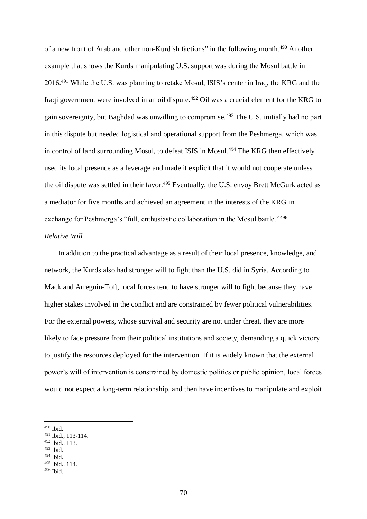of a new front of Arab and other non-Kurdish factions" in the following month.<sup>490</sup> Another example that shows the Kurds manipulating U.S. support was during the Mosul battle in 2016.<sup>491</sup> While the U.S. was planning to retake Mosul, ISIS's center in Iraq, the KRG and the Iraqi government were involved in an oil dispute.<sup>492</sup> Oil was a crucial element for the KRG to gain sovereignty, but Baghdad was unwilling to compromise.<sup>493</sup> The U.S. initially had no part in this dispute but needed logistical and operational support from the Peshmerga, which was in control of land surrounding Mosul, to defeat ISIS in Mosul.<sup>494</sup> The KRG then effectively used its local presence as a leverage and made it explicit that it would not cooperate unless the oil dispute was settled in their favor.<sup>495</sup> Eventually, the U.S. envoy Brett McGurk acted as a mediator for five months and achieved an agreement in the interests of the KRG in exchange for Peshmerga's "full, enthusiastic collaboration in the Mosul battle."<sup>496</sup> *Relative Will* 

In addition to the practical advantage as a result of their local presence, knowledge, and network, the Kurds also had stronger will to fight than the U.S. did in Syria. According to Mack and Arreguín-Toft, local forces tend to have stronger will to fight because they have higher stakes involved in the conflict and are constrained by fewer political vulnerabilities. For the external powers, whose survival and security are not under threat, they are more likely to face pressure from their political institutions and society, demanding a quick victory to justify the resources deployed for the intervention. If it is widely known that the external power's will of intervention is constrained by domestic politics or public opinion, local forces would not expect a long-term relationship, and then have incentives to manipulate and exploit

1

<sup>492</sup> Ibid., 113.

<sup>494</sup> Ibid.

<sup>490</sup> Ibid.

<sup>491</sup> Ibid., 113-114.

 $493$  Ibid.

<sup>495</sup> Ibid., 114.

 $496$  Ibid.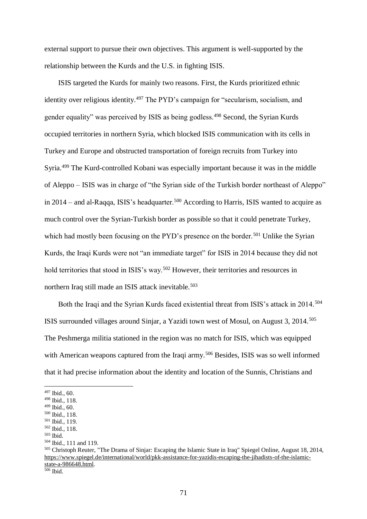external support to pursue their own objectives. This argument is well-supported by the relationship between the Kurds and the U.S. in fighting ISIS.

ISIS targeted the Kurds for mainly two reasons. First, the Kurds prioritized ethnic identity over religious identity.<sup>497</sup> The PYD's campaign for "secularism, socialism, and gender equality" was perceived by ISIS as being godless.<sup>498</sup> Second, the Syrian Kurds occupied territories in northern Syria, which blocked ISIS communication with its cells in Turkey and Europe and obstructed transportation of foreign recruits from Turkey into Syria.<sup>499</sup> The Kurd-controlled Kobani was especially important because it was in the middle of Aleppo – ISIS was in charge of "the Syrian side of the Turkish border northeast of Aleppo" in  $2014$  – and al-Raqqa, ISIS's headquarter.<sup>500</sup> According to Harris, ISIS wanted to acquire as much control over the Syrian-Turkish border as possible so that it could penetrate Turkey, which had mostly been focusing on the PYD's presence on the border.<sup>501</sup> Unlike the Syrian Kurds, the Iraqi Kurds were not "an immediate target" for ISIS in 2014 because they did not hold territories that stood in ISIS's way.<sup>502</sup> However, their territories and resources in northern Iraq still made an ISIS attack inevitable.<sup>503</sup>

Both the Iraqi and the Syrian Kurds faced existential threat from ISIS's attack in 2014.<sup>504</sup> ISIS surrounded villages around Sinjar, a Yazidi town west of Mosul, on August 3, 2014.<sup>505</sup> The Peshmerga militia stationed in the region was no match for ISIS, which was equipped with American weapons captured from the Iraqi army.<sup>506</sup> Besides, ISIS was so well informed that it had precise information about the identity and location of the Sunnis, Christians and

1

 $506$  Ibid.

<sup>497</sup> Ibid., 60.

<sup>498</sup> Ibid., 118.

<sup>499</sup> Ibid., 60.

<sup>500</sup> Ibid., 118.

<sup>501</sup> Ibid., 119. <sup>502</sup> Ibid., 118.

<sup>503</sup> Ibid.

<sup>504</sup> Ibid., 111 and 119.

<sup>505</sup> Christoph Reuter, "The Drama of Sinjar: Escaping the Islamic State in Iraq" Spiegel Online, August 18, 2014, [https://www.spiegel.de/international/world/pkk-assistance-for-yazidis-escaping-the-jihadists-of-the-islamic](https://www.spiegel.de/international/world/pkk-assistance-for-yazidis-escaping-the-jihadists-of-the-islamic-state-a-986648.html)state-a-986648.html.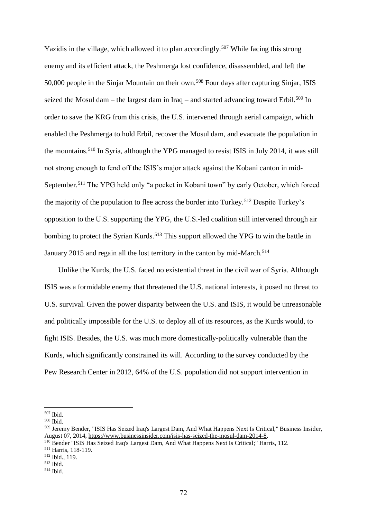Yazidis in the village, which allowed it to plan accordingly.<sup>507</sup> While facing this strong enemy and its efficient attack, the Peshmerga lost confidence, disassembled, and left the 50,000 people in the Sinjar Mountain on their own.<sup>508</sup> Four days after capturing Sinjar, ISIS seized the Mosul dam – the largest dam in Iraq – and started advancing toward Erbil.<sup>509</sup> In order to save the KRG from this crisis, the U.S. intervened through aerial campaign, which enabled the Peshmerga to hold Erbil, recover the Mosul dam, and evacuate the population in the mountains.<sup>510</sup> In Syria, although the YPG managed to resist ISIS in July 2014, it was still not strong enough to fend off the ISIS's major attack against the Kobani canton in mid-September.<sup>511</sup> The YPG held only "a pocket in Kobani town" by early October, which forced the majority of the population to flee across the border into Turkey.<sup>512</sup> Despite Turkey's opposition to the U.S. supporting the YPG, the U.S.-led coalition still intervened through air bombing to protect the Syrian Kurds.<sup>513</sup> This support allowed the YPG to win the battle in January 2015 and regain all the lost territory in the canton by mid-March.<sup>514</sup>

Unlike the Kurds, the U.S. faced no existential threat in the civil war of Syria. Although ISIS was a formidable enemy that threatened the U.S. national interests, it posed no threat to U.S. survival. Given the power disparity between the U.S. and ISIS, it would be unreasonable and politically impossible for the U.S. to deploy all of its resources, as the Kurds would, to fight ISIS. Besides, the U.S. was much more domestically-politically vulnerable than the Kurds, which significantly constrained its will. According to the survey conducted by the Pew Research Center in 2012, 64% of the U.S. population did not support intervention in

<sup>507</sup> Ibid.

<sup>508</sup> Ibid.

<sup>509</sup> Jeremy Bender, "ISIS Has Seized Iraq's Largest Dam, And What Happens Next Is Critical," Business Insider, August 07, 2014[, https://www.businessinsider.com/isis-has-seized-the-mosul-dam-2014-8.](https://www.businessinsider.com/isis-has-seized-the-mosul-dam-2014-8)

<sup>510</sup> Bender "ISIS Has Seized Iraq's Largest Dam, And What Happens Next Is Critical;" Harris, 112.

<sup>511</sup> Harris, 118-119.

<sup>512</sup> Ibid., 119.

 $513$  Ibid.

<sup>514</sup> Ibid.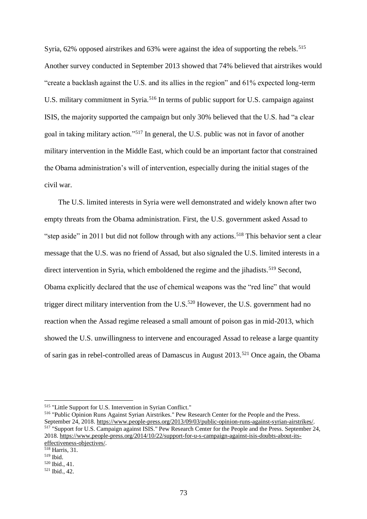Syria, 62% opposed airstrikes and 63% were against the idea of supporting the rebels.<sup>515</sup> Another survey conducted in September 2013 showed that 74% believed that airstrikes would "create a backlash against the U.S. and its allies in the region" and 61% expected long-term U.S. military commitment in Syria.<sup>516</sup> In terms of public support for U.S. campaign against ISIS, the majority supported the campaign but only 30% believed that the U.S. had "a clear goal in taking military action."<sup>517</sup> In general, the U.S. public was not in favor of another military intervention in the Middle East, which could be an important factor that constrained the Obama administration's will of intervention, especially during the initial stages of the civil war.

The U.S. limited interests in Syria were well demonstrated and widely known after two empty threats from the Obama administration. First, the U.S. government asked Assad to "step aside" in 2011 but did not follow through with any actions.<sup>518</sup> This behavior sent a clear message that the U.S. was no friend of Assad, but also signaled the U.S. limited interests in a direct intervention in Syria, which emboldened the regime and the jihadists.<sup>519</sup> Second, Obama explicitly declared that the use of chemical weapons was the "red line" that would trigger direct military intervention from the U.S.<sup>520</sup> However, the U.S. government had no reaction when the Assad regime released a small amount of poison gas in mid-2013, which showed the U.S. unwillingness to intervene and encouraged Assad to release a large quantity of sarin gas in rebel-controlled areas of Damascus in August 2013.<sup>521</sup> Once again, the Obama

<sup>516</sup> "Public Opinion Runs Against Syrian Airstrikes." Pew Research Center for the People and the Press. September 24, 2018. [https://www.people-press.org/2013/09/03/public-opinion-runs-against-syrian-airstrikes/.](https://www.people-press.org/2013/09/03/public-opinion-runs-against-syrian-airstrikes/)  <sup>517</sup> "Support for U.S. Campaign against ISIS." Pew Research Center for the People and the Press. September 24, 2018. [https://www.people-press.org/2014/10/22/support-for-u-s-campaign-against-isis-doubts-about-its](https://www.people-press.org/2014/10/22/support-for-u-s-campaign-against-isis-doubts-about-its-effectiveness-objectives/)[effectiveness-objectives/.](https://www.people-press.org/2014/10/22/support-for-u-s-campaign-against-isis-doubts-about-its-effectiveness-objectives/)

<sup>515</sup> "Little Support for U.S. Intervention in Syrian Conflict."

<sup>518</sup> Harris, 31.

<sup>519</sup> Ibid.

<sup>520</sup> Ibid., 41.

 $521$  Ibid., 42.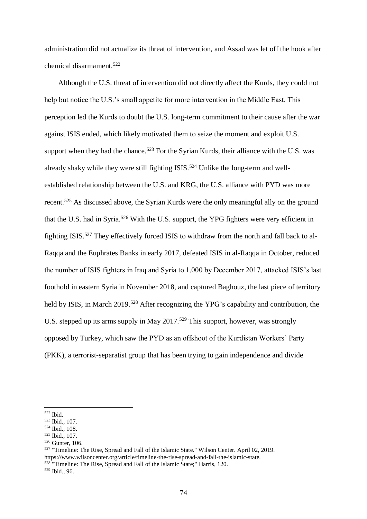administration did not actualize its threat of intervention, and Assad was let off the hook after chemical disarmament.<sup>522</sup>

Although the U.S. threat of intervention did not directly affect the Kurds, they could not help but notice the U.S.'s small appetite for more intervention in the Middle East. This perception led the Kurds to doubt the U.S. long-term commitment to their cause after the war against ISIS ended, which likely motivated them to seize the moment and exploit U.S. support when they had the chance.<sup>523</sup> For the Syrian Kurds, their alliance with the U.S. was already shaky while they were still fighting  $ISIS$ .<sup>524</sup> Unlike the long-term and wellestablished relationship between the U.S. and KRG, the U.S. alliance with PYD was more recent.<sup>525</sup> As discussed above, the Syrian Kurds were the only meaningful ally on the ground that the U.S. had in Syria.<sup>526</sup> With the U.S. support, the YPG fighters were very efficient in fighting ISIS.<sup>527</sup> They effectively forced ISIS to withdraw from the north and fall back to al-Raqqa and the Euphrates Banks in early 2017, defeated ISIS in al-Raqqa in October, reduced the number of ISIS fighters in Iraq and Syria to 1,000 by December 2017, attacked ISIS's last foothold in eastern Syria in November 2018, and captured Baghouz, the last piece of territory held by ISIS, in March 2019.<sup>528</sup> After recognizing the YPG's capability and contribution, the U.S. stepped up its arms supply in May 2017.<sup>529</sup> This support, however, was strongly opposed by Turkey, which saw the PYD as an offshoot of the Kurdistan Workers' Party (PKK), a terrorist-separatist group that has been trying to gain independence and divide

1

<sup>529</sup> Ibid., 96.

<sup>522</sup> Ibid.

<sup>523</sup> Ibid., 107.

<sup>524</sup> Ibid., 108.

<sup>525</sup> Ibid., 107.

<sup>526</sup> Gunter, 106.

<sup>527</sup> "Timeline: The Rise, Spread and Fall of the Islamic State." Wilson Center. April 02, 2019. [https://www.wilsoncenter.org/article/timeline-the-rise-spread-and-fall-the-islamic-state.](https://www.wilsoncenter.org/article/timeline-the-rise-spread-and-fall-the-islamic-state) <sup>528</sup> "Timeline: The Rise, Spread and Fall of the Islamic State;" Harris, 120.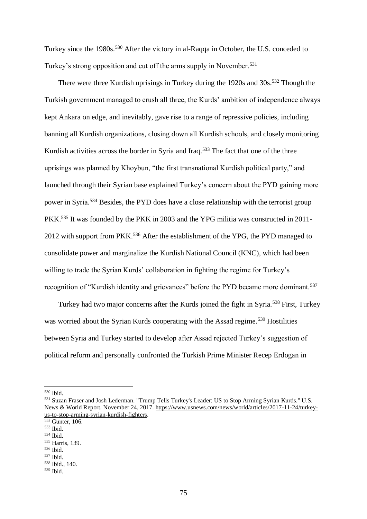Turkey since the 1980s.<sup>530</sup> After the victory in al-Raqqa in October, the U.S. conceded to Turkey's strong opposition and cut off the arms supply in November.<sup>531</sup>

There were three Kurdish uprisings in Turkey during the 1920s and 30s.<sup>532</sup> Though the Turkish government managed to crush all three, the Kurds' ambition of independence always kept Ankara on edge, and inevitably, gave rise to a range of repressive policies, including banning all Kurdish organizations, closing down all Kurdish schools, and closely monitoring Kurdish activities across the border in Syria and Iraq.<sup>533</sup> The fact that one of the three uprisings was planned by Khoybun, "the first transnational Kurdish political party," and launched through their Syrian base explained Turkey's concern about the PYD gaining more power in Syria.<sup>534</sup> Besides, the PYD does have a close relationship with the terrorist group PKK.<sup>535</sup> It was founded by the PKK in 2003 and the YPG militia was constructed in 2011-2012 with support from PKK.<sup>536</sup> After the establishment of the YPG, the PYD managed to consolidate power and marginalize the Kurdish National Council (KNC), which had been willing to trade the Syrian Kurds' collaboration in fighting the regime for Turkey's recognition of "Kurdish identity and grievances" before the PYD became more dominant.<sup>537</sup>

Turkey had two major concerns after the Kurds joined the fight in Syria.<sup>538</sup> First, Turkey was worried about the Syrian Kurds cooperating with the Assad regime.<sup>539</sup> Hostilities between Syria and Turkey started to develop after Assad rejected Turkey's suggestion of political reform and personally confronted the Turkish Prime Minister Recep Erdogan in

<sup>530</sup> Ibid.

<sup>531</sup> Suzan Fraser and Josh Lederman. "Trump Tells Turkey's Leader: US to Stop Arming Syrian Kurds." U.S. News & World Report. November 24, 2017. [https://www.usnews.com/news/world/articles/2017-11-24/turkey](https://www.usnews.com/news/world/articles/2017-11-24/turkey-us-to-stop-arming-syrian-kurdish-fighters)[us-to-stop-arming-syrian-kurdish-fighters.](https://www.usnews.com/news/world/articles/2017-11-24/turkey-us-to-stop-arming-syrian-kurdish-fighters)

 $\overline{\frac{532}{}}$  Gunter, 106.

<sup>533</sup> Ibid.

<sup>534</sup> Ibid.

<sup>535</sup> Harris, 139.

<sup>536</sup> Ibid.

<sup>537</sup> Ibid.

<sup>538</sup> Ibid., 140.

 $539$  Ibid.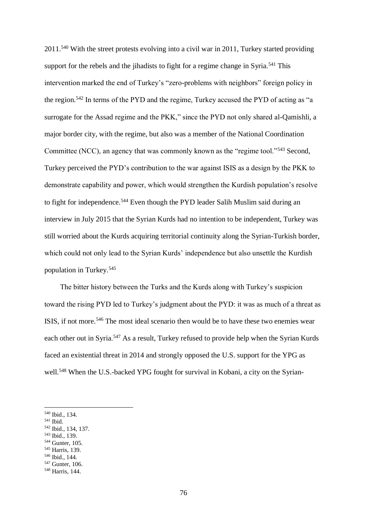2011.<sup>540</sup> With the street protests evolving into a civil war in 2011, Turkey started providing support for the rebels and the jihadists to fight for a regime change in Syria.<sup>541</sup> This intervention marked the end of Turkey's "zero-problems with neighbors" foreign policy in the region.<sup>542</sup> In terms of the PYD and the regime, Turkey accused the PYD of acting as "a surrogate for the Assad regime and the PKK," since the PYD not only shared al-Qamishli, a major border city, with the regime, but also was a member of the National Coordination Committee (NCC), an agency that was commonly known as the "regime tool."<sup>543</sup> Second, Turkey perceived the PYD's contribution to the war against ISIS as a design by the PKK to demonstrate capability and power, which would strengthen the Kurdish population's resolve to fight for independence.<sup>544</sup> Even though the PYD leader Salih Muslim said during an interview in July 2015 that the Syrian Kurds had no intention to be independent, Turkey was still worried about the Kurds acquiring territorial continuity along the Syrian-Turkish border, which could not only lead to the Syrian Kurds' independence but also unsettle the Kurdish population in Turkey.<sup>545</sup>

The bitter history between the Turks and the Kurds along with Turkey's suspicion toward the rising PYD led to Turkey's judgment about the PYD: it was as much of a threat as ISIS, if not more.<sup>546</sup> The most ideal scenario then would be to have these two enemies wear each other out in Syria.<sup>547</sup> As a result, Turkey refused to provide help when the Syrian Kurds faced an existential threat in 2014 and strongly opposed the U.S. support for the YPG as well.<sup>548</sup> When the U.S.-backed YPG fought for survival in Kobani, a city on the Syrian-

<sup>540</sup> Ibid., 134.

<sup>541</sup> Ibid.

<sup>542</sup> Ibid., 134, 137.

<sup>543</sup> Ibid., 139.

<sup>544</sup> Gunter, 105.

<sup>545</sup> Harris, 139.

<sup>546</sup> Ibid., 144.

<sup>547</sup> Gunter, 106.

<sup>548</sup> Harris, 144.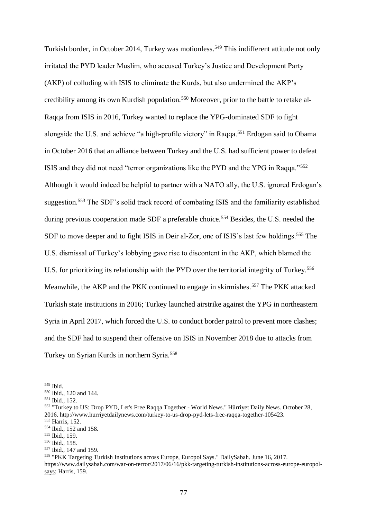Turkish border, in October 2014, Turkey was motionless.<sup>549</sup> This indifferent attitude not only irritated the PYD leader Muslim, who accused Turkey's Justice and Development Party (AKP) of colluding with ISIS to eliminate the Kurds, but also undermined the AKP's credibility among its own Kurdish population.<sup>550</sup> Moreover, prior to the battle to retake al-Raqqa from ISIS in 2016, Turkey wanted to replace the YPG-dominated SDF to fight alongside the U.S. and achieve "a high-profile victory" in Raqqa.<sup>551</sup> Erdogan said to Obama in October 2016 that an alliance between Turkey and the U.S. had sufficient power to defeat ISIS and they did not need "terror organizations like the PYD and the YPG in Raqqa."<sup>552</sup> Although it would indeed be helpful to partner with a NATO ally, the U.S. ignored Erdogan's suggestion.<sup>553</sup> The SDF's solid track record of combating ISIS and the familiarity established during previous cooperation made SDF a preferable choice.<sup>554</sup> Besides, the U.S. needed the SDF to move deeper and to fight ISIS in Deir al-Zor, one of ISIS's last few holdings.<sup>555</sup> The U.S. dismissal of Turkey's lobbying gave rise to discontent in the AKP, which blamed the U.S. for prioritizing its relationship with the PYD over the territorial integrity of Turkey.<sup>556</sup> Meanwhile, the AKP and the PKK continued to engage in skirmishes.<sup>557</sup> The PKK attacked Turkish state institutions in 2016; Turkey launched airstrike against the YPG in northeastern Syria in April 2017, which forced the U.S. to conduct border patrol to prevent more clashes; and the SDF had to suspend their offensive on ISIS in November 2018 due to attacks from Turkey on Syrian Kurds in northern Syria.<sup>558</sup>

1

<sup>551</sup> Ibid., 152.

<sup>549</sup> Ibid.

<sup>550</sup> Ibid., 120 and 144.

<sup>552</sup> "Turkey to US: Drop PYD, Let's Free Raqqa Together - World News." Hürriyet Daily News. October 28, 2016. [http://www.hurriyetdailynews.com/turkey-to-us-drop-pyd-lets-free-raqqa-together-105423.](http://www.hurriyetdailynews.com/turkey-to-us-drop-pyd-lets-free-raqqa-together-105423) 

<sup>553</sup> Harris, 152.

<sup>554</sup> Ibid., 152 and 158. <sup>555</sup> Ibid., 159.

<sup>556</sup> Ibid., 158.

<sup>557</sup> Ibid., 147 and 159.

<sup>558</sup> "PKK Targeting Turkish Institutions across Europe, Europol Says." DailySabah. June 16, 2017. [https://www.dailysabah.com/war-on-terror/2017/06/16/pkk-targeting-turkish-institutions-across-europe-europol](https://www.dailysabah.com/war-on-terror/2017/06/16/pkk-targeting-turkish-institutions-across-europe-europol-says)[says;](https://www.dailysabah.com/war-on-terror/2017/06/16/pkk-targeting-turkish-institutions-across-europe-europol-says) Harris, 159.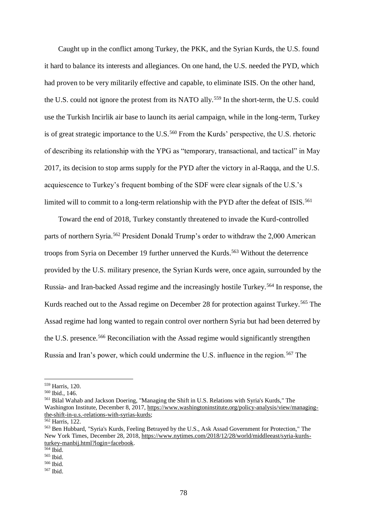Caught up in the conflict among Turkey, the PKK, and the Syrian Kurds, the U.S. found it hard to balance its interests and allegiances. On one hand, the U.S. needed the PYD, which had proven to be very militarily effective and capable, to eliminate ISIS. On the other hand, the U.S. could not ignore the protest from its NATO ally.<sup>559</sup> In the short-term, the U.S. could use the Turkish Incirlik air base to launch its aerial campaign, while in the long-term, Turkey is of great strategic importance to the U.S.<sup>560</sup> From the Kurds' perspective, the U.S. rhetoric of describing its relationship with the YPG as "temporary, transactional, and tactical" in May 2017, its decision to stop arms supply for the PYD after the victory in al-Raqqa, and the U.S. acquiescence to Turkey's frequent bombing of the SDF were clear signals of the U.S.'s limited will to commit to a long-term relationship with the PYD after the defeat of ISIS.<sup>561</sup>

Toward the end of 2018, Turkey constantly threatened to invade the Kurd-controlled parts of northern Syria.<sup>562</sup> President Donald Trump's order to withdraw the 2,000 American troops from Syria on December 19 further unnerved the Kurds.<sup>563</sup> Without the deterrence provided by the U.S. military presence, the Syrian Kurds were, once again, surrounded by the Russia- and Iran-backed Assad regime and the increasingly hostile Turkey.<sup>564</sup> In response, the Kurds reached out to the Assad regime on December 28 for protection against Turkey.<sup>565</sup> The Assad regime had long wanted to regain control over northern Syria but had been deterred by the U.S. presence.<sup>566</sup> Reconciliation with the Assad regime would significantly strengthen Russia and Iran's power, which could undermine the U.S. influence in the region.<sup>567</sup> The

<sup>559</sup> Harris, 120.

<sup>560</sup> Ibid., 146.

<sup>561</sup> Bilal Wahab and Jackson Doering, "Managing the Shift in U.S. Relations with Syria's Kurds," The Washington Institute, December 8, 2017, [https://www.washingtoninstitute.org/policy-analysis/view/managing](https://www.washingtoninstitute.org/policy-analysis/view/managing-the-shift-in-u.s.-relations-with-syrias-kurds)[the-shift-in-u.s.-relations-with-syrias-kurds;](https://www.washingtoninstitute.org/policy-analysis/view/managing-the-shift-in-u.s.-relations-with-syrias-kurds)

<sup>&</sup>lt;sup>562</sup> Harris, 122.

<sup>563</sup> Ben Hubbard, "Syria's Kurds, Feeling Betrayed by the U.S., Ask Assad Government for Protection," The New York Times, December 28, 2018, [https://www.nytimes.com/2018/12/28/world/middleeast/syria-kurds](https://www.nytimes.com/2018/12/28/world/middleeast/syria-kurds-turkey-manbij.html?login=facebook)[turkey-manbij.html?login=facebook.](https://www.nytimes.com/2018/12/28/world/middleeast/syria-kurds-turkey-manbij.html?login=facebook)

 $564$  Ibid.

<sup>565</sup> Ibid. <sup>566</sup> Ibid.

<sup>567</sup> Ibid.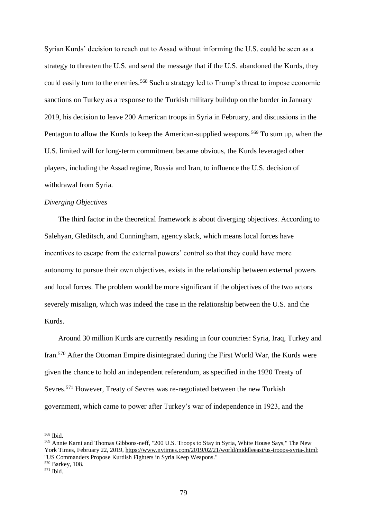Syrian Kurds' decision to reach out to Assad without informing the U.S. could be seen as a strategy to threaten the U.S. and send the message that if the U.S. abandoned the Kurds, they could easily turn to the enemies.<sup>568</sup> Such a strategy led to Trump's threat to impose economic sanctions on Turkey as a response to the Turkish military buildup on the border in January 2019, his decision to leave 200 American troops in Syria in February, and discussions in the Pentagon to allow the Kurds to keep the American-supplied weapons.<sup>569</sup> To sum up, when the U.S. limited will for long-term commitment became obvious, the Kurds leveraged other players, including the Assad regime, Russia and Iran, to influence the U.S. decision of withdrawal from Syria.

## *Diverging Objectives*

The third factor in the theoretical framework is about diverging objectives. According to Salehyan, Gleditsch, and Cunningham, agency slack, which means local forces have incentives to escape from the external powers' control so that they could have more autonomy to pursue their own objectives, exists in the relationship between external powers and local forces. The problem would be more significant if the objectives of the two actors severely misalign, which was indeed the case in the relationship between the U.S. and the Kurds.

Around 30 million Kurds are currently residing in four countries: Syria, Iraq, Turkey and Iran.<sup>570</sup> After the Ottoman Empire disintegrated during the First World War, the Kurds were given the chance to hold an independent referendum, as specified in the 1920 Treaty of Sevres.<sup>571</sup> However, Treaty of Sevres was re-negotiated between the new Turkish government, which came to power after Turkey's war of independence in 1923, and the

<sup>568</sup> Ibid.

<sup>569</sup> Annie Karni and Thomas Gibbons-neff, "200 U.S. Troops to Stay in Syria, White House Says," The New York Times, February 22, 2019, [https://www.nytimes.com/2019/02/21/world/middleeast/us-troops-syria-.html;](https://www.nytimes.com/2019/02/21/world/middleeast/us-troops-syria-.html) "US Commanders Propose Kurdish Fighters in Syria Keep Weapons." <sup>570</sup> Barkey, 108.

 $571$  Ibid.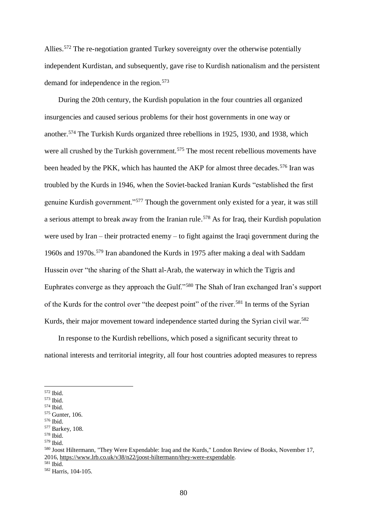Allies.<sup>572</sup> The re-negotiation granted Turkey sovereignty over the otherwise potentially independent Kurdistan, and subsequently, gave rise to Kurdish nationalism and the persistent demand for independence in the region.<sup>573</sup>

During the 20th century, the Kurdish population in the four countries all organized insurgencies and caused serious problems for their host governments in one way or another.<sup>574</sup> The Turkish Kurds organized three rebellions in 1925, 1930, and 1938, which were all crushed by the Turkish government.<sup>575</sup> The most recent rebellious movements have been headed by the PKK, which has haunted the AKP for almost three decades.<sup>576</sup> Iran was troubled by the Kurds in 1946, when the Soviet-backed Iranian Kurds "established the first genuine Kurdish government."<sup>577</sup> Though the government only existed for a year, it was still a serious attempt to break away from the Iranian rule.<sup>578</sup> As for Iraq, their Kurdish population were used by Iran – their protracted enemy – to fight against the Iraqi government during the 1960s and 1970s.<sup>579</sup> Iran abandoned the Kurds in 1975 after making a deal with Saddam Hussein over "the sharing of the Shatt al-Arab, the waterway in which the Tigris and Euphrates converge as they approach the Gulf."<sup>580</sup> The Shah of Iran exchanged Iran's support of the Kurds for the control over "the deepest point" of the river.<sup>581</sup> In terms of the Syrian Kurds, their major movement toward independence started during the Syrian civil war.<sup>582</sup>

In response to the Kurdish rebellions, which posed a significant security threat to national interests and territorial integrity, all four host countries adopted measures to repress

<sup>572</sup> Ibid.

<sup>573</sup> Ibid.

<sup>574</sup> Ibid.

<sup>575</sup> Gunter, 106.

<sup>576</sup> Ibid.

<sup>577</sup> Barkey, 108.

<sup>578</sup> Ibid.

<sup>579</sup> Ibid.

<sup>580</sup> Joost Hiltermann, "They Were Expendable: Iraq and the Kurds," London Review of Books, November 17, 2016, [https://www.lrb.co.uk/v38/n22/joost-hiltermann/they-were-expendable.](https://www.lrb.co.uk/v38/n22/joost-hiltermann/they-were-expendable) 

<sup>581</sup> Ibid.

<sup>582</sup> Harris, 104-105.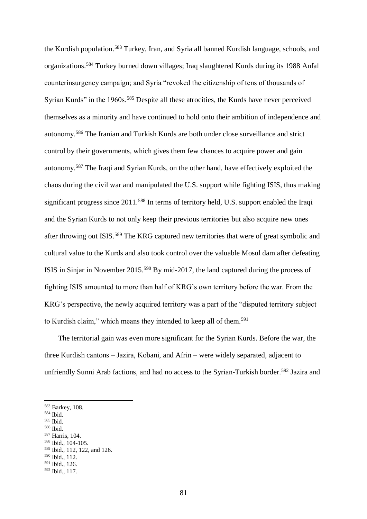the Kurdish population.<sup>583</sup> Turkey, Iran, and Syria all banned Kurdish language, schools, and organizations.<sup>584</sup> Turkey burned down villages; Iraq slaughtered Kurds during its 1988 Anfal counterinsurgency campaign; and Syria "revoked the citizenship of tens of thousands of Syrian Kurds" in the 1960s.<sup>585</sup> Despite all these atrocities, the Kurds have never perceived themselves as a minority and have continued to hold onto their ambition of independence and autonomy.<sup>586</sup> The Iranian and Turkish Kurds are both under close surveillance and strict control by their governments, which gives them few chances to acquire power and gain autonomy.<sup>587</sup> The Iraqi and Syrian Kurds, on the other hand, have effectively exploited the chaos during the civil war and manipulated the U.S. support while fighting ISIS, thus making significant progress since 2011.<sup>588</sup> In terms of territory held, U.S. support enabled the Iraqi and the Syrian Kurds to not only keep their previous territories but also acquire new ones after throwing out ISIS.<sup>589</sup> The KRG captured new territories that were of great symbolic and cultural value to the Kurds and also took control over the valuable Mosul dam after defeating ISIS in Sinjar in November 2015.<sup>590</sup> By mid-2017, the land captured during the process of fighting ISIS amounted to more than half of KRG's own territory before the war. From the KRG's perspective, the newly acquired territory was a part of the "disputed territory subject to Kurdish claim," which means they intended to keep all of them.<sup>591</sup>

The territorial gain was even more significant for the Syrian Kurds. Before the war, the three Kurdish cantons – Jazira, Kobani, and Afrin – were widely separated, adjacent to unfriendly Sunni Arab factions, and had no access to the Syrian-Turkish border.<sup>592</sup> Jazira and

1

<sup>587</sup> Harris, 104.

<sup>583</sup> Barkey, 108.

<sup>584</sup> Ibid.

<sup>585</sup> Ibid.

<sup>586</sup> Ibid.

<sup>588</sup> Ibid., 104-105.

<sup>589</sup> Ibid., 112, 122, and 126.

<sup>590</sup> Ibid., 112.

<sup>591</sup> Ibid., 126.

<sup>592</sup> Ibid., 117.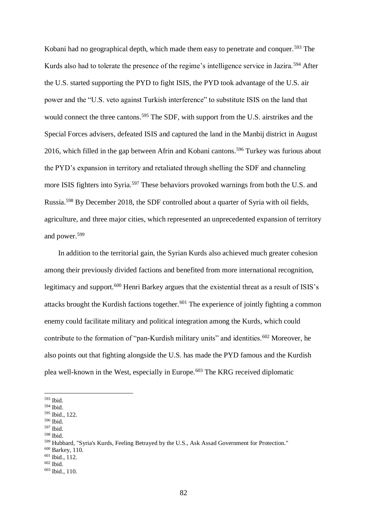Kobani had no geographical depth, which made them easy to penetrate and conquer.<sup>593</sup> The Kurds also had to tolerate the presence of the regime's intelligence service in Jazira.<sup>594</sup> After the U.S. started supporting the PYD to fight ISIS, the PYD took advantage of the U.S. air power and the "U.S. veto against Turkish interference" to substitute ISIS on the land that would connect the three cantons.<sup>595</sup> The SDF, with support from the U.S. airstrikes and the Special Forces advisers, defeated ISIS and captured the land in the Manbij district in August 2016, which filled in the gap between Afrin and Kobani cantons.<sup>596</sup> Turkey was furious about the PYD's expansion in territory and retaliated through shelling the SDF and channeling more ISIS fighters into Syria.<sup>597</sup> These behaviors provoked warnings from both the U.S. and Russia.<sup>598</sup> By December 2018, the SDF controlled about a quarter of Syria with oil fields, agriculture, and three major cities, which represented an unprecedented expansion of territory and power.<sup>599</sup>

In addition to the territorial gain, the Syrian Kurds also achieved much greater cohesion among their previously divided factions and benefited from more international recognition, legitimacy and support.<sup>600</sup> Henri Barkey argues that the existential threat as a result of ISIS's attacks brought the Kurdish factions together.<sup>601</sup> The experience of jointly fighting a common enemy could facilitate military and political integration among the Kurds, which could contribute to the formation of "pan-Kurdish military units" and identities.<sup>602</sup> Moreover, he also points out that fighting alongside the U.S. has made the PYD famous and the Kurdish plea well-known in the West, especially in Europe.<sup>603</sup> The KRG received diplomatic

1

<sup>597</sup> Ibid.

<sup>593</sup> Ibid.

<sup>594</sup> Ibid.

<sup>595</sup> Ibid., 122.

<sup>596</sup> Ibid.

<sup>598</sup> Ibid.

<sup>&</sup>lt;sup>599</sup> Hubbard, "Syria's Kurds, Feeling Betrayed by the U.S., Ask Assad Government for Protection."

<sup>600</sup> Barkey, 110.

 $601$  Ibid.,  $112$ .

 $602$  Ibid.

<sup>603</sup> Ibid., 110.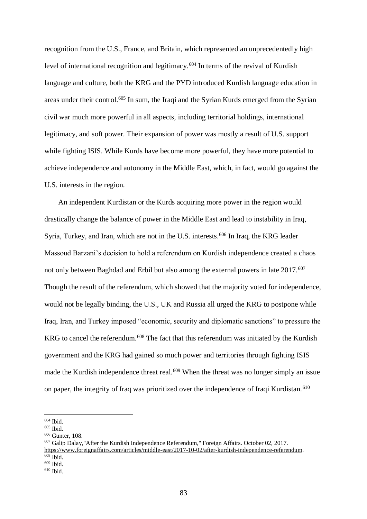recognition from the U.S., France, and Britain, which represented an unprecedentedly high level of international recognition and legitimacy.<sup>604</sup> In terms of the revival of Kurdish language and culture, both the KRG and the PYD introduced Kurdish language education in areas under their control.<sup>605</sup> In sum, the Iraqi and the Syrian Kurds emerged from the Syrian civil war much more powerful in all aspects, including territorial holdings, international legitimacy, and soft power. Their expansion of power was mostly a result of U.S. support while fighting ISIS. While Kurds have become more powerful, they have more potential to achieve independence and autonomy in the Middle East, which, in fact, would go against the U.S. interests in the region.

An independent Kurdistan or the Kurds acquiring more power in the region would drastically change the balance of power in the Middle East and lead to instability in Iraq, Syria, Turkey, and Iran, which are not in the U.S. interests.<sup>606</sup> In Iraq, the KRG leader Massoud Barzani's decision to hold a referendum on Kurdish independence created a chaos not only between Baghdad and Erbil but also among the external powers in late 2017.<sup>607</sup> Though the result of the referendum, which showed that the majority voted for independence, would not be legally binding, the U.S., UK and Russia all urged the KRG to postpone while Iraq, Iran, and Turkey imposed "economic, security and diplomatic sanctions" to pressure the KRG to cancel the referendum.<sup>608</sup> The fact that this referendum was initiated by the Kurdish government and the KRG had gained so much power and territories through fighting ISIS made the Kurdish independence threat real.<sup>609</sup> When the threat was no longer simply an issue on paper, the integrity of Iraq was prioritized over the independence of Iraqi Kurdistan.<sup>610</sup>

<sup>1</sup> <sup>604</sup> Ibid.

<sup>605</sup> Ibid.

<sup>606</sup> Gunter, 108.

<sup>607</sup> Galip Dalay,"After the Kurdish Independence Referendum," Foreign Affairs. October 02, 2017. [https://www.foreignaffairs.com/articles/middle-east/2017-10-02/after-kurdish-independence-referendum.](https://www.foreignaffairs.com/articles/middle-east/2017-10-02/after-kurdish-independence-referendum)  $608$  Ibid.

 $609$  Ibid.

 $610$  Ibid.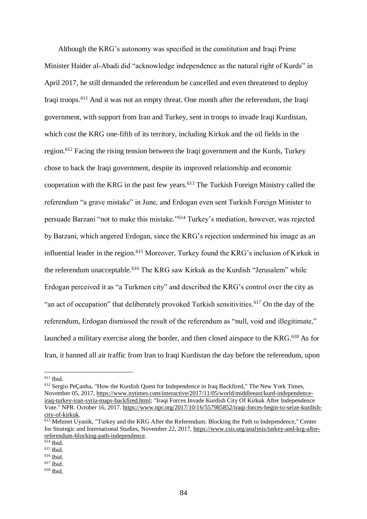Although the KRG's autonomy was specified in the constitution and Iraqi Prime Minister Haider al-Abadi did "acknowledge independence as the natural right of Kurds" in April 2017, he still demanded the referendum be cancelled and even threatened to deploy Iraqi troops.<sup>611</sup> And it was not an empty threat. One month after the referendum, the Iraqi government, with support from Iran and Turkey, sent in troops to invade Iraqi Kurdistan, which cost the KRG one-fifth of its territory, including Kirkuk and the oil fields in the region.<sup>612</sup> Facing the rising tension between the Iraqi government and the Kurds, Turkey chose to back the Iraqi government, despite its improved relationship and economic cooperation with the KRG in the past few years.<sup>613</sup> The Turkish Foreign Ministry called the referendum "a grave mistake" in June, and Erdogan even sent Turkish Foreign Minister to persuade Barzani "not to make this mistake."<sup>614</sup> Turkey's mediation, however, was rejected by Barzani, which angered Erdogan, since the KRG's rejection undermined his image as an influential leader in the region.<sup>615</sup> Moreover, Turkey found the KRG's inclusion of Kirkuk in the referendum unacceptable.<sup>616</sup> The KRG saw Kirkuk as the Kurdish "Jerusalem" while Erdogan perceived it as "a Turkmen city" and described the KRG's control over the city as "an act of occupation" that deliberately provoked Turkish sensitivities.<sup>617</sup> On the day of the referendum, Erdogan dismissed the result of the referendum as "null, void and illegitimate," launched a military exercise along the border, and then closed airspace to the KRG.<sup>618</sup> As for Iran, it banned all air traffic from Iran to Iraqi Kurdistan the day before the referendum, upon

1

<sup>612</sup> Sergio PeÇanha, "How the Kurdish Quest for Independence in Iraq Backfired," The New York Times, November 05, 2017[, https://www.nytimes.com/interactive/2017/11/05/world/middleeast/kurd-independence](https://www.nytimes.com/interactive/2017/11/05/world/middleeast/kurd-independence-iraq-turkey-iran-syria-maps-backfired.html)[iraq-turkey-iran-syria-maps-backfired.html;](https://www.nytimes.com/interactive/2017/11/05/world/middleeast/kurd-independence-iraq-turkey-iran-syria-maps-backfired.html) "Iraqi Forces Invade Kurdish City Of Kirkuk After Independence Vote." NPR. October 16, 2017. [https://www.npr.org/2017/10/16/557985852/iraqi-forces-begin-to-seize-kurdish](https://www.npr.org/2017/10/16/557985852/iraqi-forces-begin-to-seize-kurdish-city-of-kirkuk)[city-of-kirkuk.](https://www.npr.org/2017/10/16/557985852/iraqi-forces-begin-to-seize-kurdish-city-of-kirkuk)

 $611$  Ibid.

<sup>&</sup>lt;sup>613</sup> Mehmet Uyanik, "Turkey and the KRG After the Referendum: Blocking the Path to Independence," Center for Strategic and International Studies, November 22, 2017, [https://www.csis.org/analysis/turkey-and-krg-after](https://www.csis.org/analysis/turkey-and-krg-after-referendum-blocking-path-independence)[referendum-blocking-path-independence.](https://www.csis.org/analysis/turkey-and-krg-after-referendum-blocking-path-independence) 

<sup>614</sup> Ibid.

<sup>615</sup> Ibid.

<sup>616</sup> Ibid.  $617$  Ibid.

 $618$  Ihid.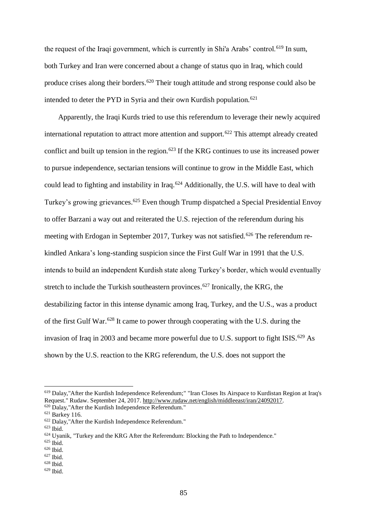the request of the Iraqi government, which is currently in Shi'a Arabs' control.<sup>619</sup> In sum, both Turkey and Iran were concerned about a change of status quo in Iraq, which could produce crises along their borders.<sup>620</sup> Their tough attitude and strong response could also be intended to deter the PYD in Syria and their own Kurdish population.<sup>621</sup>

Apparently, the Iraqi Kurds tried to use this referendum to leverage their newly acquired international reputation to attract more attention and support.<sup>622</sup> This attempt already created conflict and built up tension in the region.<sup>623</sup> If the KRG continues to use its increased power to pursue independence, sectarian tensions will continue to grow in the Middle East, which could lead to fighting and instability in Iraq.<sup>624</sup> Additionally, the U.S. will have to deal with Turkey's growing grievances.<sup>625</sup> Even though Trump dispatched a Special Presidential Envoy to offer Barzani a way out and reiterated the U.S. rejection of the referendum during his meeting with Erdogan in September 2017, Turkey was not satisfied.<sup>626</sup> The referendum rekindled Ankara's long-standing suspicion since the First Gulf War in 1991 that the U.S. intends to build an independent Kurdish state along Turkey's border, which would eventually stretch to include the Turkish southeastern provinces.<sup>627</sup> Ironically, the KRG, the destabilizing factor in this intense dynamic among Iraq, Turkey, and the U.S., was a product of the first Gulf War.<sup>628</sup> It came to power through cooperating with the U.S. during the invasion of Iraq in 2003 and became more powerful due to U.S. support to fight ISIS.<sup>629</sup> As shown by the U.S. reaction to the KRG referendum, the U.S. does not support the

<sup>619</sup> Dalay,"After the Kurdish Independence Referendum;" "Iran Closes Its Airspace to Kurdistan Region at Iraq's Request." Rudaw. September 24, 2017. [http://www.rudaw.net/english/middleeast/iran/24092017.](http://www.rudaw.net/english/middleeast/iran/24092017) 

<sup>620</sup> Dalay,"After the Kurdish Independence Referendum."

<sup>621</sup> Barkey 116.

<sup>622</sup> Dalay,"After the Kurdish Independence Referendum."

<sup>623</sup> Ibid.

 $624$  Uyanik, "Turkey and the KRG After the Referendum: Blocking the Path to Independence."

<sup>625</sup> Ibid.

 $626$  Ibid.

<sup>627</sup> Ibid.

<sup>628</sup> Ibid.

 $629$  Ibid.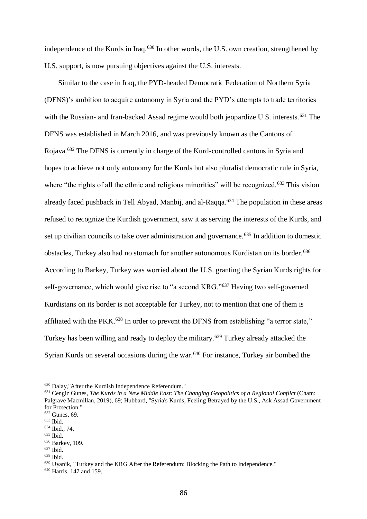independence of the Kurds in Iraq.<sup>630</sup> In other words, the U.S. own creation, strengthened by U.S. support, is now pursuing objectives against the U.S. interests.

Similar to the case in Iraq, the PYD-headed Democratic Federation of Northern Syria (DFNS)'s ambition to acquire autonomy in Syria and the PYD's attempts to trade territories with the Russian- and Iran-backed Assad regime would both jeopardize U.S. interests.<sup>631</sup> The DFNS was established in March 2016, and was previously known as the Cantons of Rojava.<sup>632</sup> The DFNS is currently in charge of the Kurd-controlled cantons in Syria and hopes to achieve not only autonomy for the Kurds but also pluralist democratic rule in Syria, where "the rights of all the ethnic and religious minorities" will be recognized.<sup>633</sup> This vision already faced pushback in Tell Abyad, Manbij, and al-Raqqa.<sup>634</sup> The population in these areas refused to recognize the Kurdish government, saw it as serving the interests of the Kurds, and set up civilian councils to take over administration and governance.<sup>635</sup> In addition to domestic obstacles, Turkey also had no stomach for another autonomous Kurdistan on its border.<sup>636</sup> According to Barkey, Turkey was worried about the U.S. granting the Syrian Kurds rights for self-governance, which would give rise to "a second KRG."<sup>637</sup> Having two self-governed Kurdistans on its border is not acceptable for Turkey, not to mention that one of them is affiliated with the PKK.<sup>638</sup> In order to prevent the DFNS from establishing "a terror state," Turkey has been willing and ready to deploy the military.<sup>639</sup> Turkey already attacked the Syrian Kurds on several occasions during the war.<sup>640</sup> For instance, Turkey air bombed the

<sup>630</sup> Dalay,"After the Kurdish Independence Referendum."

<sup>631</sup> Cengiz Gunes, *The Kurds in a New Middle East: The Changing Geopolitics of a Regional Conflict* (Cham: Palgrave Macmillan, 2019), 69; Hubbard, "Syria's Kurds, Feeling Betrayed by the U.S., Ask Assad Government for Protection."

<sup>632</sup> Gunes, 69.

<sup>633</sup> Ibid.

<sup>634</sup> Ibid., 74.

<sup>635</sup> Ibid.

<sup>636</sup> Barkey, 109.

 $637$  Ibid.

<sup>638</sup> Ibid.

<sup>639</sup> Uyanik, "Turkey and the KRG After the Referendum: Blocking the Path to Independence."

<sup>&</sup>lt;sup>640</sup> Harris, 147 and 159.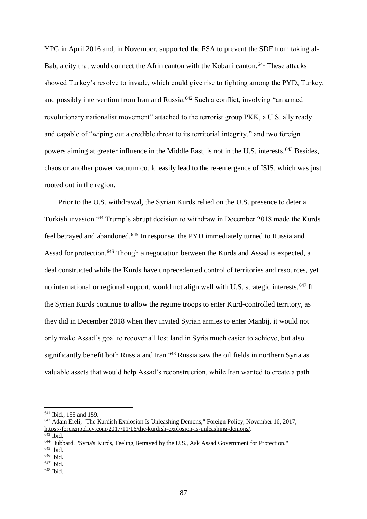YPG in April 2016 and, in November, supported the FSA to prevent the SDF from taking al-Bab, a city that would connect the Afrin canton with the Kobani canton.<sup>641</sup> These attacks showed Turkey's resolve to invade, which could give rise to fighting among the PYD, Turkey, and possibly intervention from Iran and Russia.<sup>642</sup> Such a conflict, involving "an armed revolutionary nationalist movement" attached to the terrorist group PKK, a U.S. ally ready and capable of "wiping out a credible threat to its territorial integrity," and two foreign powers aiming at greater influence in the Middle East, is not in the U.S. interests.<sup>643</sup> Besides, chaos or another power vacuum could easily lead to the re-emergence of ISIS, which was just rooted out in the region.

Prior to the U.S. withdrawal, the Syrian Kurds relied on the U.S. presence to deter a Turkish invasion.<sup>644</sup> Trump's abrupt decision to withdraw in December 2018 made the Kurds feel betrayed and abandoned.<sup>645</sup> In response, the PYD immediately turned to Russia and Assad for protection.<sup>646</sup> Though a negotiation between the Kurds and Assad is expected, a deal constructed while the Kurds have unprecedented control of territories and resources, yet no international or regional support, would not align well with U.S. strategic interests.<sup>647</sup> If the Syrian Kurds continue to allow the regime troops to enter Kurd-controlled territory, as they did in December 2018 when they invited Syrian armies to enter Manbij, it would not only make Assad's goal to recover all lost land in Syria much easier to achieve, but also significantly benefit both Russia and Iran.<sup>648</sup> Russia saw the oil fields in northern Syria as valuable assets that would help Assad's reconstruction, while Iran wanted to create a path

<sup>641</sup> Ibid., 155 and 159.

<sup>642</sup> Adam Ereli, "The Kurdish Explosion Is Unleashing Demons," Foreign Policy, November 16, 2017, [https://foreignpolicy.com/2017/11/16/the-kurdish-explosion-is-unleashing-demons/.](https://foreignpolicy.com/2017/11/16/the-kurdish-explosion-is-unleashing-demons/)

 $\overline{643}$  Ibid.

<sup>644</sup> Hubbard, "Syria's Kurds, Feeling Betrayed by the U.S., Ask Assad Government for Protection."

<sup>&</sup>lt;sup>645</sup> Ibid.

<sup>646</sup> Ibid.

 $647$  Ibid.

 $648$  Ibid.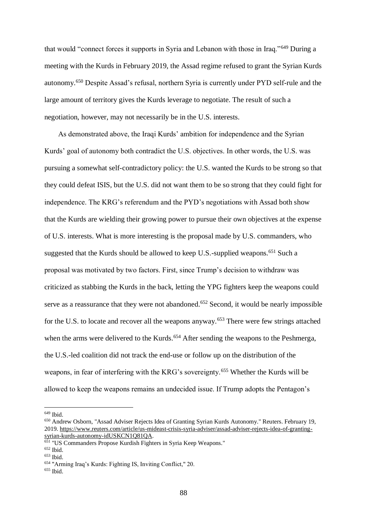that would "connect forces it supports in Syria and Lebanon with those in Iraq."<sup>649</sup> During a meeting with the Kurds in February 2019, the Assad regime refused to grant the Syrian Kurds autonomy.<sup>650</sup> Despite Assad's refusal, northern Syria is currently under PYD self-rule and the large amount of territory gives the Kurds leverage to negotiate. The result of such a negotiation, however, may not necessarily be in the U.S. interests.

As demonstrated above, the Iraqi Kurds' ambition for independence and the Syrian Kurds' goal of autonomy both contradict the U.S. objectives. In other words, the U.S. was pursuing a somewhat self-contradictory policy: the U.S. wanted the Kurds to be strong so that they could defeat ISIS, but the U.S. did not want them to be so strong that they could fight for independence. The KRG's referendum and the PYD's negotiations with Assad both show that the Kurds are wielding their growing power to pursue their own objectives at the expense of U.S. interests. What is more interesting is the proposal made by U.S. commanders, who suggested that the Kurds should be allowed to keep U.S.-supplied weapons.<sup>651</sup> Such a proposal was motivated by two factors. First, since Trump's decision to withdraw was criticized as stabbing the Kurds in the back, letting the YPG fighters keep the weapons could serve as a reassurance that they were not abandoned.<sup>652</sup> Second, it would be nearly impossible for the U.S. to locate and recover all the weapons anyway.<sup>653</sup> There were few strings attached when the arms were delivered to the Kurds.<sup>654</sup> After sending the weapons to the Peshmerga, the U.S.-led coalition did not track the end-use or follow up on the distribution of the weapons, in fear of interfering with the KRG's sovereignty.<sup>655</sup> Whether the Kurds will be allowed to keep the weapons remains an undecided issue. If Trump adopts the Pentagon's

<sup>649</sup> Ibid.

<sup>650</sup> Andrew Osborn, "Assad Adviser Rejects Idea of Granting Syrian Kurds Autonomy." Reuters. February 19, 2019. [https://www.reuters.com/article/us-mideast-crisis-syria-adviser/assad-adviser-rejects-idea-of-granting](https://www.reuters.com/article/us-mideast-crisis-syria-adviser/assad-adviser-rejects-idea-of-granting-syrian-kurds-autonomy-idUSKCN1Q81QA)[syrian-kurds-autonomy-idUSKCN1Q81QA.](https://www.reuters.com/article/us-mideast-crisis-syria-adviser/assad-adviser-rejects-idea-of-granting-syrian-kurds-autonomy-idUSKCN1Q81QA)

<sup>651</sup> "US Commanders Propose Kurdish Fighters in Syria Keep Weapons."

<sup>652</sup> Ibid.

<sup>653</sup> Ibid.

<sup>654</sup> "Arming Iraq's Kurds: Fighting IS, Inviting Conflict," 20.

 $655$  Ibid.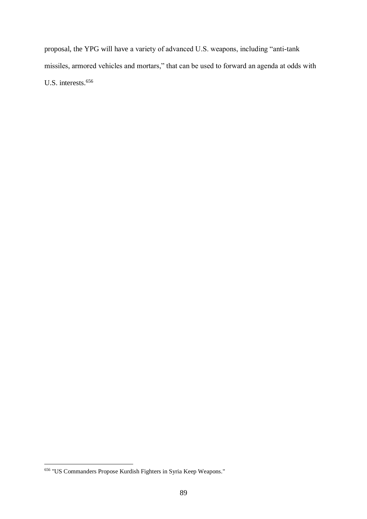proposal, the YPG will have a variety of advanced U.S. weapons, including "anti-tank missiles, armored vehicles and mortars," that can be used to forward an agenda at odds with U.S. interests.<sup>656</sup>

<sup>1</sup> <sup>656</sup> "US Commanders Propose Kurdish Fighters in Syria Keep Weapons."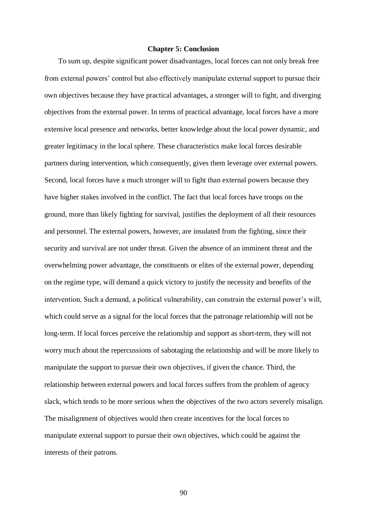## **Chapter 5: Conclusion**

To sum up, despite significant power disadvantages, local forces can not only break free from external powers' control but also effectively manipulate external support to pursue their own objectives because they have practical advantages, a stronger will to fight, and diverging objectives from the external power. In terms of practical advantage, local forces have a more extensive local presence and networks, better knowledge about the local power dynamic, and greater legitimacy in the local sphere. These characteristics make local forces desirable partners during intervention, which consequently, gives them leverage over external powers. Second, local forces have a much stronger will to fight than external powers because they have higher stakes involved in the conflict. The fact that local forces have troops on the ground, more than likely fighting for survival, justifies the deployment of all their resources and personnel. The external powers, however, are insulated from the fighting, since their security and survival are not under threat. Given the absence of an imminent threat and the overwhelming power advantage, the constituents or elites of the external power, depending on the regime type, will demand a quick victory to justify the necessity and benefits of the intervention. Such a demand, a political vulnerability, can constrain the external power's will, which could serve as a signal for the local forces that the patronage relationship will not be long-term. If local forces perceive the relationship and support as short-term, they will not worry much about the repercussions of sabotaging the relationship and will be more likely to manipulate the support to pursue their own objectives, if given the chance. Third, the relationship between external powers and local forces suffers from the problem of agency slack, which tends to be more serious when the objectives of the two actors severely misalign. The misalignment of objectives would then create incentives for the local forces to manipulate external support to pursue their own objectives, which could be against the interests of their patrons.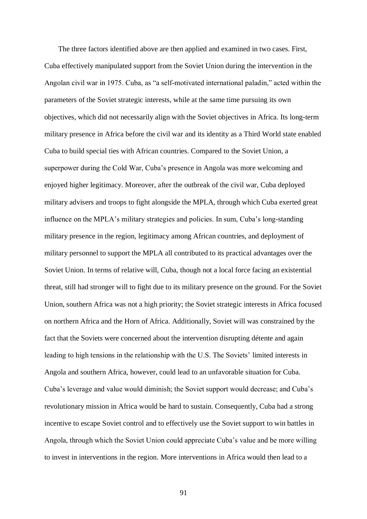The three factors identified above are then applied and examined in two cases. First, Cuba effectively manipulated support from the Soviet Union during the intervention in the Angolan civil war in 1975. Cuba, as "a self-motivated international paladin," acted within the parameters of the Soviet strategic interests, while at the same time pursuing its own objectives, which did not necessarily align with the Soviet objectives in Africa. Its long-term military presence in Africa before the civil war and its identity as a Third World state enabled Cuba to build special ties with African countries. Compared to the Soviet Union, a superpower during the Cold War, Cuba's presence in Angola was more welcoming and enjoyed higher legitimacy. Moreover, after the outbreak of the civil war, Cuba deployed military advisers and troops to fight alongside the MPLA, through which Cuba exerted great influence on the MPLA's military strategies and policies. In sum, Cuba's long-standing military presence in the region, legitimacy among African countries, and deployment of military personnel to support the MPLA all contributed to its practical advantages over the Soviet Union. In terms of relative will, Cuba, though not a local force facing an existential threat, still had stronger will to fight due to its military presence on the ground. For the Soviet Union, southern Africa was not a high priority; the Soviet strategic interests in Africa focused on northern Africa and the Horn of Africa. Additionally, Soviet will was constrained by the fact that the Soviets were concerned about the intervention disrupting détente and again leading to high tensions in the relationship with the U.S. The Soviets' limited interests in Angola and southern Africa, however, could lead to an unfavorable situation for Cuba. Cuba's leverage and value would diminish; the Soviet support would decrease; and Cuba's revolutionary mission in Africa would be hard to sustain. Consequently, Cuba had a strong incentive to escape Soviet control and to effectively use the Soviet support to win battles in Angola, through which the Soviet Union could appreciate Cuba's value and be more willing to invest in interventions in the region. More interventions in Africa would then lead to a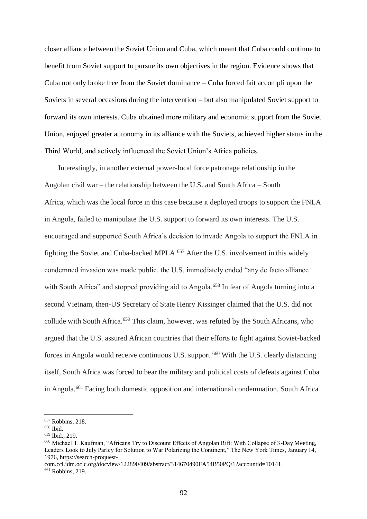closer alliance between the Soviet Union and Cuba, which meant that Cuba could continue to benefit from Soviet support to pursue its own objectives in the region. Evidence shows that Cuba not only broke free from the Soviet dominance – Cuba forced fait accompli upon the Soviets in several occasions during the intervention – but also manipulated Soviet support to forward its own interests. Cuba obtained more military and economic support from the Soviet Union, enjoyed greater autonomy in its alliance with the Soviets, achieved higher status in the Third World, and actively influenced the Soviet Union's Africa policies.

Interestingly, in another external power-local force patronage relationship in the Angolan civil war – the relationship between the U.S. and South Africa – South Africa, which was the local force in this case because it deployed troops to support the FNLA in Angola, failed to manipulate the U.S. support to forward its own interests. The U.S. encouraged and supported South Africa's decision to invade Angola to support the FNLA in fighting the Soviet and Cuba-backed MPLA.<sup>657</sup> After the U.S. involvement in this widely condemned invasion was made public, the U.S. immediately ended "any de facto alliance with South Africa" and stopped providing aid to Angola.<sup>658</sup> In fear of Angola turning into a second Vietnam, then-US Secretary of State Henry Kissinger claimed that the U.S. did not collude with South Africa.<sup>659</sup> This claim, however, was refuted by the South Africans, who argued that the U.S. assured African countries that their efforts to fight against Soviet-backed forces in Angola would receive continuous U.S. support.<sup>660</sup> With the U.S. clearly distancing itself, South Africa was forced to bear the military and political costs of defeats against Cuba in Angola.<sup>661</sup> Facing both domestic opposition and international condemnation, South Africa

<sup>657</sup> Robbins, 218.

<sup>658</sup> Ibid.

<sup>659</sup> Ibid., 219.

<sup>660</sup> Michael T. Kaufman, "Africans Try to Discount Effects of Angolan Rift: With Collapse of 3-Day Meeting, Leaders Look to July Parley for Solution to War Polarizing the Continent," The New York Times, January 14, 1976, [https://search-proquest-](https://search-proquest-com.ccl.idm.oclc.org/docview/122890409/abstract/314670490FA54B50PQ/1?accountid=10141)

[com.ccl.idm.oclc.org/docview/122890409/abstract/314670490FA54B50PQ/1?accountid=10141.](https://search-proquest-com.ccl.idm.oclc.org/docview/122890409/abstract/314670490FA54B50PQ/1?accountid=10141)  $\overline{661}$  Robbins, 219.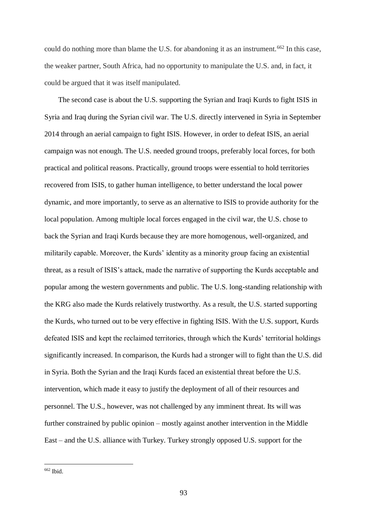could do nothing more than blame the U.S. for abandoning it as an instrument.<sup>662</sup> In this case, the weaker partner, South Africa, had no opportunity to manipulate the U.S. and, in fact, it could be argued that it was itself manipulated.

The second case is about the U.S. supporting the Syrian and Iraqi Kurds to fight ISIS in Syria and Iraq during the Syrian civil war. The U.S. directly intervened in Syria in September 2014 through an aerial campaign to fight ISIS. However, in order to defeat ISIS, an aerial campaign was not enough. The U.S. needed ground troops, preferably local forces, for both practical and political reasons. Practically, ground troops were essential to hold territories recovered from ISIS, to gather human intelligence, to better understand the local power dynamic, and more importantly, to serve as an alternative to ISIS to provide authority for the local population. Among multiple local forces engaged in the civil war, the U.S. chose to back the Syrian and Iraqi Kurds because they are more homogenous, well-organized, and militarily capable. Moreover, the Kurds' identity as a minority group facing an existential threat, as a result of ISIS's attack, made the narrative of supporting the Kurds acceptable and popular among the western governments and public. The U.S. long-standing relationship with the KRG also made the Kurds relatively trustworthy. As a result, the U.S. started supporting the Kurds, who turned out to be very effective in fighting ISIS. With the U.S. support, Kurds defeated ISIS and kept the reclaimed territories, through which the Kurds' territorial holdings significantly increased. In comparison, the Kurds had a stronger will to fight than the U.S. did in Syria. Both the Syrian and the Iraqi Kurds faced an existential threat before the U.S. intervention, which made it easy to justify the deployment of all of their resources and personnel. The U.S., however, was not challenged by any imminent threat. Its will was further constrained by public opinion – mostly against another intervention in the Middle East – and the U.S. alliance with Turkey. Turkey strongly opposed U.S. support for the

 $662$  Ibid.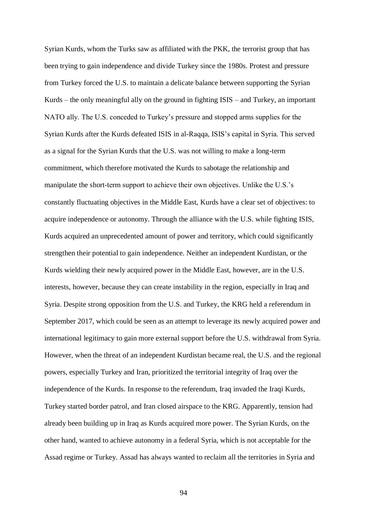Syrian Kurds, whom the Turks saw as affiliated with the PKK, the terrorist group that has been trying to gain independence and divide Turkey since the 1980s. Protest and pressure from Turkey forced the U.S. to maintain a delicate balance between supporting the Syrian Kurds – the only meaningful ally on the ground in fighting ISIS – and Turkey, an important NATO ally. The U.S. conceded to Turkey's pressure and stopped arms supplies for the Syrian Kurds after the Kurds defeated ISIS in al-Raqqa, ISIS's capital in Syria. This served as a signal for the Syrian Kurds that the U.S. was not willing to make a long-term commitment, which therefore motivated the Kurds to sabotage the relationship and manipulate the short-term support to achieve their own objectives. Unlike the U.S.'s constantly fluctuating objectives in the Middle East, Kurds have a clear set of objectives: to acquire independence or autonomy. Through the alliance with the U.S. while fighting ISIS, Kurds acquired an unprecedented amount of power and territory, which could significantly strengthen their potential to gain independence. Neither an independent Kurdistan, or the Kurds wielding their newly acquired power in the Middle East, however, are in the U.S. interests, however, because they can create instability in the region, especially in Iraq and Syria. Despite strong opposition from the U.S. and Turkey, the KRG held a referendum in September 2017, which could be seen as an attempt to leverage its newly acquired power and international legitimacy to gain more external support before the U.S. withdrawal from Syria. However, when the threat of an independent Kurdistan became real, the U.S. and the regional powers, especially Turkey and Iran, prioritized the territorial integrity of Iraq over the independence of the Kurds. In response to the referendum, Iraq invaded the Iraqi Kurds, Turkey started border patrol, and Iran closed airspace to the KRG. Apparently, tension had already been building up in Iraq as Kurds acquired more power. The Syrian Kurds, on the other hand, wanted to achieve autonomy in a federal Syria, which is not acceptable for the Assad regime or Turkey. Assad has always wanted to reclaim all the territories in Syria and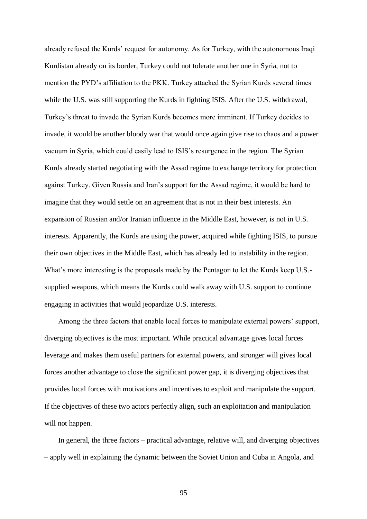already refused the Kurds' request for autonomy. As for Turkey, with the autonomous Iraqi Kurdistan already on its border, Turkey could not tolerate another one in Syria, not to mention the PYD's affiliation to the PKK. Turkey attacked the Syrian Kurds several times while the U.S. was still supporting the Kurds in fighting ISIS. After the U.S. withdrawal, Turkey's threat to invade the Syrian Kurds becomes more imminent. If Turkey decides to invade, it would be another bloody war that would once again give rise to chaos and a power vacuum in Syria, which could easily lead to ISIS's resurgence in the region. The Syrian Kurds already started negotiating with the Assad regime to exchange territory for protection against Turkey. Given Russia and Iran's support for the Assad regime, it would be hard to imagine that they would settle on an agreement that is not in their best interests. An expansion of Russian and/or Iranian influence in the Middle East, however, is not in U.S. interests. Apparently, the Kurds are using the power, acquired while fighting ISIS, to pursue their own objectives in the Middle East, which has already led to instability in the region. What's more interesting is the proposals made by the Pentagon to let the Kurds keep U.S. supplied weapons, which means the Kurds could walk away with U.S. support to continue engaging in activities that would jeopardize U.S. interests.

Among the three factors that enable local forces to manipulate external powers' support, diverging objectives is the most important. While practical advantage gives local forces leverage and makes them useful partners for external powers, and stronger will gives local forces another advantage to close the significant power gap, it is diverging objectives that provides local forces with motivations and incentives to exploit and manipulate the support. If the objectives of these two actors perfectly align, such an exploitation and manipulation will not happen.

In general, the three factors – practical advantage, relative will, and diverging objectives – apply well in explaining the dynamic between the Soviet Union and Cuba in Angola, and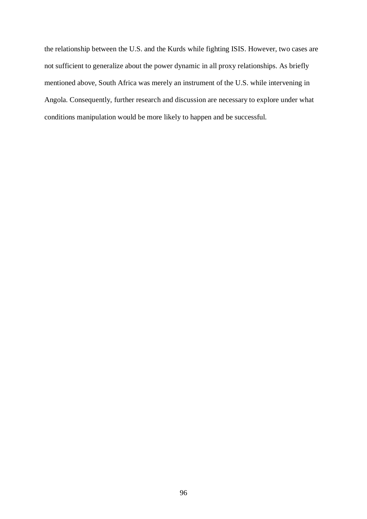the relationship between the U.S. and the Kurds while fighting ISIS. However, two cases are not sufficient to generalize about the power dynamic in all proxy relationships. As briefly mentioned above, South Africa was merely an instrument of the U.S. while intervening in Angola. Consequently, further research and discussion are necessary to explore under what conditions manipulation would be more likely to happen and be successful.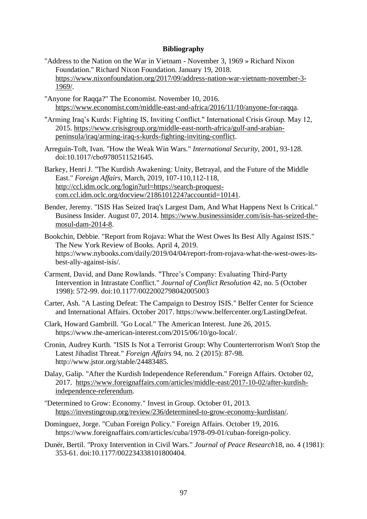## **Bibliography**

- "Address to the Nation on the War in Vietnam November 3, 1969 » Richard Nixon Foundation." Richard Nixon Foundation. January 19, 2018. [https://www.nixonfoundation.org/2017/09/address-nation-war-vietnam-november-3-](https://www.nixonfoundation.org/2017/09/address-nation-war-vietnam-november-3-1969/) [1969/.](https://www.nixonfoundation.org/2017/09/address-nation-war-vietnam-november-3-1969/)
- "Anyone for Raqqa?" The Economist. November 10, 2016. [https://www.economist.com/middle-east-and-africa/2016/11/10/anyone-for-raqqa.](https://www.economist.com/middle-east-and-africa/2016/11/10/anyone-for-raqqa)
- "Arming Iraq's Kurds: Fighting IS, Inviting Conflict." International Crisis Group. May 12, 2015. [https://www.crisisgroup.org/middle-east-north-africa/gulf-and-arabian](https://www.crisisgroup.org/middle-east-north-africa/gulf-and-arabian-peninsula/iraq/arming-iraq-s-kurds-fighting-inviting-conflict)[peninsula/iraq/arming-iraq-s-kurds-fighting-inviting-conflict.](https://www.crisisgroup.org/middle-east-north-africa/gulf-and-arabian-peninsula/iraq/arming-iraq-s-kurds-fighting-inviting-conflict)
- Arreguín-Toft, Ivan. "How the Weak Win Wars." *International Security*, 2001, 93-128. doi:10.1017/cbo9780511521645.
- Barkey, Henri J. "The Kurdish Awakening: Unity, Betrayal, and the Future of the Middle East." *Foreign Affairs,* March, 2019, 107-110,112-118, [http://ccl.idm.oclc.org/login?url=https://search-proquest](http://ccl.idm.oclc.org/login?url=https://search-proquest-com.ccl.idm.oclc.org/docview/2186101224?accountid=10141)[com.ccl.idm.oclc.org/docview/2186101224?accountid=10141.](http://ccl.idm.oclc.org/login?url=https://search-proquest-com.ccl.idm.oclc.org/docview/2186101224?accountid=10141)
- Bender, Jeremy. "ISIS Has Seized Iraq's Largest Dam, And What Happens Next Is Critical." Business Insider. August 07, 2014. [https://www.businessinsider.com/isis-has-seized-the](https://www.businessinsider.com/isis-has-seized-the-mosul-dam-2014-8)[mosul-dam-2014-8.](https://www.businessinsider.com/isis-has-seized-the-mosul-dam-2014-8)
- Bookchin, Debbie. "Report from Rojava: What the West Owes Its Best Ally Against ISIS." The New York Review of Books. April 4, 2019. https://www.nybooks.com/daily/2019/04/04/report-from-rojava-what-the-west-owes-itsbest-ally-against-isis/.
- Carment, David, and Dane Rowlands. "Three's Company: Evaluating Third-Party Intervention in Intrastate Conflict." *Journal of Conflict Resolution* 42, no. 5 (October 1998): 572-99. doi:10.1177/0022002798042005003
- Carter, Ash. "A Lasting Defeat: The Campaign to Destroy ISIS." Belfer Center for Science and International Affairs. October 2017. https://www.belfercenter.org/LastingDefeat.
- Clark, Howard Gambrill. "Go Local." The American Interest. June 26, 2015. https://www.the-american-interest.com/2015/06/10/go-local/.
- Cronin, Audrey Kurth. "ISIS Is Not a Terrorist Group: Why Counterterrorism Won't Stop the Latest Jihadist Threat." *Foreign Affairs* 94, no. 2 (2015): 87-98. http://www.jstor.org/stable/24483485.
- Dalay, Galip. "After the Kurdish Independence Referendum." Foreign Affairs. October 02, 2017. [https://www.foreignaffairs.com/articles/middle-east/2017-10-02/after-kurdish](https://www.foreignaffairs.com/articles/middle-east/2017-10-02/after-kurdish-independence-referendum)[independence-referendum.](https://www.foreignaffairs.com/articles/middle-east/2017-10-02/after-kurdish-independence-referendum)
- "Determined to Grow: Economy." Invest in Group. October 01, 2013. [https://investingroup.org/review/236/determined-to-grow-economy-kurdistan/.](https://investingroup.org/review/236/determined-to-grow-economy-kurdistan/)
- Dominguez, Jorge. "Cuban Foreign Policy." Foreign Affairs. October 19, 2016. https://www.foreignaffairs.com/articles/cuba/1978-09-01/cuban-foreign-policy.
- Dunér, Bertil. "Proxy Intervention in Civil Wars." *Journal of Peace Research*18, no. 4 (1981): 353-61. doi:10.1177/002234338101800404.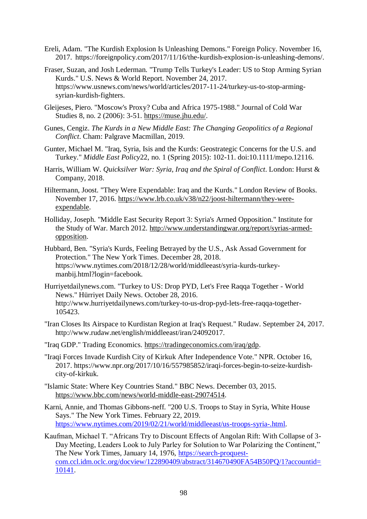- Ereli, Adam. "The Kurdish Explosion Is Unleashing Demons." Foreign Policy. November 16, 2017. https://foreignpolicy.com/2017/11/16/the-kurdish-explosion-is-unleashing-demons/.
- Fraser, Suzan, and Josh Lederman. "Trump Tells Turkey's Leader: US to Stop Arming Syrian Kurds." U.S. News & World Report. November 24, 2017. https://www.usnews.com/news/world/articles/2017-11-24/turkey-us-to-stop-armingsyrian-kurdish-fighters.
- Gleijeses, Piero. "Moscow's Proxy? Cuba and Africa 1975-1988." Journal of Cold War Studies 8, no. 2 (2006): 3-51. [https://muse.jhu.edu/.](https://muse.jhu.edu/)
- Gunes, Cengiz. *The Kurds in a New Middle East: The Changing Geopolitics of a Regional Conflict*. Cham: Palgrave Macmillan, 2019.
- Gunter, Michael M. "Iraq, Syria, Isis and the Kurds: Geostrategic Concerns for the U.S. and Turkey." *Middle East Policy*22, no. 1 (Spring 2015): 102-11. doi:10.1111/mepo.12116.
- Harris, William W. *Quicksilver War: Syria, Iraq and the Spiral of Conflict*. London: Hurst & Company, 2018.
- Hiltermann, Joost. "They Were Expendable: Iraq and the Kurds." London Review of Books. November 17, 2016. [https://www.lrb.co.uk/v38/n22/joost-hiltermann/they-were](https://www.lrb.co.uk/v38/n22/joost-hiltermann/they-were-expendable)[expendable.](https://www.lrb.co.uk/v38/n22/joost-hiltermann/they-were-expendable)
- Holliday, Joseph. "Middle East Security Report 3: Syria's Armed Opposition." Institute for the Study of War. March 2012. [http://www.understandingwar.org/report/syrias-armed](http://www.understandingwar.org/report/syrias-armed-opposition)[opposition.](http://www.understandingwar.org/report/syrias-armed-opposition)
- Hubbard, Ben. "Syria's Kurds, Feeling Betrayed by the U.S., Ask Assad Government for Protection." The New York Times. December 28, 2018. https://www.nytimes.com/2018/12/28/world/middleeast/syria-kurds-turkeymanbij.html?login=facebook.
- Hurriyetdailynews.com. "Turkey to US: Drop PYD, Let's Free Raqqa Together World News." Hürriyet Daily News. October 28, 2016. http://www.hurriyetdailynews.com/turkey-to-us-drop-pyd-lets-free-raqqa-together-105423.
- "Iran Closes Its Airspace to Kurdistan Region at Iraq's Request." Rudaw. September 24, 2017. http://www.rudaw.net/english/middleeast/iran/24092017.
- "Iraq GDP." Trading Economics. [https://tradingeconomics.com/iraq/gdp.](https://tradingeconomics.com/iraq/gdp)
- "Iraqi Forces Invade Kurdish City of Kirkuk After Independence Vote." NPR. October 16, 2017. https://www.npr.org/2017/10/16/557985852/iraqi-forces-begin-to-seize-kurdishcity-of-kirkuk.
- "Islamic State: Where Key Countries Stand." BBC News. December 03, 2015. [https://www.bbc.com/news/world-middle-east-29074514.](https://www.bbc.com/news/world-middle-east-29074514)
- Karni, Annie, and Thomas Gibbons-neff. "200 U.S. Troops to Stay in Syria, White House Says." The New York Times. February 22, 2019. [https://www.nytimes.com/2019/02/21/world/middleeast/us-troops-syria-.html.](https://www.nytimes.com/2019/02/21/world/middleeast/us-troops-syria-.html)
- Kaufman, Michael T. "Africans Try to Discount Effects of Angolan Rift: With Collapse of 3- Day Meeting, Leaders Look to July Parley for Solution to War Polarizing the Continent," The New York Times, January 14, 1976, [https://search-proquest](https://search-proquest-com.ccl.idm.oclc.org/docview/122890409/abstract/314670490FA54B50PQ/1?accountid=10141)[com.ccl.idm.oclc.org/docview/122890409/abstract/314670490FA54B50PQ/1?accountid=](https://search-proquest-com.ccl.idm.oclc.org/docview/122890409/abstract/314670490FA54B50PQ/1?accountid=10141) [10141.](https://search-proquest-com.ccl.idm.oclc.org/docview/122890409/abstract/314670490FA54B50PQ/1?accountid=10141)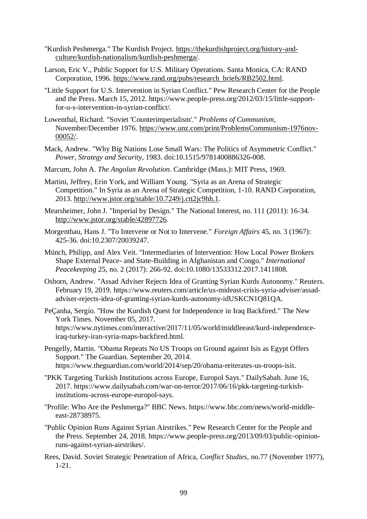- "Kurdish Peshmerga." The Kurdish Project. [https://thekurdishproject.org/history-and](https://thekurdishproject.org/history-and-culture/kurdish-nationalism/kurdish-peshmerga/)[culture/kurdish-nationalism/kurdish-peshmerga/.](https://thekurdishproject.org/history-and-culture/kurdish-nationalism/kurdish-peshmerga/)
- Larson, Eric V., Public Support for U.S. Military Operations. Santa Monica, CA: RAND Corporation, 1996. [https://www.rand.org/pubs/research\\_briefs/RB2502.html.](https://www.rand.org/pubs/research_briefs/RB2502.html)
- "Little Support for U.S. Intervention in Syrian Conflict." Pew Research Center for the People and the Press. March 15, 2012. https://www.people-press.org/2012/03/15/little-supportfor-u-s-intervention-in-syrian-conflict/.
- Lowenthal, Richard. "Soviet 'Counterimperialism'." *Problems of Communism*, November/December 1976. [https://www.unz.com/print/ProblemsCommunism-1976nov-](https://www.unz.com/print/ProblemsCommunism-1976nov-00052/)[00052/.](https://www.unz.com/print/ProblemsCommunism-1976nov-00052/)
- Mack, Andrew. "Why Big Nations Lose Small Wars: The Politics of Asymmetric Conflict." *Power, Strategy and Security*, 1983. doi:10.1515/9781400886326-008.
- Marcum, John A. *The Angolan Revolution*. Cambridge (Mass.): MIT Press, 1969.
- Martini, Jeffrey, Erin York, and William Young. "Syria as an Arena of Strategic Competition." In Syria as an Arena of Strategic Competition, 1-10. RAND Corporation, 2013. [http://www.jstor.org/stable/10.7249/j.ctt2jc9hh.1.](http://www.jstor.org/stable/10.7249/j.ctt2jc9hh.1)
- Mearsheimer, John J. "Imperial by Design." The National Interest, no. 111 (2011): 16-34. [http://www.jstor.org/stable/42897726.](http://www.jstor.org/stable/42897726)
- Morgenthau, Hans J. "To Intervene or Not to Intervene." *Foreign Affairs* 45, no. 3 (1967): 425-36. doi:10.2307/20039247.
- Münch, Philipp, and Alex Veit. "Intermediaries of Intervention: How Local Power Brokers Shape External Peace- and State-Building in Afghanistan and Congo." *International Peacekeeping* 25, no. 2 (2017): 266-92. doi:10.1080/13533312.2017.1411808.
- Osborn, Andrew. "Assad Adviser Rejects Idea of Granting Syrian Kurds Autonomy." Reuters. February 19, 2019. https://www.reuters.com/article/us-mideast-crisis-syria-adviser/assadadviser-rejects-idea-of-granting-syrian-kurds-autonomy-idUSKCN1Q81QA.
- PeÇanha, Sergio. "How the Kurdish Quest for Independence in Iraq Backfired." The New York Times. November 05, 2017. https://www.nytimes.com/interactive/2017/11/05/world/middleeast/kurd-independenceiraq-turkey-iran-syria-maps-backfired.html.
- Pengelly, Martin. "Obama Repeats No US Troops on Ground against Isis as Egypt Offers Support." The Guardian. September 20, 2014. https://www.theguardian.com/world/2014/sep/20/obama-reiterates-us-troops-isis.
- "PKK Targeting Turkish Institutions across Europe, Europol Says." DailySabah. June 16, 2017. https://www.dailysabah.com/war-on-terror/2017/06/16/pkk-targeting-turkishinstitutions-across-europe-europol-says.
- "Profile: Who Are the Peshmerga?" BBC News. https://www.bbc.com/news/world-middleeast-28738975.
- "Public Opinion Runs Against Syrian Airstrikes." Pew Research Center for the People and the Press. September 24, 2018. https://www.people-press.org/2013/09/03/public-opinionruns-against-syrian-airstrikes/.
- Rees, David. Soviet Strategic Penetration of Africa, *Conflict Studies*, no.77 (November 1977), 1-21.